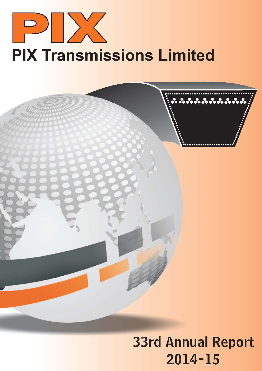

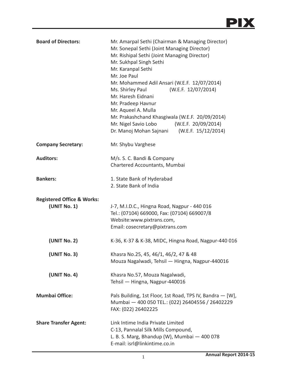

| <b>Board of Directors:</b>                            | Mr. Amarpal Sethi (Chairman & Managing Director)<br>Mr. Sonepal Sethi (Joint Managing Director)<br>Mr. Rishipal Sethi (Joint Managing Director)<br>Mr. Sukhpal Singh Sethi<br>Mr. Karanpal Sethi<br>Mr. Joe Paul<br>Mr. Mohammed Adil Ansari (W.E.F. 12/07/2014)<br>(W.E.F. 12/07/2014)<br>Ms. Shirley Paul<br>Mr. Haresh Eidnani<br>Mr. Pradeep Havnur<br>Mr. Aqueel A. Mulla<br>Mr. Prakashchand Khasgiwala (W.E.F. 20/09/2014)<br>Mr. Nigel Savio Lobo (W.E.F. 20/09/2014)<br>Dr. Manoj Mohan Sajnani (W.E.F. 15/12/2014) |  |
|-------------------------------------------------------|------------------------------------------------------------------------------------------------------------------------------------------------------------------------------------------------------------------------------------------------------------------------------------------------------------------------------------------------------------------------------------------------------------------------------------------------------------------------------------------------------------------------------|--|
| <b>Company Secretary:</b>                             | Mr. Shybu Varghese                                                                                                                                                                                                                                                                                                                                                                                                                                                                                                           |  |
| <b>Auditors:</b>                                      | M/s. S. C. Bandi & Company<br>Chartered Accountants, Mumbai                                                                                                                                                                                                                                                                                                                                                                                                                                                                  |  |
| <b>Bankers:</b>                                       | 1. State Bank of Hyderabad<br>2. State Bank of India                                                                                                                                                                                                                                                                                                                                                                                                                                                                         |  |
| <b>Registered Office &amp; Works:</b><br>(UNIT No. 1) | J-7, M.I.D.C., Hingna Road, Nagpur - 440 016<br>Tel.: (07104) 669000, Fax: (07104) 669007/8<br>Website:www.pixtrans.com,<br>Email: cosecretary@pixtrans.com                                                                                                                                                                                                                                                                                                                                                                  |  |
| (UNIT No. 2)                                          | K-36, K-37 & K-38, MIDC, Hingna Road, Nagpur-440 016                                                                                                                                                                                                                                                                                                                                                                                                                                                                         |  |
| (UNIT No. 3)                                          | Khasra No.25, 45, 46/1, 46/2, 47 & 48<br>Mouza Nagalwadi, Tehsil - Hingna, Nagpur-440016                                                                                                                                                                                                                                                                                                                                                                                                                                     |  |
| (UNIT No. 4)                                          | Khasra No.57, Mouza Nagalwadi,<br>Tehsil - Hingna, Nagpur-440016                                                                                                                                                                                                                                                                                                                                                                                                                                                             |  |
| <b>Mumbai Office:</b>                                 | Pals Building, 1st Floor, 1st Road, TPS IV, Bandra - [W],<br>Mumbai - 400 050 TEL.: (022) 26404556 / 26402229<br>FAX: (022) 26402225                                                                                                                                                                                                                                                                                                                                                                                         |  |
| <b>Share Transfer Agent:</b>                          | Link Intime India Private Limited<br>C-13, Pannalal Silk Mills Compound,<br>L. B. S. Marg, Bhandup (W), Mumbai - 400 078<br>E-mail: isrl@linkintime.co.in                                                                                                                                                                                                                                                                                                                                                                    |  |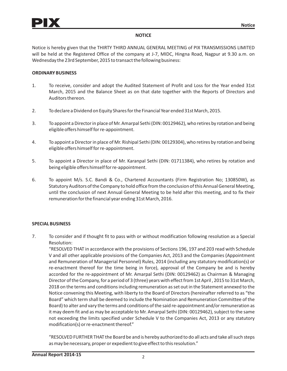# **NOTICE**

Notice is hereby given that the THIRTY THIRD ANNUAL GENERAL MEETING of PIX TRANSMISSIONS LIMITED will be held at the Registered Office of the company at J-7, MIDC, Hingna Road, Nagpur at 9.30 a.m. on Wednesday the 23rd September, 2015 to transact the following business:

## **ORDINARY BUSINESS**

- 1. To receive, consider and adopt the Audited Statement of Profit and Loss for the Year ended 31st March, 2015 and the Balance Sheet as on that date together with the Reports of Directors and Auditors thereon.
- 2. To declare a Dividend on Equity Shares for the Financial Year ended 31st March, 2015.
- 3. To appoint a Director in place of Mr. Amarpal Sethi (DIN: 00129462), who retires by rotation and being eligible offers himself for re-appointment.
- 4. To appoint a Director in place of Mr. Rishipal Sethi (DIN: 00129304), who retires by rotation and being eligible offers himself for re-appointment.
- 5. To appoint a Director in place of Mr. Karanpal Sethi (DIN: 01711384), who retires by rotation and being eligible offers himself for re-appointment.
- 6. To appoint M/s. S.C. Bandi & Co., Chartered Accountants (Firm Registration No; 130850W), as Statutory Auditors of the Company to hold office from the conclusion of this Annual General Meeting, until the conclusion of next Annual General Meeting to be held after this meeting, and to fix their remuneration for the financial year ending 31st March, 2016.

## **SPECIAL BUSINESS**

7. To consider and if thought fit to pass with or without modification following resolution as a Special Resolution:

"RESOLVED THAT in accordance with the provisions of Sections 196, 197 and 203 read with Schedule V and all other applicable provisions of the Companies Act, 2013 and the Companies (Appointment and Remuneration of Managerial Personnel) Rules, 2014 (including any statutory modification(s) or re-enactment thereof for the time being in force), approval of the Company be and is hereby accorded for the re-appointment of Mr. Amarpal Sethi (DIN: 00129462) as Chairman & Managing Director of the Company, for a period of 3 (three) years with effect from 1st April , 2015 to 31st March, 2018 on the terms and conditions including remuneration as set out in the Statement annexed to the Notice convening this Meeting, with liberty to the Board of Directors (hereinafter referred to as "the Board" which term shall be deemed to include the Nomination and Remuneration Committee of the Board) to alter and vary the terms and conditions of the said re-appointment and/or remuneration as it may deem fit and as may be acceptable to Mr. Amarpal Sethi (DIN: 00129462), subject to the same not exceeding the limits specified under Schedule V to the Companies Act, 2013 or any statutory modification(s) or re-enactment thereof."

"RESOLVED FURTHER THAT the Board be and is hereby authorized to do all acts and take all such steps as may be necessary, proper or expedient to give effect to this resolution."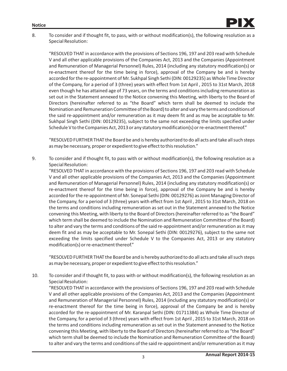#### **Notice**



8. To consider and if thought fit, to pass, with or without modification(s), the following resolution as a Special Resolution:

"RESOLVED THAT in accordance with the provisions of Sections 196, 197 and 203 read with Schedule V and all other applicable provisions of the Companies Act, 2013 and the Companies (Appointment and Remuneration of Managerial Personnel) Rules, 2014 (including any statutory modification(s) or re-enactment thereof for the time being in force), approval of the Company be and is hereby accorded for the re-appointment of Mr. Sukhpal Singh Sethi (DIN: 00129235) as Whole Time Director of the Company, for a period of 3 (three) years with effect from 1st April , 2015 to 31st March, 2018 even though he has attained age of 73 years, on the terms and conditions including remuneration as set out in the Statement annexed to the Notice convening this Meeting, with liberty to the Board of Directors (hereinafter referred to as "the Board" which term shall be deemed to include the Nomination and Remuneration Committee of the Board) to alter and vary the terms and conditions of the said re-appointment and/or remuneration as it may deem fit and as may be acceptable to Mr. Sukhpal Singh Sethi (DIN: 00129235), subject to the same not exceeding the limits specified under Schedule V to the Companies Act, 2013 or any statutory modification(s) or re-enactment thereof."

"RESOLVED FURTHER THAT the Board be and is hereby authorized to do all acts and take all such steps as may be necessary, proper or expedient to give effect to this resolution."

9. To consider and if thought fit, to pass with or without modification(s), the following resolution as a Special Resolution:

"RESOLVED THAT in accordance with the provisions of Sections 196, 197 and 203 read with Schedule V and all other applicable provisions of the Companies Act, 2013 and the Companies (Appointment and Remuneration of Managerial Personnel) Rules, 2014 (including any statutory modification(s) or re-enactment thereof for the time being in force), approval of the Company be and is hereby accorded for the re-appointment of Mr. Sonepal Sethi (DIN: 00129276) as Joint Managing Director of the Company, for a period of 3 (three) years with effect from 1st April , 2015 to 31st March, 2018 on the terms and conditions including remuneration as set out in the Statement annexed to the Notice convening this Meeting, with liberty to the Board of Directors (hereinafter referred to as "the Board" which term shall be deemed to include the Nomination and Remuneration Committee of the Board) to alter and vary the terms and conditions of the said re-appointment and/or remuneration as it may deem fit and as may be acceptable to Mr. Sonepal Sethi (DIN: 00129276), subject to the same not exceeding the limits specified under Schedule V to the Companies Act, 2013 or any statutory modification(s) or re-enactment thereof."

"RESOLVED FURTHER THAT the Board be and is hereby authorized to do all acts and take all such steps as may be necessary, proper or expedient to give effect to this resolution."

10. To consider and if thought fit, to pass with or without modification(s), the following resolution as an Special Resolution:

"RESOLVED THAT in accordance with the provisions of Sections 196, 197 and 203 read with Schedule V and all other applicable provisions of the Companies Act, 2013 and the Companies (Appointment and Remuneration of Managerial Personnel) Rules, 2014 (including any statutory modification(s) or re-enactment thereof for the time being in force), approval of the Company be and is hereby accorded for the re-appointment of Mr. Karanpal Sethi (DIN: 01711384) as Whole Time Director of the Company, for a period of 3 (three) years with effect from 1st April , 2015 to 31st March, 2018 on the terms and conditions including remuneration as set out in the Statement annexed to the Notice convening this Meeting, with liberty to the Board of Directors (hereinafter referred to as "the Board" which term shall be deemed to include the Nomination and Remuneration Committee of the Board) to alter and vary the terms and conditions of the said re-appointment and/or remuneration as it may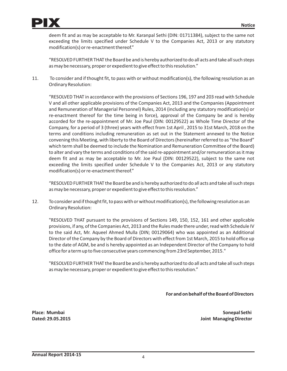

deem fit and as may be acceptable to Mr. Karanpal Sethi (DIN: 01711384), subject to the same not exceeding the limits specified under Schedule V to the Companies Act, 2013 or any statutory modification(s) or re-enactment thereof."

"RESOLVED FURTHER THAT the Board be and is hereby authorized to do all acts and take all such steps as may be necessary, proper or expedient to give effect to this resolution."

11. To consider and if thought fit, to pass with or without modification(s), the following resolution as an Ordinary Resolution:

"RESOLVED THAT in accordance with the provisions of Sections 196, 197 and 203 read with Schedule V and all other applicable provisions of the Companies Act, 2013 and the Companies (Appointment and Remuneration of Managerial Personnel) Rules, 2014 (including any statutory modification(s) or re-enactment thereof for the time being in force), approval of the Company be and is hereby accorded for the re-appointment of Mr. Joe Paul (DIN: 00129522) as Whole Time Director of the Company, for a period of 3 (three) years with effect from 1st April , 2015 to 31st March, 2018 on the terms and conditions including remuneration as set out in the Statement annexed to the Notice convening this Meeting, with liberty to the Board of Directors (hereinafter referred to as "the Board" which term shall be deemed to include the Nomination and Remuneration Committee of the Board) to alter and vary the terms and conditions of the said re-appointment and/or remuneration as it may deem fit and as may be acceptable to Mr. Joe Paul (DIN: 00129522), subject to the same not exceeding the limits specified under Schedule V to the Companies Act, 2013 or any statutory modification(s) or re-enactment thereof."

"RESOLVED FURTHER THAT the Board be and is hereby authorized to do all acts and take all such steps as may be necessary, proper or expedient to give effect to this resolution."

12. To consider and if thought fit, to pass with or without modification(s), the following resolution as an Ordinary Resolution:

"RESOLVED THAT pursuant to the provisions of Sections 149, 150, 152, 161 and other applicable provisions, if any, of the Companies Act, 2013 and the Rules made there under, read with Schedule IV to the said Act, Mr. Aqueel Ahmed Mulla (DIN; 00129064) who was appointed as an Additional Director of the Company by the Board of Directors with effect from 1st March, 2015 to hold office up to the date of AGM, be and is hereby appointed as an Independent Director of the Company to hold office for a term up to five consecutive years commencing from 23rd September, 2015."

"RESOLVED FURTHER THAT the Board be and is hereby authorized to do all acts and take all such steps as may be necessary, proper or expedient to give effect to this resolution."

**For and on behalf of the Board of Directors**

**Place: Mumbai Sonepal Sethi Dated: 29.05.2015 Joint Managing Director**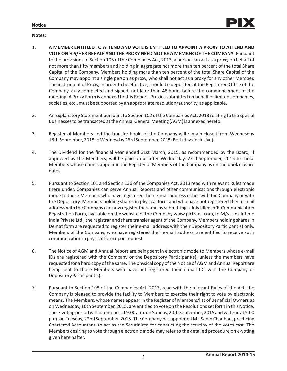

## **Notes:**

- 1. **A MEMBER ENTITLED TO ATTEND AND VOTE IS ENTITLED TO APPOINT A PROXY TO ATTEND AND VOTE ON HIS/HER BEHALF AND THE PROXY NEED NOT BE A MEMBER OF THE COMPANY**. Pursuant to the provisions of Section 105 of the Companies Act, 2013, a person can act as a proxy on behalf of not more than fifty members and holding in aggregate not more than ten percent of the total Share Capital of the Company. Members holding more than ten percent of the total Share Capital of the Company may appoint a single person as proxy, who shall not act as a proxy for any other Member. The instrument of Proxy, in order to be effective, should be deposited at the Registered Office of the Company, duly completed and signed, not later than 48 hours before the commencement of the meeting. A Proxy Form is annexed to this Report. Proxies submitted on behalf of limited companies, societies, etc., must be supported by an appropriate resolution/authority, as applicable.
- 2. An Explanatory Statement pursuant to Section 102 of the Companies Act, 2013 relating to the Special Businesses to be transacted at the Annual General Meeting (AGM) is annexed hereto.
- 3. Register of Members and the transfer books of the Company will remain closed from Wednesday 16th September, 2015 to Wednesday 23rd September, 2015 (Both days inclusive).
- 4. The Dividend for the financial year ended 31st March, 2015, as recommended by the Board, if approved by the Members, will be paid on or after Wednesday, 23rd September, 2015 to those Members whose names appear in the Register of Members of the Company as on the book closure dates.
- 5. Pursuant to Section 101 and Section 136 of the Companies Act, 2013 read with relevant Rules made there under, Companies can serve Annual Reports and other communications through electronic mode to those Members who have registered their e-mail address either with the Company or with the Depository. Members holding shares in physical form and who have not registered their e-mail address with the Company can now register the same by submitting a duly filled in 'E-Communication Registration Form, available on the website of the Company www.pixtrans.com, to M/s. Link Intime India Private Ltd , the registrar and share transfer agent of the Company. Members holding shares in Demat form are requested to register their e-mail address with their Depository Participant(s) only. Members of the Company, who have registered their e-mail address, are entitled to receive such communication in physical form upon request.
- 6. The Notice of AGM and Annual Report are being sent in electronic mode to Members whose e-mail IDs are registered with the Company or the Depository Participant(s), unless the members have requested for a hard copy of the same. The physical copy of the Notice of AGM and Annual Report are being sent to those Members who have not registered their e-mail IDs with the Company or Depository Participant(s).
- 7. Pursuant to Section 108 of the Companies Act, 2013, read with the relevant Rules of the Act, the Company is pleased to provide the facility to Members to exercise their right to vote by electronic means. The Members, whose names appear in the Register of Members/list of Beneficial Owners as on Wednesday, 16th September, 2015, are entitled to vote on the Resolutions set forth in this Notice. The e-voting period will commence at 9.00 a.m. on Sunday, 20th September, 2015 and will end at 5.00 p.m. on Tuesday, 22nd September, 2015. The Company has appointed Mr. Sahib Chauhan, practicing Chartered Accountant, to act as the Scrutinizer, for conducting the scrutiny of the votes cast. The Members desiring to vote through electronic mode may refer to the detailed procedure on e-voting given hereinafter.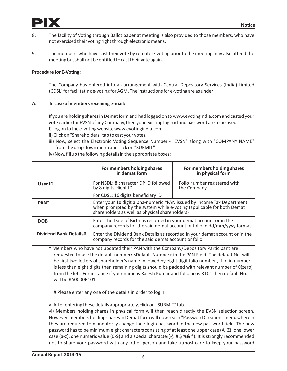

- 8. The facility of Voting through Ballot paper at meeting is also provided to those members, who have not exercised their voting right through electronic means.
- 9. The members who have cast their vote by remote e-voting prior to the meeting may also attend the meeting but shall not be entitled to cast their vote again.

# **Procedure for E-Voting:**

The Company has entered into an arrangement with Central Depository Services (India) Limited (CDSL) for facilitating e-voting for AGM. The instructions for e-voting are as under:

# **A. In case of members receiving e-mail:**

If you are holding shares in Demat form and had logged on to www.evotingindia.com and casted your vote earlier for EVSN of any Company, then your existing login id and password are to be used. I) Log on to the e-voting website www.evotingindia.com.

- ii) Click on "Shareholders" tab to cast your votes.
- iii) Now, select the Electronic Voting Sequence Number "EVSN" along with "COMPANY NAME" from the drop down menu and click on "SUBMIT"

|                               | For members holding shares<br>in demat form                                                                                                                                                       | For members holding shares<br>in physical form |
|-------------------------------|---------------------------------------------------------------------------------------------------------------------------------------------------------------------------------------------------|------------------------------------------------|
| User ID                       | For NSDL: 8 character DP ID followed<br>by 8 digits client ID                                                                                                                                     | Folio number registered with<br>the Company    |
|                               | For CDSL: 16 digits beneficiary ID                                                                                                                                                                |                                                |
| PAN <sup>*</sup>              | Enter your 10 digit alpha-numeric *PAN issued by Income Tax Department<br>when prompted by the system while e-voting (applicable for both Demat<br>shareholders as well as physical shareholders) |                                                |
| <b>DOB</b>                    | Enter the Date of Birth as recorded in your demat account or in the<br>company records for the said demat account or folio in dd/mm/yyyy format.                                                  |                                                |
| <b>Dividend Bank Details#</b> | Enter the Dividend Bank Details as recorded in your demat account or in the<br>company records for the said demat account or folio.                                                               |                                                |

iv) Now, fill up the following details in the appropriate boxes:

\* Members who have not updated their PAN with the Company/Depository Participant are requested to use the default number: <Default Number> in the PAN Field. The default No. will be first two letters of shareholder's name followed by eight digit folio number , if folio number is less than eight digits then remaining digits should be padded with relevant number of 0(zero) from the left. For instance if your name is Rajesh Kumar and folio no is R101 then default No. will be RA0000R101.

# Please enter any one of the details in order to login.

v) After entering these details appropriately, click on "SUBMIT" tab.

vi) Members holding shares in physical form will then reach directly the EVSN selection screen. However, members holding shares in Demat form will now reach "Password Creation" menu wherein they are required to mandatorily change their login password in the new password field. The new password has to be minimum eight characters consisting of at least one upper case (A¬Z), one lower case (a-z), one numeric value (0-9) and a special character(@  $\#$  \$ %&  $\ast$ ). It is strongly recommended not to share your password with any other person and take utmost care to keep your password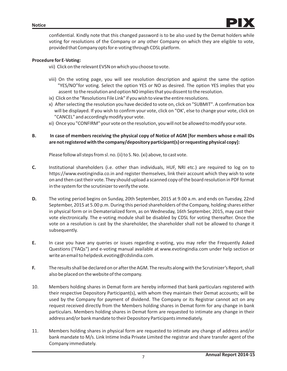

confidential. Kindly note that this changed password is to be also used by the Demat holders while voting for resolutions of the Company or any other Company on which they are eligible to vote, provided that Company opts for e-voting through CDSL platform.

## **Procedure for E-Voting:**

vii) Click on the relevant EVSN on which you choose to vote.

- viii) On the voting page, you will see resolution description and against the same the option "YES/NO"for voting. Select the option YES or NO as desired. The option YES implies that you assent to the resolution and option NO implies that you dissent to the resolution.
- ix) Click on the "Resolutions File Link" if you wish to view the entire resolutions.
- x) After selecting the resolution you have decided to vote on, click on "SUBMIT". A confirmation box will be displayed. If you wish to confirm your vote, click on "OK', else to change your vote, click on "CANCEL" and accordingly modify your vote.
- xi) Once you "CONFIRM" your vote on the resolution, you will not be allowed to modify your vote.

# **B. In case of members receiving the physical copy of Notice of AGM [for members whose e-mail IDs are not registered with the company/depository participant(s) or requesting physical copy]:**

Please follow all steps from sl. no. (ii) to S. No. (xi) above, to cast vote.

- **C.** Institutional shareholders (i.e. other than individuals, HUF, NRI etc.) are required to log on to https://www.evotingindia.co.in and register themselves, link their account which they wish to vote on and then cast their vote. They should upload a scanned copy of the board resolution in PDF format in the system for the scrutinizer to verify the vote.
- **D.** The voting period begins on Sunday, 20th September, 2015 at 9.00 a.m. and ends on Tuesday, 22nd September, 2015 at 5.00 p.m. During this period shareholders of the Company, holding shares either in physical form or in Dematerialized form, as on Wednesday, 16th September, 2015, may cast their vote electronically. The e-voting module shall be disabled by CDSL for voting thereafter. Once the vote on a resolution is cast by the shareholder, the shareholder shall not be allowed to change it subsequently.
- **E.** In case you have any queries or issues regarding e-voting, you may refer the Frequently Asked Questions ("FAQs") and e-voting manual available at www.evotingindia.com under help section or write an email to helpdesk.evoting@cdslindia.com.
- **F.** The results shall be declared on or after the AGM. The results along with the Scrutinizer's Report, shall also be placed on the website of the company.
- 10. Members holding shares in Demat form are hereby informed that bank particulars registered with their respective Depository Participant(s), with whom they maintain their Demat accounts; will be used by the Company for payment of dividend. The Company or its Registrar cannot act on any request received directly from the Members holding shares in Demat form for any change in bank particulars. Members holding shares in Demat form are requested to intimate any change in their address and/or bank mandate to their Depository Participants immediately.
- 11. Members holding shares in physical form are requested to intimate any change of address and/or bank mandate to M/s. Link Intime India Private Limited the registrar and share transfer agent of the Company immediately.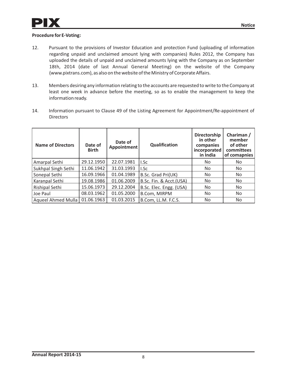# **Procedure for E-Voting:**

- 12. Pursuant to the provisions of Investor Education and protection Fund (uploading of information regarding unpaid and unclaimed amount lying with companies) Rules 2012, the Company has uploaded the details of unpaid and unclaimed amounts lying with the Company as on September 18th, 2014 (date of last Annual General Meeting) on the website of the Company (www.pixtrans.com), as also on the website of the Ministry of Corporate Affairs.
- 13. Members desiring any information relating to the accounts are requested to write to the Company at least one week in advance before the meeting, so as to enable the management to keep the information ready.
- 14. Information pursuant to Clause 49 of the Listing Agreement for Appointment/Re-appointment of **Directors**

| <b>Name of Directors</b> | Date of<br><b>Birth</b> | Date of<br>Appointment | Qualification           | <b>Directorship</b><br>in other<br>companies<br>incorporated<br>in India | Chariman /<br>member<br>of other<br>committees<br>of comapnies |
|--------------------------|-------------------------|------------------------|-------------------------|--------------------------------------------------------------------------|----------------------------------------------------------------|
| Amarpal Sethi            | 29.12.1950              | 22.07.1981             | I.Sc                    | No                                                                       | No                                                             |
| Sukhpal Singh Sethi      | 11.06.1942              | 31.03.1993             | I.Sc                    | No                                                                       | No                                                             |
| Sonepal Sethi            | 16.09.1966              | 01.04.1989             | B.Sc. Grad Pri(UK)      | No                                                                       | No                                                             |
| Karanpal Sethi           | 19.08.1986              | 01.06.2009             | B.Sc. Fin. & Acct.(USA) | No.                                                                      | No                                                             |
| Rishipal Sethi           | 15.06.1973              | 29.12.2004             | B.Sc. Elec. Engg. (USA) | No                                                                       | No                                                             |
| l Joe Paul               | 08.03.1962              | 01.05.2000             | B.Com, MIRPM            | No                                                                       | No                                                             |
| Aqueel Ahmed Mulla       | 01.06.1963              | 01.03.2015             | B.Com, LL.M. F.C.S.     | No                                                                       | No.                                                            |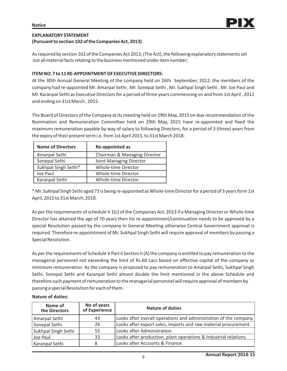# **EXPLANATORY STATEMENT (Pursuant to section 102 of the Companies Act, 2013)**

As required by section 102 of the Companies Act 2013, (The Act), the following explanatory statements set out all material facts relating to the business mentioned under item number;

# **ITEM NO. 7 to 11 RE-APPOINTMENT OF EXECUTIVE DIRECTORS:**

At the 30th Annual General Meeting of the company held on 26th September, 2012, the members of the company had re-appointed Mr. Amarpal Sethi , Mr. Sonepal Sethi , Mr. Sukhpal Singh Sethi , Mr. Joe Paul and Mr. Karanpal Sethi as Executive Directors for a period of three years commencing on and from 1st April , 2012 and ending on 31st March , 2015 .

The Board of Directors of the Company at its meeting held on 29th May, 2015 on due recommendation of the Nomination and Remuneration Committee held on 29th May, 2015 have re-appointed and fixed the maximum remuneration payable by way of salary to following Directors, for a period of 3 (three) years from the expiry of their present term i.e. from 1st April 2015, to 31st March 2018.

| <b>Name of Directors</b> | Re-appointed as              |
|--------------------------|------------------------------|
| Amarpal Sethi            | Chairman & Managing Director |
| Sonepal Sethi            | Joint Managing Director      |
| Sukhpal Singh Sethi*     | Whole-time Director          |
| Joe Paul                 | Whole-time Director          |
| Karanpal Sethi           | Whole-time Director          |

\* Mr. Sukhpal Singh Sethi aged 73 is being re-appointed as Whole-time Director for a period of 3 years form 1st April, 2015 to 31st March, 2018.

As per the requirements of schedule V 1(c) of the Companies Act, 2013 if a Managing Director or Whole-time Director has attained the age of 70 years then his re-appointment/continuation needs to be approved by a special Resolution passed by the company in General Meeting otherwise Central Government approval is required. Therefore re-appointment of Mr. Sukhpal Singh Sethi will require approval of members by passing a Special Resolution.

As per the requirements of Schedule V Part II Section II (A) the company is entitled to pay remuneration to the managerial personnel not exceeding the limit of Rs.60 Lacs based on effective capital of the company as minimum remuneration. As the company is proposed to pay remuneration to Amarpal Sethi, Sukhpal Singh Sethi, Sonepal Sethi and Karanpal Sethi almost double the limit mentioned in the above Schedule and therefore such payment of remuneration to the managerial personnel will require approval of members by passing a special Resolution for each of them.

## **Nature of duties:**

| Name of<br>the Directors | No of years<br>of Experience | <b>Nature of duties</b>                                          |
|--------------------------|------------------------------|------------------------------------------------------------------|
| Amarpal Sethi            | 43                           | Looks after overall operations and administration of the company |
| Sonepal Sethi            | 26                           | Looks after export sales, imports and raw material procurement.  |
| Sukhpal Singh Sethi      | 55                           | Looks after Administration                                       |
| Joe Paul                 | 33                           | Looks after production, plant operations & Industrial relations. |
| Karanpal Sethi           | 8                            | Looks after Accounts & Finance.                                  |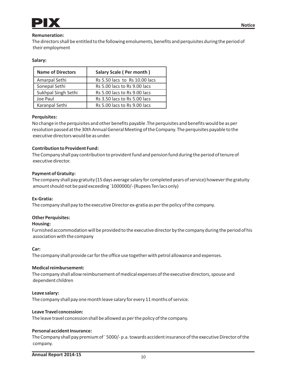

## **Remuneration:**

The directors shall be entitled to the following emoluments, benefits and perquisites during the period of their employment

#### **Salary:**

| <b>Name of Directors</b> | Salary Scale (Per month)      |  |
|--------------------------|-------------------------------|--|
| Amarpal Sethi            | Rs 5.50 lacs to Rs 10.00 lacs |  |
| Sonepal Sethi            | Rs 5.00 lacs to Rs 9.00 lacs  |  |
| Sukhpal Singh Sethi      | Rs 5.00 lacs to Rs 9.00 lacs  |  |
| Joe Paul                 | Rs 3.50 lacs to Rs 5.00 lacs  |  |
| Karanpal Sethi           | Rs 5.00 lacs to Rs 9.00 lacs  |  |

#### **Perquisites:**

No change in the perquisites and other benefits payable .The perquisites and benefits would be as per resolution passed at the 30th Annual General Meeting of the Company. The perquisites payable to the executive directors would be as under.

## **Contribution to Provident Fund:**

The Company shall pay contribution to provident fund and pension fund during the period of tenure of executive director.

#### **Payment of Gratuity:**

The company shall pay gratuity (15 days average salary for completed years of service) however the gratuity amount should not be paid exceeding `1000000/- (Rupees Ten lacs only)

#### **Ex-Gratia:**

The company shall pay to the executive Director ex-gratia as per the policy of the company.

## **Other Perquisites:**

#### **Housing:**

Furnished accommodation will be provided to the executive director by the company during the period of his association with the company

#### **Car:**

The company shall provide car for the office use together with petrol allowance and expenses.

## **Medical reimbursement:**

The company shall allow reimbursement of medical expenses of the executive directors, spouse and dependent children

#### **Leave salary:**

The company shall pay one month leave salary for every 11 months of service.

#### **Leave Travel concession:**

The leave travel concession shall be allowed as per the policy of the company.

#### **Personal accident Insurance:**

The Company shall pay premium of ` 5000/- p.a. towards accident insurance of the executive Director of the company.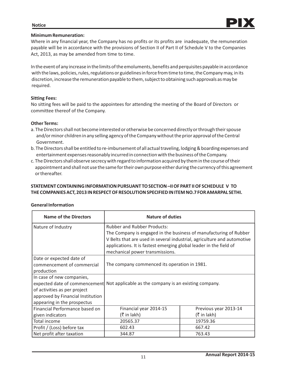#### **Notice**

# **Minimum Remuneration:**

Where in any financial year, the Company has no profits or its profits are inadequate, the remuneration payable will be in accordance with the provisions of Section II of Part II of Schedule V to the Companies Act, 2013, as may be amended from time to time.

In the event of any increase in the limits of the emoluments, benefits and perquisites payable in accordance with the laws, policies, rules, regulations or guidelines in force from time to time, the Company may, in its discretion, increase the remuneration payable to them, subject to obtaining such approvals as may be required.

# **Sitting Fees:**

No sitting fees will be paid to the appointees for attending the meeting of the Board of Directors or committee thereof of the Company.

# **Other Terms:**

- a. The Directors shall not become interested or otherwise be concerned directly or through their spouse and/or minor children in any selling agency of the Company without the prior approval of the Central Government.
- b. The Directors shall be entitled to re-imbursement of all actual traveling, lodging & boarding expenses and entertainment expenses reasonably incurred in connection with the business of the Company.
- c. The Directors shall observe secrecy with regard to information acquired by them in the course of their appointment and shall not use the same for their own purpose either during the currency of this agreement or thereafter.

# **STATEMENT CONTAINING INFORMATION PURSUANT TO SECTION –II OF PART II OF SCHEDULE V TO THE COMPANIES ACT, 2013 IN RESPECT OF RESOLUTION SPECIFIED IN ITEM NO.7 FOR AMARPAL SETHI.**

| <b>Name of the Directors</b>      | <b>Nature of duties</b>                                                 |                                              |  |  |
|-----------------------------------|-------------------------------------------------------------------------|----------------------------------------------|--|--|
| Nature of Industry                | <b>Rubber and Rubber Products:</b>                                      |                                              |  |  |
|                                   | The Company is engaged in the business of manufacturing of Rubber       |                                              |  |  |
|                                   | V Belts that are used in several industrial, agriculture and automotive |                                              |  |  |
|                                   | applications. It is fastest emerging global leader in the field of      |                                              |  |  |
|                                   | mechanical power transmissions.                                         |                                              |  |  |
| Date or expected date of          |                                                                         |                                              |  |  |
| commencement of commercial        |                                                                         | The company commenced its operation in 1981. |  |  |
| production                        |                                                                         |                                              |  |  |
| In case of new companies,         |                                                                         |                                              |  |  |
| expected date of commencement     | Not applicable as the company is an existing company.                   |                                              |  |  |
| of activities as per project      |                                                                         |                                              |  |  |
| approved by Financial Institution |                                                                         |                                              |  |  |
| appearing in the prospectus       |                                                                         |                                              |  |  |
| Financial Performance based on    | Financial year 2014-15                                                  | Previous year 2013-14                        |  |  |
| given indicators                  | $($ ₹ in lakh)                                                          | (₹ in lakh)                                  |  |  |
| Total income                      | 20565.37                                                                | 19759.36                                     |  |  |
| Profit / (Loss) before tax        | 602.43                                                                  | 667.42                                       |  |  |
| Net profit after taxation         | 344.87                                                                  | 763.43                                       |  |  |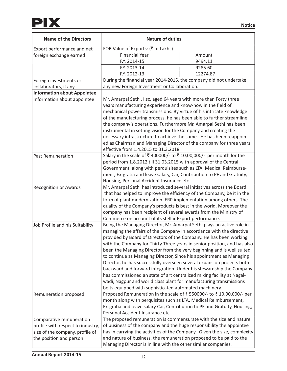| <b>Name of the Directors</b>       | <b>Nature of duties</b>                                                   |          |  |
|------------------------------------|---------------------------------------------------------------------------|----------|--|
| Export performance and net         | FOB Value of Exports: (₹ In Lakhs)                                        |          |  |
| foreign exchange earned            | <b>Financial Year</b>                                                     | Amount   |  |
|                                    | F.Y. 2014-15                                                              | 9494.11  |  |
|                                    | F.Y. 2013-14                                                              | 9285.60  |  |
|                                    | F.Y. 2012-13                                                              | 12274.87 |  |
| Foreign investments or             | During the financial year 2014-2015, the company did not undertake        |          |  |
| collaborators, if any.             | any new Foreign Investment or Collaboration.                              |          |  |
| <b>Information about Appointee</b> |                                                                           |          |  |
| Information about appointee        | Mr. Amarpal Sethi, I.sc, aged 64 years with more than Forty three         |          |  |
|                                    | years manufacturing experience and know-how in the field of               |          |  |
|                                    | mechanical power transmissions. By virtue of his intricate knowledge      |          |  |
|                                    | of the manufacturing process, he has been able to further streamline      |          |  |
|                                    | the company's operations. Furthermore Mr. Amarpal Sethi has been          |          |  |
|                                    | instrumental in setting vision for the Company and creating the           |          |  |
|                                    | necessary infrastructure to achieve the same. He has been reappoint-      |          |  |
|                                    | ed as Chairman and Managing Director of the company for three years       |          |  |
|                                    | effective from 1.4.2015 to 31.3.2018.                                     |          |  |
| <b>Past Remuneration</b>           | Salary in the scale of ₹ 400000/- to ₹ 10,00,000/- per month for the      |          |  |
|                                    | period from 1.8.2012 till 31.03.2015 with approval of the Central         |          |  |
|                                    | Government along with perquisites such as LTA, Medical Reimburse-         |          |  |
|                                    | ment, Ex-gratia and leave salary, Car, Contribution to PF and Gratuity,   |          |  |
|                                    | Housing, Personal Accident Insurance etc.                                 |          |  |
| <b>Recognition or Awards</b>       | Mr. Amarpal Sethi has introduced several initiatives across the Board     |          |  |
|                                    | that has helped to improve the efficiency of the Company, be it in the    |          |  |
|                                    | form of plant modernization. ERP implementation among others. The         |          |  |
|                                    | quality of the Company's products is best in the world. Moreover the      |          |  |
|                                    | company has been recipient of several awards from the Ministry of         |          |  |
|                                    | Commerce on account of its stellar Export performance.                    |          |  |
| Job Profile and his Suitability    | Being the Managing Director, Mr. Amarpal Sethi plays an active role in    |          |  |
|                                    | managing the affairs of the Company in accordance with the directive      |          |  |
|                                    | provided by Board of Directors of the Company. He has been working        |          |  |
|                                    | with the Company for Thirty Three years in senior position, and has also  |          |  |
|                                    | been the Managing Director from the very beginning and is well suited     |          |  |
|                                    | to continue as Managing Director, Since his appointment as Managing       |          |  |
|                                    | Director, he has successfully overseen several expansion projects both    |          |  |
|                                    | backward and forward integration. Under his stewardship the Company       |          |  |
|                                    | has commissioned an state of art centralized mixing facility at Nagal-    |          |  |
|                                    | wadi, Nagpur and world class plant for manufacturing transmissions        |          |  |
|                                    | belts equipped with sophisticated automated machinery.                    |          |  |
| Remuneration proposed              | Proposed Remuneration in the scale of ₹550000/- to ₹10,00,000/- per       |          |  |
|                                    | month along with perquisites such as LTA, Medical Reimbursement,          |          |  |
|                                    | Ex-gratia and leave salary Car, Contribution to PF and Gratuity, Housing, |          |  |
|                                    | Personal Accident Insurance etc.                                          |          |  |
| Comparative remuneration           | The proposed remuneration is commensurate with the size and nature        |          |  |
| profile with respect to industry,  | of business of the company and the huge responsibility the appointee      |          |  |
| size of the company, profile of    | has in carrying the activities of the Company. Given the size, complexity |          |  |
| the position and person            | and nature of business, the remuneration proposed to be paid to the       |          |  |
|                                    | Managing Director is in line with the other similar companies.            |          |  |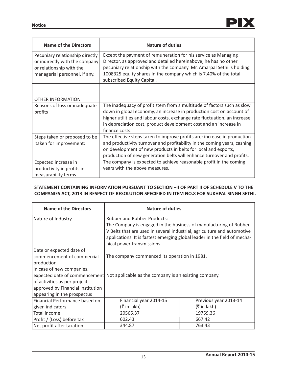| <b>Name of the Directors</b>                                                                                                   | <b>Nature of duties</b>                                                                                                                                                                                                                                                                                            |
|--------------------------------------------------------------------------------------------------------------------------------|--------------------------------------------------------------------------------------------------------------------------------------------------------------------------------------------------------------------------------------------------------------------------------------------------------------------|
| Pecuniary relationship directly<br>or indirectly with the company<br>or relationship with the<br>managerial personnel, if any. | Except the payment of remuneration for his service as Managing<br>Director, as approved and detailed hereinabove, he has no other<br>pecuniary relationship with the company. Mr. Amarpal Sethi is holding<br>1008325 equity shares in the company which is 7.40% of the total<br>subscribed Equity Capital.       |
|                                                                                                                                |                                                                                                                                                                                                                                                                                                                    |
| <b>OTHER INFORMATION</b>                                                                                                       |                                                                                                                                                                                                                                                                                                                    |
| Reasons of loss or inadequate<br>profits                                                                                       | The inadequacy of profit stem from a multitude of factors such as slow<br>down in global economy, an increase in production cost on account of<br>higher utilities and labour costs, exchange rate fluctuation, an increase<br>in depreciation cost, product development cost and an increase in<br>finance costs. |
| Steps taken or proposed to be<br>taken for improvement:                                                                        | The effective steps taken to improve profits are: increase in production<br>and productivity turnover and profitability in the coming years, cashing<br>on development of new products in belts for local and exports,<br>production of new generation belts will enhance turnover and profits.                    |
| Expected increase in<br>productivity in profits in<br>measurability terms                                                      | The company is expected to achieve reasonable profit in the coming<br>years with the above measures.                                                                                                                                                                                                               |

# **STATEMENT CONTAINING INFORMATION PURSUANT TO SECTION –II OF PART II OF SCHEDULE V TO THE COMPANIES ACT, 2013 IN RESPECT OF RESOLUTION SPECIFIED IN ITEM NO.8 FOR SUKHPAL SINGH SETHI.**

| <b>Name of the Directors</b>                                                                                                  | <b>Nature of duties</b>                                                                                                                                                                                                                                                                       |                                       |  |
|-------------------------------------------------------------------------------------------------------------------------------|-----------------------------------------------------------------------------------------------------------------------------------------------------------------------------------------------------------------------------------------------------------------------------------------------|---------------------------------------|--|
| Nature of Industry                                                                                                            | <b>Rubber and Rubber Products:</b><br>The Company is engaged in the business of manufacturing of Rubber<br>V Belts that are used in several industrial, agriculture and automotive<br>applications. It is fastest emerging global leader in the field of mecha-<br>nical power transmissions. |                                       |  |
| Date or expected date of<br>commencement of commercial<br>production                                                          | The company commenced its operation in 1981.                                                                                                                                                                                                                                                  |                                       |  |
| In case of new companies,<br>of activities as per project<br>approved by Financial Institution<br>appearing in the prospectus | expected date of commencement Not applicable as the company is an existing company.                                                                                                                                                                                                           |                                       |  |
| Financial Performance based on                                                                                                | Financial year 2014-15                                                                                                                                                                                                                                                                        | Previous year 2013-14                 |  |
| given indicators                                                                                                              | $(3\overline{5})$ in lakh)                                                                                                                                                                                                                                                                    | $(5 \in \mathsf{In} \, \mathsf{l}_k)$ |  |
| Total income                                                                                                                  | 20565.37                                                                                                                                                                                                                                                                                      | 19759.36                              |  |
| Profit / (Loss) before tax                                                                                                    | 602.43                                                                                                                                                                                                                                                                                        | 667.42                                |  |
| Net profit after taxation                                                                                                     | 344.87                                                                                                                                                                                                                                                                                        | 763.43                                |  |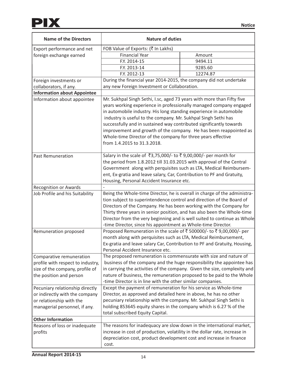| <b>Name of the Directors</b>       | <b>Nature of duties</b>                                                                                                                             |          |  |
|------------------------------------|-----------------------------------------------------------------------------------------------------------------------------------------------------|----------|--|
| Export performance and net         | FOB Value of Exports: (₹ In Lakhs)                                                                                                                  |          |  |
| foreign exchange earned            | <b>Financial Year</b>                                                                                                                               | Amount   |  |
|                                    | F.Y. 2014-15                                                                                                                                        | 9494.11  |  |
|                                    | F.Y. 2013-14                                                                                                                                        | 9285.60  |  |
|                                    | F.Y. 2012-13                                                                                                                                        | 12274.87 |  |
| Foreign investments or             | During the financial year 2014-2015, the company did not undertake                                                                                  |          |  |
| collaborators, if any.             | any new Foreign Investment or Collaboration.                                                                                                        |          |  |
| <b>Information about Appointee</b> |                                                                                                                                                     |          |  |
| Information about appointee        | Mr. Sukhpal Singh Sethi, I.sc, aged 73 years with more than Fifty five                                                                              |          |  |
|                                    | years working experience in professionally managed company engaged                                                                                  |          |  |
|                                    | in automobile industry. His long standing experience in automobile                                                                                  |          |  |
|                                    | industry is useful to the company. Mr. Sukhpal Singh Sethi has                                                                                      |          |  |
|                                    | successfully and in sustained way contributed significantly towards                                                                                 |          |  |
|                                    | improvement and growth of the company. He has been reappointed as                                                                                   |          |  |
|                                    | Whole-time Director of the company for three years effective                                                                                        |          |  |
|                                    | from 1.4.2015 to 31.3.2018.                                                                                                                         |          |  |
|                                    |                                                                                                                                                     |          |  |
| <b>Past Remuneration</b>           | Salary in the scale of ₹3,75,000/- to ₹9,00,000/- per month for                                                                                     |          |  |
|                                    | the period from 1.8.2012 till 31.03.2015 with approval of the Central                                                                               |          |  |
|                                    | Government along with perquisites such as LTA, Medical Reimbursem-                                                                                  |          |  |
|                                    | ent, Ex-gratia and leave salary, Car, Contribution to PF and Gratuity,                                                                              |          |  |
|                                    | Housing, Personal Accident Insurance etc.                                                                                                           |          |  |
| <b>Recognition or Awards</b>       |                                                                                                                                                     |          |  |
| Job Profile and his Suitability    | Being the Whole-time Director, he is overall in charge of the administra-<br>tion subject to superintendence control and direction of the Board of  |          |  |
|                                    | Directors of the Company. He has been working with the Company for                                                                                  |          |  |
|                                    |                                                                                                                                                     |          |  |
|                                    | Thirty three years in senior position, and has also been the Whole-time<br>Director from the very beginning and is well suited to continue as Whole |          |  |
|                                    | -time Director, since his appointment as Whole-time Director.                                                                                       |          |  |
| Remuneration proposed              | Proposed Remuneration in the scale of ₹ 500000/- to ₹ 9,00,000/- per                                                                                |          |  |
|                                    | month along with perquisites such as LTA, Medical Reimbursement,                                                                                    |          |  |
|                                    | Ex-gratia and leave salary Car, Contribution to PF and Gratuity, Housing,                                                                           |          |  |
|                                    | Personal Accident Insurance etc.                                                                                                                    |          |  |
| Comparative remuneration           | The proposed remuneration is commensurate with size and nature of                                                                                   |          |  |
| profile with respect to industry,  | business of the company and the huge responsibility the appointee has                                                                               |          |  |
| size of the company, profile of    | in carrying the activities of the company. Given the size, complexity and                                                                           |          |  |
| the position and person            | nature of business, the remuneration proposed to be paid to the Whole                                                                               |          |  |
|                                    | -time Director is in line with the other similar companies.                                                                                         |          |  |
| Pecuniary relationship directly    | Except the payment of remuneration for his service as Whole-time                                                                                    |          |  |
| or indirectly with the company     | Director, as approved and detailed here in above, he has no other                                                                                   |          |  |
| or relationship with the           | pecuniary relationship with the company. Mr. Sukhpal Singh Sethi is                                                                                 |          |  |
| managerial personnel, if any.      | holding 853645 equity shares in the company which is 6.27 % of the                                                                                  |          |  |
|                                    | total subscribed Equity Capital.                                                                                                                    |          |  |
| <b>Other Information</b>           |                                                                                                                                                     |          |  |
| Reasons of loss or inadequate      | The reasons for inadequacy are slow down in the international market,                                                                               |          |  |
| profits                            | increase in cost of production, volatility in the dollar rate, increase in                                                                          |          |  |
|                                    | depreciation cost, product development cost and increase in finance                                                                                 |          |  |
|                                    | cost.                                                                                                                                               |          |  |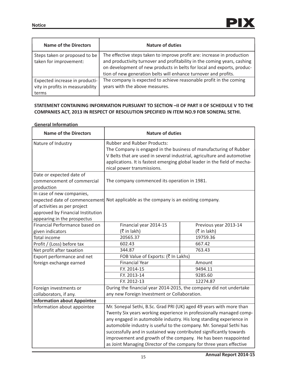| <b>Name of the Directors</b>                                                | <b>Nature of duties</b>                                                                                                                                                                                                                                                                          |
|-----------------------------------------------------------------------------|--------------------------------------------------------------------------------------------------------------------------------------------------------------------------------------------------------------------------------------------------------------------------------------------------|
| Steps taken or proposed to be<br>taken for improvement:                     | The effective steps taken to improve profit are: increase in production<br>and productivity turnover and profitability in the coming years, cashing<br>on development of new products in belts for local and exports, produc-<br>tion of new generation belts will enhance turnover and profits. |
| Expected increase in producti-<br>vity in profits in measurability<br>terms | The company is expected to achieve reasonable profit in the coming<br>years with the above measures.                                                                                                                                                                                             |

# **STATEMENT CONTAINING INFORMATION PURSUANT TO SECTION –II OF PART II OF SCHEDULE V TO THE COMPANIES ACT, 2013 IN RESPECT OF RESOLUTION SPECIFIED IN ITEM NO.9 FOR SONEPAL SETHI.**

# **General Information**

| <b>Name of the Directors</b>                                                                                                                                   | <b>Nature of duties</b>                                                                                                                                                                                                                                                                       |  |  |
|----------------------------------------------------------------------------------------------------------------------------------------------------------------|-----------------------------------------------------------------------------------------------------------------------------------------------------------------------------------------------------------------------------------------------------------------------------------------------|--|--|
| Nature of Industry                                                                                                                                             | <b>Rubber and Rubber Products:</b><br>The Company is engaged in the business of manufacturing of Rubber<br>V Belts that are used in several industrial, agriculture and automotive<br>applications. It is fastest emerging global leader in the field of mecha-<br>nical power transmissions. |  |  |
| Date or expected date of<br>commencement of commercial<br>production                                                                                           | The company commenced its operation in 1981.                                                                                                                                                                                                                                                  |  |  |
| In case of new companies,<br>expected date of commencement<br>of activities as per project<br>approved by Financial Institution<br>appearing in the prospectus | Not applicable as the company is an existing company.                                                                                                                                                                                                                                         |  |  |
| Financial Performance based on                                                                                                                                 | Financial year 2014-15<br>Previous year 2013-14                                                                                                                                                                                                                                               |  |  |
| given indicators                                                                                                                                               | (₹ in lakh)<br>(₹ in lakh)                                                                                                                                                                                                                                                                    |  |  |
| <b>Total income</b>                                                                                                                                            | 20565.37<br>19759.36                                                                                                                                                                                                                                                                          |  |  |
| Profit / (Loss) before tax                                                                                                                                     | 602.43<br>667.42                                                                                                                                                                                                                                                                              |  |  |
| Net profit after taxation                                                                                                                                      | 763.43<br>344.87                                                                                                                                                                                                                                                                              |  |  |
| Export performance and net                                                                                                                                     | FOB Value of Exports: (₹ In Lakhs)                                                                                                                                                                                                                                                            |  |  |
| foreign exchange earned                                                                                                                                        | <b>Financial Year</b><br>Amount                                                                                                                                                                                                                                                               |  |  |
|                                                                                                                                                                | F.Y. 2014-15<br>9494.11                                                                                                                                                                                                                                                                       |  |  |
|                                                                                                                                                                | 9285.60<br>F.Y. 2013-14                                                                                                                                                                                                                                                                       |  |  |
|                                                                                                                                                                | F.Y. 2012-13<br>12274.87                                                                                                                                                                                                                                                                      |  |  |
| Foreign investments or                                                                                                                                         | During the financial year 2014-2015, the company did not undertake                                                                                                                                                                                                                            |  |  |
| collaborators, if any.                                                                                                                                         | any new Foreign Investment or Collaboration.                                                                                                                                                                                                                                                  |  |  |
| <b>Information about Appointee</b>                                                                                                                             |                                                                                                                                                                                                                                                                                               |  |  |
| Information about appointee                                                                                                                                    | Mr. Sonepal Sethi, B.Sc. Grad PRI (UK) aged 49 years with more than                                                                                                                                                                                                                           |  |  |
|                                                                                                                                                                | Twenty Six years working experience in professionally managed comp-                                                                                                                                                                                                                           |  |  |
|                                                                                                                                                                | any engaged in automobile industry. His long standing experience in                                                                                                                                                                                                                           |  |  |
|                                                                                                                                                                | automobile industry is useful to the company. Mr. Sonepal Sethi has                                                                                                                                                                                                                           |  |  |
|                                                                                                                                                                | successfully and in sustained way contributed significantly towards                                                                                                                                                                                                                           |  |  |
|                                                                                                                                                                | improvement and growth of the company. He has been reappointed                                                                                                                                                                                                                                |  |  |
|                                                                                                                                                                | as Joint Managing Director of the company for three years effective                                                                                                                                                                                                                           |  |  |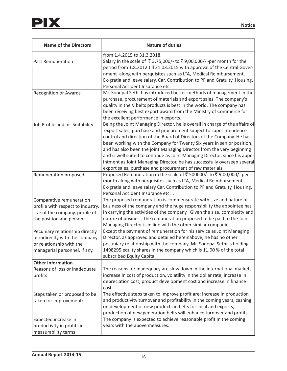| <b>Name of the Directors</b>                                                                                                   | <b>Nature of duties</b>                                                                                                                                                                                                                                                                                                                                                                                                                                                                                                                                                                              |
|--------------------------------------------------------------------------------------------------------------------------------|------------------------------------------------------------------------------------------------------------------------------------------------------------------------------------------------------------------------------------------------------------------------------------------------------------------------------------------------------------------------------------------------------------------------------------------------------------------------------------------------------------------------------------------------------------------------------------------------------|
|                                                                                                                                | from 1.4.2015 to 31.3.2018.                                                                                                                                                                                                                                                                                                                                                                                                                                                                                                                                                                          |
| <b>Past Remuneration</b>                                                                                                       | Salary in the scale of ₹ 3,75,000/- to ₹ 9,00,000/- -per month for the<br>period from 1.8.2012 till 31.03.2015 with approval of the Central Gover-<br>nment along with perquisites such as LTA, Medical Reimbursement,<br>Ex-gratia and leave salary, Car, Contribution to PF and Gratuity, Housing,<br>Personal Accident Insurance etc.                                                                                                                                                                                                                                                             |
| <b>Recognition or Awards</b>                                                                                                   | Mr. Sonepal Sethi has introduced better methods of management in the<br>purchase, procurement of materials and export sales. The company's<br>quality in the V belts products is best in the world. The company has<br>been receiving best export award from the Ministry of Commerce for<br>the excellent performance in exports.                                                                                                                                                                                                                                                                   |
| Job Profile and his Suitability                                                                                                | Being the Joint Managing Director, he is overall in charge of the affairs of<br>export sales, purchase and procurement subject to superintendence<br>control and direction of the Board of Directors of the Company. He has<br>been working with the Company for Twenty Six years in senior position,<br>and has also been the joint Managing Director from the very beginning<br>and is well suited to continue as Joint Managing Director, since his appo-<br>intment as Joint Managing Director, he has successfully overseen several<br>export sales, purchase and procurement of raw materials. |
| Remuneration proposed                                                                                                          | Proposed Remuneration in the scale of ₹ 500000/- to ₹ 9,00,000/- per<br>month along with perquisites such as LTA, Medical Reimbursement,<br>Ex-gratia and leave salary Car, Contribution to PF and Gratuity, Housing,<br>Personal Accident Insurance etc. .                                                                                                                                                                                                                                                                                                                                          |
| Comparative remuneration<br>profile with respect to industry,<br>size of the company, profile of<br>the position and person    | The proposed remuneration is commensurate with size and nature of<br>business of the company and the huge responsibility the appointee has<br>in carrying the activities of the company. Given the size, complexity and<br>nature of business, the remuneration proposed to be paid to the Joint<br>Managing Director is in line with the other similar companies.                                                                                                                                                                                                                                   |
| Pecuniary relationship directly<br>or indirectly with the company<br>or relationship with the<br>managerial personnel, if any. | Except the payment of remuneration for his service as Joint Managing<br>Director, as approved and detailed hereinabove, he has no other<br>pecuniary relationship with the company. Mr. Sonepal Sethi is holding<br>1498295 equity shares in the company which is 11.00 % of the total<br>subscribed Equity Capital.                                                                                                                                                                                                                                                                                 |
| <b>Other Information</b>                                                                                                       |                                                                                                                                                                                                                                                                                                                                                                                                                                                                                                                                                                                                      |
| Reasons of loss or inadequate<br>profits                                                                                       | The reasons for inadequacy are slow down in the international market,<br>increase in cost of production, volatility in the dollar rate, increase in<br>depreciation cost, product development cost and increase in finance<br>cost.                                                                                                                                                                                                                                                                                                                                                                  |
| Steps taken or proposed to be<br>taken for improvement:                                                                        | The effective steps taken to improve profit are: increase in production<br>and productivity turnover and profitability in the coming years, cashing<br>on development of new products in belts for local and exports,<br>production of new generation belts will enhance turnover and profits.                                                                                                                                                                                                                                                                                                       |
| Expected increase in<br>productivity in profits in<br>measurability terms                                                      | The company is expected to achieve reasonable profit in the coming<br>years with the above measures.                                                                                                                                                                                                                                                                                                                                                                                                                                                                                                 |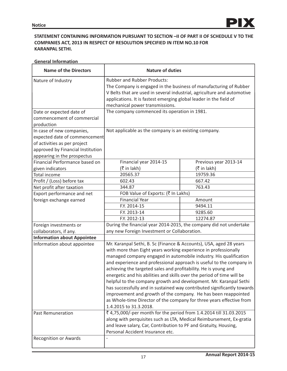# **STATEMENT CONTAINING INFORMATION PURSUANT TO SECTION –II OF PART II OF SCHEDULE V TO THE COMPANIES ACT, 2013 IN RESPECT OF RESOLUTION SPECIFIED IN ITEM NO.10 FOR KARANPAL SETHI.**

| <b>General Information</b> |
|----------------------------|
|----------------------------|

| <b>Name of the Directors</b>                                                                                                                                   | <b>Nature of duties</b>                                                                                                                                                                                                                                                                                                                                                                                                                                                                                                                                                                                                                                                                                                                                                                                                   |                       |  |
|----------------------------------------------------------------------------------------------------------------------------------------------------------------|---------------------------------------------------------------------------------------------------------------------------------------------------------------------------------------------------------------------------------------------------------------------------------------------------------------------------------------------------------------------------------------------------------------------------------------------------------------------------------------------------------------------------------------------------------------------------------------------------------------------------------------------------------------------------------------------------------------------------------------------------------------------------------------------------------------------------|-----------------------|--|
| Nature of Industry                                                                                                                                             | <b>Rubber and Rubber Products:</b><br>The Company is engaged in the business of manufacturing of Rubber<br>V Belts that are used in several industrial, agriculture and automotive<br>applications. It is fastest emerging global leader in the field of<br>mechanical power transmissions.                                                                                                                                                                                                                                                                                                                                                                                                                                                                                                                               |                       |  |
| Date or expected date of<br>commencement of commercial<br>production                                                                                           | The company commenced its operation in 1981.                                                                                                                                                                                                                                                                                                                                                                                                                                                                                                                                                                                                                                                                                                                                                                              |                       |  |
| In case of new companies,<br>expected date of commencement<br>of activities as per project<br>approved by Financial Institution<br>appearing in the prospectus | Not applicable as the company is an existing company.                                                                                                                                                                                                                                                                                                                                                                                                                                                                                                                                                                                                                                                                                                                                                                     |                       |  |
| Financial Performance based on                                                                                                                                 | Financial year 2014-15                                                                                                                                                                                                                                                                                                                                                                                                                                                                                                                                                                                                                                                                                                                                                                                                    | Previous year 2013-14 |  |
| given indicators                                                                                                                                               | (₹ in lakh)                                                                                                                                                                                                                                                                                                                                                                                                                                                                                                                                                                                                                                                                                                                                                                                                               | $($ ₹ in lakh)        |  |
| Total income                                                                                                                                                   | 20565.37<br>19759.36                                                                                                                                                                                                                                                                                                                                                                                                                                                                                                                                                                                                                                                                                                                                                                                                      |                       |  |
| Profit / (Loss) before tax                                                                                                                                     | 602.43<br>667.42                                                                                                                                                                                                                                                                                                                                                                                                                                                                                                                                                                                                                                                                                                                                                                                                          |                       |  |
| Net profit after taxation                                                                                                                                      | 763.43<br>344.87                                                                                                                                                                                                                                                                                                                                                                                                                                                                                                                                                                                                                                                                                                                                                                                                          |                       |  |
| Export performance and net                                                                                                                                     | FOB Value of Exports: (₹ In Lakhs)                                                                                                                                                                                                                                                                                                                                                                                                                                                                                                                                                                                                                                                                                                                                                                                        |                       |  |
| foreign exchange earned                                                                                                                                        | <b>Financial Year</b><br>Amount                                                                                                                                                                                                                                                                                                                                                                                                                                                                                                                                                                                                                                                                                                                                                                                           |                       |  |
|                                                                                                                                                                | F.Y. 2014-15                                                                                                                                                                                                                                                                                                                                                                                                                                                                                                                                                                                                                                                                                                                                                                                                              | 9494.11               |  |
|                                                                                                                                                                | F.Y. 2013-14<br>9285.60                                                                                                                                                                                                                                                                                                                                                                                                                                                                                                                                                                                                                                                                                                                                                                                                   |                       |  |
|                                                                                                                                                                | F.Y. 2012-13<br>12274.87                                                                                                                                                                                                                                                                                                                                                                                                                                                                                                                                                                                                                                                                                                                                                                                                  |                       |  |
| Foreign investments or                                                                                                                                         | During the financial year 2014-2015, the company did not undertake                                                                                                                                                                                                                                                                                                                                                                                                                                                                                                                                                                                                                                                                                                                                                        |                       |  |
| collaborators, if any.                                                                                                                                         | any new Foreign Investment or Collaboration.                                                                                                                                                                                                                                                                                                                                                                                                                                                                                                                                                                                                                                                                                                                                                                              |                       |  |
| <b>Information about Appointee</b>                                                                                                                             |                                                                                                                                                                                                                                                                                                                                                                                                                                                                                                                                                                                                                                                                                                                                                                                                                           |                       |  |
| Information about appointee<br><b>Past Remuneration</b>                                                                                                        | Mr. Karanpal Sethi, B. Sc (Finance & Accounts), USA, aged 28 years<br>with more than Eight years working experience in professionally<br>managed company engaged in automobile industry. His qualification<br>and experience and professional approach is useful to the company in<br>achieving the targeted sales and profitability. He is young and<br>energetic and his abilities and skills over the period of time will be<br>helpful to the company growth and development. Mr. Karanpal Sethi<br>has successfully and in sustained way contributed significantly towards<br>improvement and growth of the company. He has been reappointed<br>as Whole-time Director of the company for three years effective from<br>1.4.2015 to 31.3.2018.<br>₹ 4,75,000/-per month for the period from 1.4.2014 till 31.03.2015 |                       |  |
|                                                                                                                                                                | along with perquisites such as LTA, Medical Reimbursement, Ex-gratia<br>and leave salary, Car, Contribution to PF and Gratuity, Housing,<br>Personal Accident Insurance etc.                                                                                                                                                                                                                                                                                                                                                                                                                                                                                                                                                                                                                                              |                       |  |
| <b>Recognition or Awards</b>                                                                                                                                   |                                                                                                                                                                                                                                                                                                                                                                                                                                                                                                                                                                                                                                                                                                                                                                                                                           |                       |  |
|                                                                                                                                                                |                                                                                                                                                                                                                                                                                                                                                                                                                                                                                                                                                                                                                                                                                                                                                                                                                           |                       |  |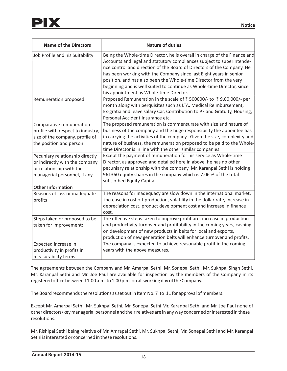| <b>Name of the Directors</b>      | <b>Nature of duties</b>                                                                                                                                                                                                                                                                                                                                                                                                                                                                      |
|-----------------------------------|----------------------------------------------------------------------------------------------------------------------------------------------------------------------------------------------------------------------------------------------------------------------------------------------------------------------------------------------------------------------------------------------------------------------------------------------------------------------------------------------|
| Job Profile and his Suitability   | Being the Whole-time Director, he is overall in charge of the Finance and<br>Accounts and legal and statutory compliances subject to superintende-<br>nce control and direction of the Board of Directors of the Company. He<br>has been working with the Company since last Eight years in senior<br>position, and has also been the Whole-time Director from the very<br>beginning and is well suited to continue as Whole-time Director, since<br>his appointment as Whole-time Director. |
| Remuneration proposed             | Proposed Remuneration in the scale of ₹ 500000/- to ₹ 9,00,000/- per<br>month along with perquisites such as LTA, Medical Reimbursement,<br>Ex-gratia and leave salary Car, Contribution to PF and Gratuity, Housing,<br>Personal Accident Insurance etc.                                                                                                                                                                                                                                    |
| Comparative remuneration          | The proposed remuneration is commensurate with size and nature of                                                                                                                                                                                                                                                                                                                                                                                                                            |
| profile with respect to industry, | business of the company and the huge responsibility the appointee has                                                                                                                                                                                                                                                                                                                                                                                                                        |
| size of the company, profile of   | in carrying the activities of the company. Given the size, complexity and                                                                                                                                                                                                                                                                                                                                                                                                                    |
| the position and person           | nature of business, the remuneration proposed to be paid to the Whole-<br>time Director is in line with the other similar companies.                                                                                                                                                                                                                                                                                                                                                         |
| Pecuniary relationship directly   | Except the payment of remuneration for his service as Whole-time                                                                                                                                                                                                                                                                                                                                                                                                                             |
| or indirectly with the company    | Director, as approved and detailed here in above, he has no other                                                                                                                                                                                                                                                                                                                                                                                                                            |
| or relationship with the          | pecuniary relationship with the company. Mr. Karanpal Sethi is holding                                                                                                                                                                                                                                                                                                                                                                                                                       |
| managerial personnel, if any.     | 961360 equity shares in the company which is 7.06 % of the total<br>subscribed Equity Capital.                                                                                                                                                                                                                                                                                                                                                                                               |
| <b>Other Information</b>          |                                                                                                                                                                                                                                                                                                                                                                                                                                                                                              |
| Reasons of loss or inadequate     | The reasons for inadequacy are slow down in the international market,                                                                                                                                                                                                                                                                                                                                                                                                                        |
| profits                           | increase in cost off production, volatility in the dollar rate, increase in<br>depreciation cost, product development cost and increase in finance<br>cost.                                                                                                                                                                                                                                                                                                                                  |
| Steps taken or proposed to be     | The effective steps taken to improve profit are: increase in production                                                                                                                                                                                                                                                                                                                                                                                                                      |
| taken for improvement:            | and productivity turnover and profitability in the coming years, cashing<br>on development of new products in belts for local and exports,<br>production of new generation belts will enhance turnover and profits.                                                                                                                                                                                                                                                                          |
| Expected increase in              | The company is expected to achieve reasonable profit in the coming                                                                                                                                                                                                                                                                                                                                                                                                                           |
| productivity in profits in        | years with the above measures.                                                                                                                                                                                                                                                                                                                                                                                                                                                               |
| measurability terms               |                                                                                                                                                                                                                                                                                                                                                                                                                                                                                              |

The agreements between the Company and Mr. Amarpal Sethi, Mr. Sonepal Sethi, Mr. Sukhpal Singh Sethi, Mr. Karanpal Sethi and Mr. Joe Paul are available for inspection by the members of the Company in its registered office between 11.00 a.m. to 1.00 p.m. on all working day of the Company.

The Board recommends the resolutions as set out in Item No. 7 to 11 for approval of members.

Except Mr. Amarpal Sethi, Mr. Sukhpal Sethi, Mr. Sonepal Sethi Mr. Karanpal Sethi and Mr. Joe Paul none of other directors/key managerial personnel and their relatives are in any way concerned or interested in these resolutions.

Mr. Rishipal Sethi being relative of Mr. Amrapal Sethi, Mr. Sukhpal Sethi, Mr. Sonepal Sethi and Mr. Karanpal Sethi is interested or concerned in these resolutions.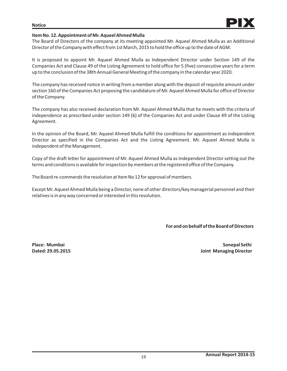# **Item No. 12. Appointment of Mr. Aqueel Ahmed Mulla**

The Board of Directors of the company at its meeting appointed Mr. Aqueel Ahmed Mulla as an Additional Director of the Company with effect from 1st March, 2015 to hold the office up to the date of AGM.

It is proposed to appoint Mr. Aqueel Ahmed Mulla as Independent Director under Section 149 of the Companies Act and Clause 49 of the Listing Agreement to hold office for 5 (five) consecutive years for a term up to the conclusion of the 38th Annual General Meeting of the company in the calendar year 2020.

The company has received notice in writing from a member along with the deposit of requisite amount under section 160 of the Companies Act proposing the candidature of Mr. Aqueel Ahmed Mulla for office of Director of the Company.

The company has also received declaration from Mr. Aqueel Ahmed Mulla that he meets with the criteria of independence as prescribed under section 149 (6) of the Companies Act and under Clause 49 of the Listing Agreement.

In the opinion of the Board, Mr. Aqueel Ahmed Mulla fulfill the conditions for appointment as independent Director as specified in the Companies Act and the Listing Agreement. Mr. Aqueel Ahmed Mulla is independent of the Management.

Copy of the draft letter for appointment of Mr. Aqueel Ahmed Mulla as Independent Director setting out the terms and conditions is available for inspection by members at the registered office of the Company.

The Board re-commends the resolution at Item No 12 for approval of members.

Except Mr. Aqueel Ahmed Mulla being a Director, none of other directors/key managerial personnel and their relatives is in any way concerned or interested in this resolution.

## **For and on behalf of the Board of Directors**

**Place: Mumbai Sonepal Sethi Dated: 29.05.2015 Joint Managing Director**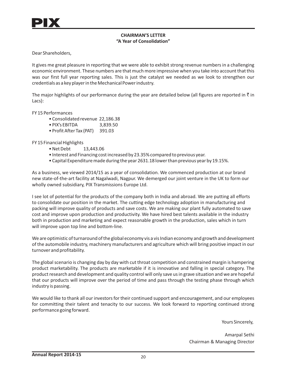# **CHAIRMAN'S LETTER "A Year of Consolidation"**

Dear Shareholders,

It gives me great pleasure in reporting that we were able to exhibit strong revenue numbers in a challenging economic environment. These numbers are that much more impressive when you take into account that this was our first full year reporting sales. This is just the catalyst we needed as we look to strengthen our credentials as a key player in the MechanicalPower industry.

The major highlights of our performance during the year are detailed below (all figures are reported in  $\bar{\tau}$  in Lacs):

FY 15 Performances

- Consolidated revenue 22,186.38
- PIX's EBITDA 3,839.50
- Profit After Tax (PAT) 391.03

FY 15 Financial Highlights

- 13,443.06 • Net Debt
- Interest and Financing cost increased by 23.35% compared to previous year.
- Capital Expenditure made during the year 2631.18 lower than previous year by 19.15%. •

As a business, we viewed 2014/15 as a year of consolidation. We commenced production at our brand new state-of-the-art facility at Nagalwadi, Nagpur. We demerged our joint venture in the UK to form our wholly owned subsidiary, PIX Transmissions Europe Ltd.

I see lot of potential for the products of the company both in India and abroad. We are putting all efforts to consolidate our position in the market. The cutting edge technology adoption in manufacturing and packing will improve quality of products and save costs. We are making our plant fully automated to save cost and improve upon production and productivity. We have hired best talents available in the industry both in production and marketing and expect reasonable growth in the production, sales which in turn will improve upon top line and bottom-line.

We are optimistic of turnaround of the global economy vis a vis Indian economy and growth and development of the automobile industry, machinery manufacturers and agriculture which will bring positive impact in our turnover and profitability.

The global scenario is changing day by day with cut throat competition and constrained margin is hampering product marketability. The products are marketable if it is innovative and falling in special category. The product research and development and quality control will only save us in grave situation and we are hopeful that our products will improve over the period of time and pass through the testing phase through which industry is passing.

We would like to thank all our investors for their continued support and encouragement, and our employees for committing their talent and tenacity to our success. We look forward to reporting continued strong performance going forward.

Yours Sincerely,

Amarpal Sethi Chairman & Managing Director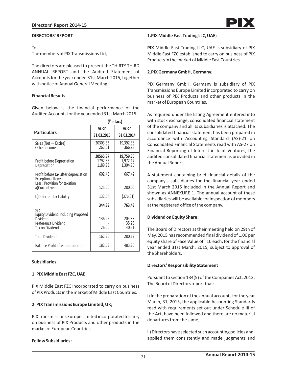#### **DIRECTORS' REPORT**

#### To

The members of PIX Transmissions Ltd,

The directors are pleased to present the THIRTY THIRD ANNUAL REPORT and the Audited Statement of Accounts for the year ended 31st March 2015, together with notice of Annual General Meeting.

#### **Financial Results**

Given below is the financial performance of the Audited Accounts for the year ended 31st March 2015:

| $($ in lacs)                                                                                     |                                |                                   |
|--------------------------------------------------------------------------------------------------|--------------------------------|-----------------------------------|
|                                                                                                  | As on                          | As on                             |
| <b>Particulars</b>                                                                               | 31.03.2015                     | 31.03.2014                        |
| Sales (Net - Excise)<br>Other income                                                             | 20303.35<br>262.01             | 19,392.38<br>366.98               |
| Profit before Depreciation<br>Depreciation                                                       | 20565.37<br>1792.36<br>1189.93 | 19,759.36<br>1,972.17<br>1,304.75 |
| Profit before tax after depreciation<br><b>Exceptional Items</b><br>Less: Provision for taxation | 602.43                         | 667.42                            |
| a)Current year                                                                                   | 125.00                         | 280.00                            |
| b)Deferred Tax Liability                                                                         | 132.54                         | (376.01)                          |
|                                                                                                  | 344.89                         | 763.43                            |
| SS:<br><b>Equity Dividend including Proposed</b><br>Dividend<br>Preference Dividend              | 136.25                         | 204.38<br>35.28                   |
| Tax on Dividend                                                                                  | 26.00                          | 40.51                             |
| <b>Total Dividend</b>                                                                            | 162.26                         | 280.17                            |
| Balance Profit after appropriation                                                               | 182.63                         | 483.26                            |

## **Subsidiaries:**

## **1. PIX Middle East FZC, UAE.**

PIX Middle East FZC incorporated to carry on business of PIX Products in the market of Middle East Countries.

## **2. PIX Transmissions Europe Limited, UK;**

PIX Transmissions Europe Limited incorporated to carry on business of PIX Products and other products in the market of European Countries.

#### **Fellow Subsidiaries:**

#### **1.PIX Middle East Trading LLC, UAE;**

**PIX** Middle East Trading LLC, UAE is subsidiary of PIX Middle East FZC established to carry on business of PIX Products in the market of Middle East Countries.

#### **2.PIX Germany GmbH, Germany;**

PIX Germany GmbH, Germany is subsidiary of PIX Transmissions Europe Limited incorporated to carry on business of PIX Products and other products in the market of European Countries.

As required under the listing Agreement entered into with stock exchange, consolidated financial statement of the company and all its subsidiaries is attached. The consolidated financial statement has been prepared in accordance with Accounting Standard (AS)-21 on Consolidated Financial Statements read with AS-27 on Financial Reporting of Interest in Joint Ventures, the audited consolidated financial statement is provided in the Annual Report.

A statement containing brief financial details of the company's subsidiaries for the financial year ended 31st March 2015 included in the Annual Report and shown as ANNEXURE 1. The annual account of these subsidiaries will be available for inspection of members at the registered office of the company.

## **Dividend on Equity Share:**

The Board of Directors at their meeting held on 29th of May, 2015 has recommended final dividend of 1.00 per equity share of Face Value of ` 10 each, for the financial year ended 31st March, 2015, subject to approval of the Shareholders.

## **Directors' Responsibility Statement**

Pursuant to section 134(5) of the Companies Act, 2013, The Board of Directors report that:

i) In the preparation of the annual accounts for the year March, 31, 2015, the applicable Accounting Standards read with requirements set out under Schedule III of the Act, have been followed and there are no material departures from the same;

ii) Directors have selected such accounting policies and applied them consistently and made judgments and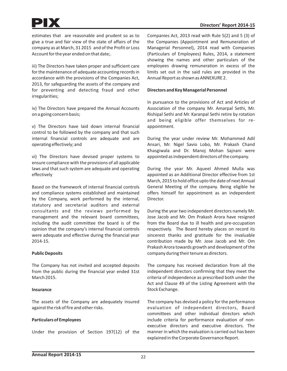estimates that are reasonable and prudent so as to give a true and fair view of the state of affairs of the company as at March, 31 2015 and of the Profit or Loss Account for the year ended on that date;.

iii) The Directors have taken proper and sufficient care for the maintenance of adequate accounting records in accordance with the provisions of the Companies Act, 2013, for safeguarding the assets of the company and for preventing and detecting fraud and other irregularities;

iv) The Directors have prepared the Annual Accounts on a going concern basis;

v) The Directors have laid down internal financial control to be followed by the company and that such internal financial controls are adequate and are operating effectively; and

vi) The Directors have devised proper systems to ensure compliance with the provisions of all applicable laws and that such system are adequate and operating effectively

Based on the framework of internal financial controls and compliance systems established and maintained by the Company, work performed by the internal, statutory and secretarial auditors and external consultants and the reviews performed by management and the relevant board committees, including the audit committee the board is of the opinion that the company's internal financial controls were adequate and effective during the financial year 2014-15.

## **Public Deposits**

The Company has not invited and accepted deposits from the public during the financial year ended 31st March 2015.

## **Insurance**

The assets of the Company are adequately insured against the risk of fire and other risks.

# **Particulars of Employees**

Under the provision of Section 197(12) of the

Companies Act, 2013 read with Rule 5(2) and 5 (3) of the Companies (Appointment and Remuneration of Managerial Personnel), 2014 read with Companies (Particulars of Employees) Rules, 2014, a statement showing the names and other particulars of the employees drawing remuneration in excess of the limits set out in the said rules are provided in the Annual Report as shown as ANNEXURE 2.

## **Directors and Key Managerial Personnel**

In pursuance to the provisions of Act and Articles of Association of the company Mr. Amarpal Sethi, Mr. Rishipal Sethi and Mr. Karanpal Sethi retire by rotation and being eligible offer themselves for reappointment.

During the year under review Mr. Mohammed Adil Ansari, Mr. Nigel Savio Lobo, Mr. Prakash Chand Khasgiwala and Dr. Manoj Mohan Sajnani were appointed as independent directors of the company.

During the year Mr. Aqueel Ahmed Mulla was appointed as an Additional Director effective from 1st March, 2015 to hold office upto the date of next Annual General Meeting of the company. Being eligible he offers himself for appointment as an independent Director.

During the year two independent directors namely Mr. Jose Jacob and Mr. Om Prakash Arora have resigned from the Board due to ill health and pre-occupation respectively. The Board hereby places on record its sincerest thanks and gratitude for the invaluable contribution made by Mr. Jose Jacob and Mr. Om Prakash Arora towards growth and development of the company during their tenure as directors.

The company has received declaration from all the independent directors confirming that they meet the criteria of independence as prescribed both under the Act and Clause 49 of the Listing Agreement with the Stock Exchange.

The company has devised a policy for the performance evaluation of independent directors, Board committees and other individual directors which include criteria for performance evaluation of nonexecutive directors and executive directors. The manner in which the evaluation is carried out has been explained in the Corporate Governance Report.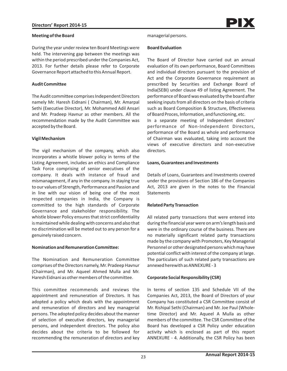During the year under review ten Board Meetings were held. The intervening gap between the meetings was within the period prescribed under the Companies Act, 2013. For further details please refer to Corporate Governance Report attached to this Annual Report.

## **Audit Committee**

The Audit committee comprises Independent Directors namely Mr. Haresh Eidnani ( Chairman), Mr. Amarpal Sethi (Executive Director), Mr. Mohammed Adil Ansari and Mr. Pradeep Havnur as other members. All the recommendation made by the Audit Committee was accepted by the Board.

# **Vigil Mechanism**

The vigil mechanism of the company, which also incorporates a whistle blower policy in terms of the Listing Agreement, includes an ethics and Compliance Task Force comprising of senior executives of the company. It deals with instance of fraud and mismanagement, if any in the company. In staying true to our values of Strength, Performance and Passion and in line with our vision of being one of the most respected companies in India, the Company is committed to the high standards of Corporate Governance and stakeholder responsibility. The whistle blower Policy ensures that strict confidentiality is maintained while dealing with concerns and also that no discrimination will be meted out to any person for a genuinely raised concern.

## **Nomination and Remuneration Committee:**

The Nomination and Remuneration Committee comprises of the Directors namely, Mr. Pradeep Havnur (Chairman), and Mr. Aqueel Ahmed Mulla and Mr. Haresh Eidnani as other members of the committee.

This committee recommends and reviews the appointment and remuneration of Directors. It has adopted a policy which deals with the appointment and remuneration of directors and key managerial persons. The adopted policy decides about the manner of selection of executive directors, key managerial persons, and independent directors. The policy also decides about the criteria to be followed for recommending the remuneration of directors and key

## managerial persons.

#### **Board Evaluation**

The Board of Director have carried out an annual evaluation of its own performance, Board Committees and individual directors pursuant to the provision of Act and the Corporate Governance requirement as prescribed by Securities and Exchange Board of India(SEBI) under clause 49 of listing Agreement. The performance of Board was evaluated by the board after seeking inputs from all directors on the basis of criteria such as Board Composition & Structure, Effectiveness of Board Proces, Information, and functioning, etc. In a separate meeting of Independent directors' performance of Non-Independent Directors, performance of the Board as whole and performance of Chairman was evaluated, taking into account the views of executive directors and non-executive directors.

## **Loans, Guarantees and Investments**

Details of Loans, Guarantees and Investments covered under the provisions of Section 186 of the Companies Act, 2013 are given in the notes to the Financial **Statements** 

## **Related Party Transaction**

All related party transactions that were entered into during the financial year were on arm's length basis and were in the ordinary course of the business. There are no materially significant related party transactions made by the company with Promoters, Key Managerial Personnel or other designated persons which may have potential conflict with interest of the company at large. The particulars of such related party transactions are annexed herewith as ANNEXURE - 3

## **Corporate Social Responsibility (CSR)**

In terms of section 135 and Schedule VII of the Companies Act, 2013, the Board of Directors of your Company has constituted a CSR Committee consist of Mr. Rishipal Sethi (Chairman) and Mr. Joe Paul (Wholetime Director) and Mr. Aqueel A Mulla as other members of the committee. The CSR Committee of the Board has developed a CSR Policy under education activity which is enclosed as part of this report ANNEXURE - 4. Additionally, the CSR Policy has been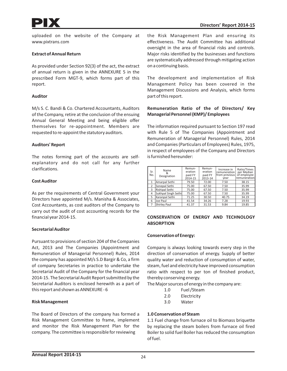uploaded on the website of the Company at www.pixtrans.com

#### **Extract of Annual Return**

As provided under Section 92(3) of the act, the extract of annual return is given in the ANNEXURE 5 in the prescribed Form MGT-9, which forms part of this report.

#### **Auditor**

M/s S. C. Bandi & Co. Chartered Accountants, Auditors of the Company, retire at the conclusion of the ensuing Annual General Meeting and being eligible offer themselves for re-appointment. Members are requested to re-appoint the statutory auditors.

#### **Auditors' Report**

The notes forming part of the accounts are selfexplanatory and do not call for any further clarifications.

#### **Cost Auditor**

As per the requirements of Central Government your Directors have appointed M/s. Manisha & Associates, Cost Accountants, as cost auditors of the Company to carry out the audit of cost accounting records for the financial year 2014-15.

## **Secretarial Auditor**

Pursuant to provisions of section 204 of the Companies Act, 2013 and The Companies (Appointment and Remuneration of Managerial Personnel) Rules, 2014 the company has appointed M/s S.D Bargir & Co, a firm of company Secretaries in practice to undertake the Secretarial Audit of the Company for the financial year 2014-15. The Secretarial Audit Report submitted by the Secretarial Auditors is enclosed herewith as a part of this report and shown as ANNEXURE - 6

#### **Risk Management**

The Board of Directors of the company has formed a Risk Management Committee to frame, implement and monitor the Risk Management Plan for the company. The committee is responsible for reviewing

the Risk Management Plan and ensuring its effectiveness. The Audit Committee has additional oversight in the area of financial risks and controls. Major risks identified by the businesses and functions are systematically addressed through mitigating action on a continuing basis.

The development and implementation of Risk Management Policy has been covered in the Management Discussions and Analysis, which forms part of this report.

#### **Remuneration Ratio of the of Directors/ Key Managerial Personnel (KMP)/ Employees**

The information required pursuant to Section 197 read with Rule 5 of The Companies (Appointment and Remuneration of Managerial Personnel) Rules, 2014 and Companies (Particulars of Employees) Rules, 1975, in respect of employees of the Company and Directors is furnished hereunder:

| Sr.<br>No.     | Name<br>Designation   | Remun-<br>eration<br>paid FY<br>2014-15 | Remun-<br>eration<br>paid FY<br>2013-14 | Increase in<br>remuneration<br>from previous<br>vear | Ratio/Times<br>per Median<br>of employee<br><i>remuneration</i> |
|----------------|-----------------------|-----------------------------------------|-----------------------------------------|------------------------------------------------------|-----------------------------------------------------------------|
|                | Amarpal Sethi         | 79.50                                   | 72.00                                   | 7.50                                                 | 38.15                                                           |
| 2              | Sonepal Sethi         | 75.00                                   | 67.50                                   | 7.50                                                 | 35.99                                                           |
| $\overline{3}$ | <b>Rishipal Sethi</b> | 75.00                                   | 67.50                                   | 7.50                                                 | 35.99                                                           |
| 4              | Sukhpal Singh Sethi   | 75.00                                   | 67.50                                   | 7.50                                                 | 35.99                                                           |
| 5              | Karanpal Sethi        | 71.25                                   | 30.50                                   | 40.75                                                | 34.19                                                           |
| 6              | Joe Paul              | 41.54                                   | 34.26                                   | 7.28                                                 | 19.93                                                           |
|                | <b>Shirley Paul</b>   | 41.37                                   | 31.53                                   | 9.84                                                 | 19.85                                                           |

#### **CONSERVATION OF ENERGY AND TECHNOLOGY ABSORPTION**

## **Conservation of Energy:**

Company is always looking towards every step in the direction of conservation of energy. Supply of better quality water and reduction of consumption of water, steam, fuel and electricity have improved consumption ratio with respect to per ton of finished product, thereby conserving energy.

The Major sources of energy in the company are:

- 1.0 Fuel /Steam
- 2.0 Electricity
- 3.0 Water

#### **1.0 Conservation of Steam**

1.1 Fuel change from furnace oil to Biomass briquette by replacing the steam boilers from furnace oil fired Boiler to solid fuel Boiler has reduced the consumption of fuel.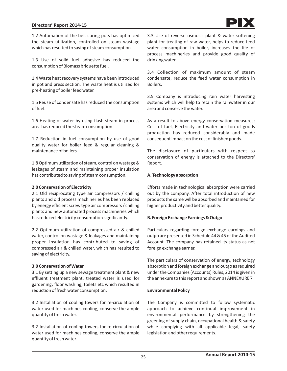## **Directors' Report 2014-15**

1.2 Automation of the belt curing pots has optimized the steam utilization, controlled on steam wastage which has resulted to saving of steam consumption

1.3 Use of solid fuel adhesive has reduced the consumption of Biomass briquette fuel.

1.4 Waste heat recovery systems have been introduced in pot and press section. The waste heat is utilized for pre-heating of boiler feed water.

1.5 Reuse of condensate has reduced the consumption of fuel.

1.6 Heating of water by using flash steam in process area has reduced the steam consumption.

1.7 Reduction in fuel consumption by use of good quality water for boiler feed & regular cleaning & maintenance of boilers.

1.8 Optimum utilization of steam, control on wastage & leakages of steam and maintaining proper insulation has contributed to saving of steam consumption.

#### **2.0 Conservation of Electricity**

2.1 Old reciprocating type air compressors / chilling plants and old process machineries has been replaced by energy efficient screw type air compressors / chilling plants and new automated process machineries which has reduced electricity consumption significantly.

2.2 Optimum utilization of compressed air & chilled water, control on wastage & leakages and maintaining proper insulation has contributed to saving of compressed air & chilled water, which has resulted to saving of electricity.

#### **3.0 Conservation of Water**

3.1 By setting up a new sewage treatment plant & new effluent treatment plant, treated water is used for gardening, floor washing, toilets etc which resulted in reduction of fresh water consumption.

3.2 Installation of cooling towers for re-circulation of water used for machines cooling, conserve the ample quantity of fresh water.

3.2 Installation of cooling towers for re-circulation of water used for machines cooling, conserve the ample quantity of fresh water.

3.3 Use of reverse osmosis plant & water softening plant for treating of raw water, helps to reduce feed water consumption in boiler, increases the life of process machineries and provide good quality of drinking water.

3.4 Collection of maximum amount of steam condensate, reduce the feed water consumption in Boilers.

3.5 Company is introducing rain water harvesting systems which will help to retain the rainwater in our area and conserve the water.

As a result to above energy conservation measures; Cost of fuel, Electricity and water per ton of goods production has reduced considerably and made consequent impact on the cost of finished goods.

The disclosure of particulars with respect to conservation of energy is attached to the Directors' Report.

#### **A. Technology absorption**

Efforts made in technological absorption were carried out by the company. After total introduction of new products the same will be absorbed and maintained for higher productivity and better quality.

#### **B. Foreign Exchange Earnings & Outgo**

Particulars regarding foreign exchange earnings and outgo are presented in Schedule 44 & 45 of the Audited Account. The company has retained its status as net foreign exchange earner.

The particulars of conservation of energy, technology absorption and foreign exchange and outgo as required under the Companies (Accounts) Rules, 2014 is given in the annexure to this report and shown as ANNEXURE 7

#### **Environmental Policy**

The Company is committed to follow systematic approach to achieve continual improvement in environmental performance by strengthening the greening of supply chain, occupational health & safety while complying with all applicable legal, safety legislation and other requirements.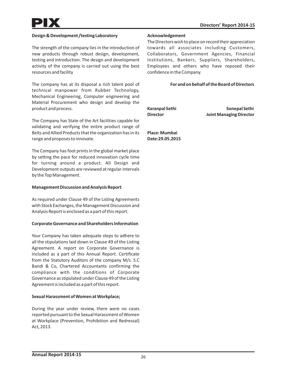## **Design & Development /testing Laboratory**

The strength of the company lies in the introduction of new products through robust design, development, testing and introduction. The design and development activity of the company is carried out using the best resources and facility

The company has at its disposal a rich talent pool of technical manpower from Rubber Technology, Mechanical Engineering, Computer engineering and Material Procurement who design and develop the product and process.

The Company has State of the Art facilities capable for validating and verifying the entire product range of Belts and Allied Products that the organization has in its range and proposes to innovate.

The Company has foot prints in the global market place by setting the pace for reduced innovation cycle time for turning around a product. All Design and Development outputs are reviewed at regular intervals by the Top Management.

#### **Management Discussion and Analysis Report**

As required under Clause 49 of the Listing Agreements with Stock Exchanges, the Management Discussion and Analysis Report is enclosed as a part of this report.

#### **Corporate Governance and Shareholders Information**

Your Company has taken adequate steps to adhere to all the stipulations laid down in Clause 49 of the Listing Agreement. A report on Corporate Governance is included as a part of this Annual Report. Certificate from the Statutory Auditors of the company M/s. S.C Bandi & Co, Chartered Accountants confirming the compliance with the conditions of Corporate Governance as stipulated under Clause 49 of the Listing Agreement is included as a part of this report.

#### **Sexual Harassment of Women at Workplace;**

During the year under review, there were no cases reported pursuant to the Sexual Harassment of Women at Workplace (Prevention, Prohibition and Redressal) Act, 2013.

#### **Acknowledgement**

The Directors wish to place on record their appreciation towards all associates including Customers, Collaborators, Government Agencies, Financial Institutions, Bankers, Suppliers, Shareholders, Employees and others who have reposed their confidence in the Company.

#### **For and on behalf of the Board of Directors**

Karanpal Sethi **Sonepal Sethi** Sonepal Sethi **Director Joint Managing Director**

**Place: Mumbai Date:29.05.2015**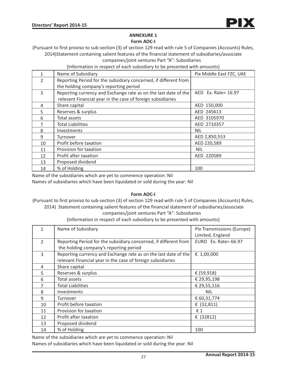

# **ANNEXURE 1**

**Form AOC-I**

(Pursuant to first proviso to sub-section (3) of section 129 read with rule 5 of Companies (Accounts) Rules, 2014)Statement containing salient features of the financial statement of subsidiaries/associate

companies/joint ventures Part "A": Subsidiaries

(Information in respect of each subsidiary to be presented with amounts)

|                | Name of Subsidiary                                               | Pix Middle East FZC, UAE |
|----------------|------------------------------------------------------------------|--------------------------|
| $\overline{2}$ | Reporting Period for the subsidiary concerned, if different from |                          |
|                | the holding company's reporting period                           |                          |
| 3              | Reporting currency and Exchange rate as on the last date of the  | AED Ex. Rate= 16.97      |
|                | relevant Financial year in the case of foreign subsidiaries      |                          |
| 4              | Share capital                                                    | AED 150,000              |
| 5              | Reserves & surplus                                               | AED 245613               |
| 6              | Total assets                                                     | AED 3105970              |
|                | <b>Total Liabilities</b>                                         | AED 2710357              |
| 8              | Investments                                                      | NIL                      |
| 9              | Turnover                                                         | AED 2,850,553            |
| 10             | Profit before taxation                                           | AED 220,589              |
| 11             | Provision for taxation                                           | <b>NIL</b>               |
| 12             | Profit after taxation                                            | AED 220589               |
| 13             | Proposed dividend                                                |                          |
| 14             | % of Holding                                                     | 100                      |

Name of the subsidiaries which are yet to commence operation: Nil

Names of subsidiaries which have been liquidated or sold during the year: Nil

## **Form AOC-I**

(Pursuant to first proviso to sub-section (3) of section 129 read with rule 5 of Companies (Accounts) Rules, 2014) Statement containing salient features of the financial statement of subsidiaries/associate companies/joint ventures Part "A": Subsidiaries

| (Information in respect of each subsidiary to be presented with amounts) |                                                                  |                            |  |
|--------------------------------------------------------------------------|------------------------------------------------------------------|----------------------------|--|
| $\mathbf{1}$                                                             | Name of Subsidiary                                               | Pix Transmissions (Europe) |  |
|                                                                          |                                                                  | Limited, England           |  |
| $\overline{2}$                                                           | Reporting Period for the subsidiary concerned, if different from | EURO Ex. Rate= $66.97$     |  |
|                                                                          | the holding company's reporting period                           |                            |  |
| 3                                                                        | Reporting currency and Exchange rate as on the last date of the  | € 1,00,000                 |  |
|                                                                          | relevant Financial year in the case of foreign subsidiaries      |                            |  |
| 4                                                                        | Share capital                                                    |                            |  |
| 5                                                                        | Reserves & surplus                                               | € (59,918)                 |  |
| 6                                                                        | Total assets                                                     | € 29,95,198                |  |
| 7                                                                        | <b>Total Liabilities</b>                                         | € 29,55,116                |  |
| 8                                                                        | Investments                                                      | <b>NIL</b>                 |  |
| 9                                                                        | Turnover                                                         | € 60,31,774                |  |
| 10                                                                       | Profit before taxation                                           | € $(32, 811)$              |  |
| 11                                                                       | Provision for taxation                                           | €1                         |  |
| 12                                                                       | Profit after taxation                                            | € $(32812)$                |  |
| 13                                                                       | Proposed dividend                                                |                            |  |
| 14                                                                       | % of Holding                                                     | 100                        |  |

Name of the subsidiaries which are yet to commence operation: Nil Names of subsidiaries which have been liquidated or sold during the year: Nil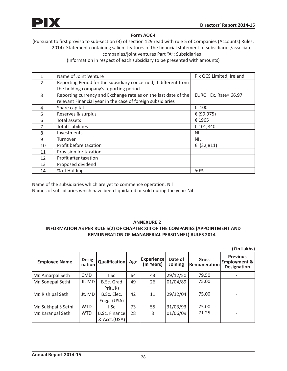

# **Form AOC-I**

(Pursuant to first proviso to sub-section (3) of section 129 read with rule 5 of Companies (Accounts) Rules, 2014) Statement containing salient features of the financial statement of subsidiaries/associate companies/joint ventures Part "A": Subsidiaries

(Information in respect of each subsidiary to be presented with amounts)

|                | Name of Joint Venture                                            | Pix QCS Limited, Ireland |
|----------------|------------------------------------------------------------------|--------------------------|
| $\overline{2}$ | Reporting Period for the subsidiary concerned, if different from |                          |
|                | the holding company's reporting period                           |                          |
| 3              | Reporting currency and Exchange rate as on the last date of the  | EURO Ex. Rate= 66.97     |
|                | relevant Financial year in the case of foreign subsidiaries      |                          |
| 4              | Share capital                                                    | € 100                    |
| 5              | Reserves & surplus                                               | € (99,975)               |
| 6              | Total assets                                                     | € 1965                   |
|                | <b>Total Liabilities</b>                                         | € 101,840                |
| 8              | Investments                                                      | NIL                      |
| 9              | Turnover                                                         | <b>NIL</b>               |
| 10             | Profit before taxation                                           | € $(32,811)$             |
| 11             | Provision for taxation                                           |                          |
| 12             | Profit after taxation                                            |                          |
| 13             | Proposed dividend                                                |                          |
| 14             | % of Holding                                                     | 50%                      |

Name of the subsidiaries which are yet to commence operation: Nil Names of subsidiaries which have been liquidated or sold during the year: Nil

# **ANNEXURE 2 INFORMATION AS PER RULE 5(2) OF CHAPTER XIII OF THE COMPANIES (APPOINTMENT AND REMUNERATION OF MANAGERIAL PERSONNEL) RULES 2014**

**(**`**in Lakhs)**

| <b>Employee Name</b> | Desig-<br>nation | Qualification                 | Age | <b>Experience</b><br>(In Years) | Date of<br>Joining | <b>Gross</b><br><b>Remuneration</b> | <b>Previous</b><br><b>Employment &amp;</b><br><b>Designation</b> |
|----------------------|------------------|-------------------------------|-----|---------------------------------|--------------------|-------------------------------------|------------------------------------------------------------------|
| Mr. Amarpal Seth     | <b>CMD</b>       | I.Sc                          | 64  | 43                              | 29/12/50           | 79.50                               |                                                                  |
| Mr. Sonepal Sethi    | Jt. MD           | B.Sc. Grad<br>Pri(UK)         | 49  | 26                              | 01/04/89           | 75.00                               |                                                                  |
| Mr. Rishipal Sethi   | Jt. MD           | B.Sc. Elec.<br>Engg. (USA)    | 42  | 11                              | 29/12/04           | 75.00                               |                                                                  |
| Mr. Sukhpal S Sethi  | <b>WTD</b>       | I.Sc                          | 73  | 55                              | 31/03/93           | 75.00                               |                                                                  |
| Mr. Karanpal Sethi   | <b>WTD</b>       | B.Sc. Finance<br>& Acct.(USA) | 28  | 8                               | 01/06/09           | 71.25                               |                                                                  |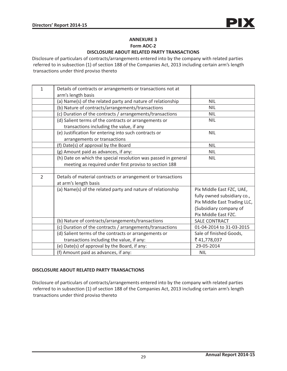# **ANNEXURE 3 Form AOC-2**

# **DISCLOSURE ABOUT RELATED PARTY TRANSACTIONS**

Disclosure of particulars of contracts/arrangements entered into by the company with related parties referred to in subsection (1) of section 188 of the Companies Act, 2013 including certain arm's length transactions under third proviso thereto

| 1              | Details of contracts or arrangements or transactions not at    |                              |
|----------------|----------------------------------------------------------------|------------------------------|
|                | arm's length basis                                             |                              |
|                | (a) Name(s) of the related party and nature of relationship    | <b>NIL</b>                   |
|                | (b) Nature of contracts/arrangements/transactions              | <b>NIL</b>                   |
|                | (c) Duration of the contracts / arrangements/transactions      | <b>NIL</b>                   |
|                | (d) Salient terms of the contracts or arrangements or          | <b>NIL</b>                   |
|                | transactions including the value, if any                       |                              |
|                | (e) Justification for entering into such contracts or          | <b>NIL</b>                   |
|                | arrangements or transactions                                   |                              |
|                | (f) Date(s) of approval by the Board                           | <b>NIL</b>                   |
|                | (g) Amount paid as advances, if any:                           | <b>NIL</b>                   |
|                | (h) Date on which the special resolution was passed in general | <b>NIL</b>                   |
|                | meeting as required under first proviso to section 188         |                              |
|                |                                                                |                              |
| $\overline{2}$ | Details of material contracts or arrangement or transactions   |                              |
|                | at arm's length basis                                          |                              |
|                | (a) Name(s) of the related party and nature of relationship    | Pix Middle East FZC, UAE,    |
|                |                                                                | fully owned subsidiary co.,  |
|                |                                                                | Pix Middle East Trading LLC, |
|                |                                                                | (Subsidiary company of       |
|                |                                                                | Pix Middle East FZC.         |
|                | (b) Nature of contracts/arrangements/transactions              | <b>SALE CONTRACT</b>         |
|                | (c) Duration of the contracts / arrangements/transactions      | 01-04-2014 to 31-03-2015     |
|                | (d) Salient terms of the contracts or arrangements or          | Sale of finished Goods,      |
|                | transactions including the value, if any:                      | ₹ 41,778,037                 |
|                | (e) Date(s) of approval by the Board, if any:                  | 29-05-2014                   |
|                | (f) Amount paid as advances, if any:                           | <b>NIL</b>                   |

## **DISCLOSURE ABOUT RELATED PARTY TRANSACTIONS**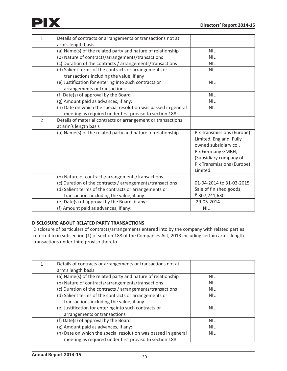

| 1              | Details of contracts or arrangements or transactions not at    |                            |
|----------------|----------------------------------------------------------------|----------------------------|
|                | arm's length basis                                             |                            |
|                | (a) Name(s) of the related party and nature of relationship    | NIL                        |
|                | (b) Nature of contracts/arrangements/transactions              | <b>NIL</b>                 |
|                | (c) Duration of the contracts / arrangements/transactions      | <b>NIL</b>                 |
|                | (d) Salient terms of the contracts or arrangements or          | <b>NIL</b>                 |
|                | transactions including the value, if any                       |                            |
|                | (e) Justification for entering into such contracts or          | <b>NIL</b>                 |
|                | arrangements or transactions                                   |                            |
|                | (f) Date(s) of approval by the Board                           | <b>NIL</b>                 |
|                | (g) Amount paid as advances, if any:                           | <b>NIL</b>                 |
|                | (h) Date on which the special resolution was passed in general | <b>NIL</b>                 |
|                | meeting as required under first proviso to section 188         |                            |
| $\overline{2}$ | Details of material contracts or arrangement or transactions   |                            |
|                | at arm's length basis                                          |                            |
|                | (a) Name(s) of the related party and nature of relationship    | Pix Transmissions (Europe) |
|                |                                                                | Limited, England, Fully    |
|                |                                                                | owned subsidiary co.,      |
|                |                                                                | Pix Germany GMBH,          |
|                |                                                                | (Subsidiary company of     |
|                |                                                                | Pix Transmissions (Europe) |
|                |                                                                | Limited.                   |
|                | (b) Nature of contracts/arrangements/transactions              |                            |
|                | (c) Duration of the contracts / arrangements/transactions      | 01-04-2014 to 31-03-2015   |
|                | (d) Salient terms of the contracts or arrangements or          | Sale of finished goods,    |
|                | transactions including the value, if any:                      | ₹ 307,741,630              |
|                | (e) Date(s) of approval by the Board, if any:                  | 29-05-2014                 |
|                | (f) Amount paid as advances, if any:                           | <b>NIL</b>                 |

# **DISCLOSURE ABOUT RELATED PARTY TRANSACTIONS**

| Details of contracts or arrangements or transactions not at<br>arm's length basis |            |
|-----------------------------------------------------------------------------------|------------|
| (a) Name(s) of the related party and nature of relationship                       | <b>NIL</b> |
| (b) Nature of contracts/arrangements/transactions                                 | <b>NIL</b> |
| (c) Duration of the contracts / arrangements/transactions                         | <b>NIL</b> |
| (d) Salient terms of the contracts or arrangements or                             | <b>NIL</b> |
| transactions including the value, if any                                          |            |
| (e) Justification for entering into such contracts or                             | <b>NIL</b> |
| arrangements or transactions                                                      |            |
| (f) Date(s) of approval by the Board                                              | <b>NIL</b> |
| (g) Amount paid as advances, if any:                                              | <b>NIL</b> |
| (h) Date on which the special resolution was passed in general                    | <b>NIL</b> |
| meeting as required under first proviso to section 188                            |            |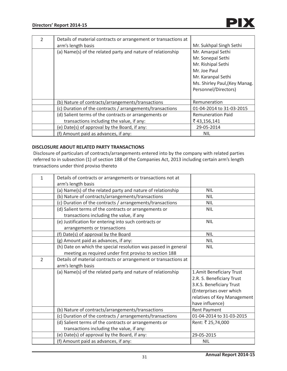| $\mathfrak{D}$ | Details of material contracts or arrangement or transactions at |                               |
|----------------|-----------------------------------------------------------------|-------------------------------|
|                | arm's length basis                                              | Mr. Sukhpal Singh Sethi       |
|                | (a) Name(s) of the related party and nature of relationship     | Mr. Amarpal Sethi             |
|                |                                                                 | Mr. Sonepal Sethi             |
|                |                                                                 | Mr. Rishipal Sethi            |
|                |                                                                 | Mr. Joe Paul                  |
|                |                                                                 | Mr. Karanpal Sethi            |
|                |                                                                 | Ms. Shirley Paul, (Key Manag. |
|                |                                                                 | Personnel/Directors)          |
|                |                                                                 |                               |
|                | (b) Nature of contracts/arrangements/transactions               | Remuneration                  |
|                | (c) Duration of the contracts / arrangements/transactions       | 01-04-2014 to 31-03-2015      |
|                | (d) Salient terms of the contracts or arrangements or           | <b>Remuneration Paid</b>      |
|                | transactions including the value, if any:                       | ₹43,156,141                   |
|                | (e) Date(s) of approval by the Board, if any:                   | 29-05-2014                    |
|                | (f) Amount paid as advances, if any:                            | <b>NIL</b>                    |

# **DISCLOSURE ABOUT RELATED PARTY TRANSACTIONS**

| $\mathbf{1}$   | Details of contracts or arrangements or transactions not at     |                             |
|----------------|-----------------------------------------------------------------|-----------------------------|
|                | arm's length basis                                              |                             |
|                | (a) Name(s) of the related party and nature of relationship     | <b>NIL</b>                  |
|                | (b) Nature of contracts/arrangements/transactions               | <b>NIL</b>                  |
|                | (c) Duration of the contracts / arrangements/transactions       | <b>NIL</b>                  |
|                | (d) Salient terms of the contracts or arrangements or           | <b>NIL</b>                  |
|                | transactions including the value, if any                        |                             |
|                | (e) Justification for entering into such contracts or           | <b>NIL</b>                  |
|                | arrangements or transactions                                    |                             |
|                | (f) Date(s) of approval by the Board                            | <b>NIL</b>                  |
|                | (g) Amount paid as advances, if any:                            | <b>NIL</b>                  |
|                | (h) Date on which the special resolution was passed in general  | <b>NIL</b>                  |
|                | meeting as required under first proviso to section 188          |                             |
| $\overline{2}$ | Details of material contracts or arrangement or transactions at |                             |
|                | arm's length basis                                              |                             |
|                | (a) Name(s) of the related party and nature of relationship     | 1. Amit Beneficiary Trust   |
|                |                                                                 | 2.R. S. Beneficiary Trust   |
|                |                                                                 | 3.K.S. Beneficiary Trust    |
|                |                                                                 | (Enterprises over which     |
|                |                                                                 | relatives of Key Management |
|                |                                                                 | have influence)             |
|                | (b) Nature of contracts/arrangements/transactions               | Rent Payment                |
|                | (c) Duration of the contracts / arrangements/transactions       | 01-04-2014 to 31-03-2015    |
|                | (d) Salient terms of the contracts or arrangements or           | Rent: ₹ 25,74,000           |
|                | transactions including the value, if any:                       |                             |
|                | (e) Date(s) of approval by the Board, if any:                   | 29-05-2015                  |
|                | (f) Amount paid as advances, if any:                            | <b>NIL</b>                  |
|                |                                                                 |                             |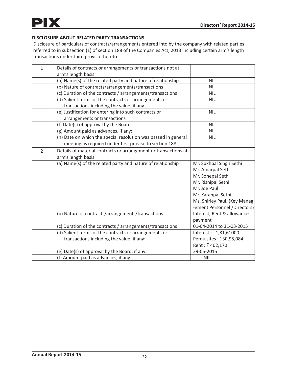

# **DISCLOSURE ABOUT RELATED PARTY TRANSACTIONS**

| $\mathbf{1}$   | Details of contracts or arrangements or transactions not at     |                               |
|----------------|-----------------------------------------------------------------|-------------------------------|
|                | arm's length basis                                              |                               |
|                | (a) Name(s) of the related party and nature of relationship     | <b>NIL</b>                    |
|                | (b) Nature of contracts/arrangements/transactions               | <b>NIL</b>                    |
|                | (c) Duration of the contracts / arrangements/transactions       | <b>NIL</b>                    |
|                | (d) Salient terms of the contracts or arrangements or           | <b>NIL</b>                    |
|                | transactions including the value, if any                        |                               |
|                | (e) Justification for entering into such contracts or           | <b>NIL</b>                    |
|                | arrangements or transactions                                    |                               |
|                | (f) Date(s) of approval by the Board                            | <b>NIL</b>                    |
|                | (g) Amount paid as advances, if any:                            | <b>NIL</b>                    |
|                | (h) Date on which the special resolution was passed in general  | <b>NIL</b>                    |
|                | meeting as required under first proviso to section 188          |                               |
| $\overline{2}$ | Details of material contracts or arrangement or transactions at |                               |
|                | arm's length basis                                              |                               |
|                | (a) Name(s) of the related party and nature of relationship     | Mr. Sukhpal Singh Sethi       |
|                |                                                                 | Mr. Amarpal Sethi             |
|                |                                                                 | Mr. Sonepal Sethi             |
|                |                                                                 | Mr. Rishipal Sethi            |
|                |                                                                 | Mr. Joe Paul                  |
|                |                                                                 | Mr. Karanpal Sethi            |
|                |                                                                 | Ms. Shirley Paul, (Key Manag. |
|                |                                                                 | -ement Personnel /Directors)  |
|                | (b) Nature of contracts/arrangements/transactions               | Interest, Rent & allowances   |
|                |                                                                 | payment                       |
|                | (c) Duration of the contracts / arrangements/transactions       | 01-04-2014 to 31-03-2015      |
|                | (d) Salient terms of the contracts or arrangements or           | Interest: `1,81,61000         |
|                | transactions including the value, if any:                       | Perquisites: `30,95,084       |
|                |                                                                 | Rent: ₹402,170                |
|                | (e) Date(s) of approval by the Board, if any:                   | 29-05-2015                    |
|                | (f) Amount paid as advances, if any:                            | <b>NIL</b>                    |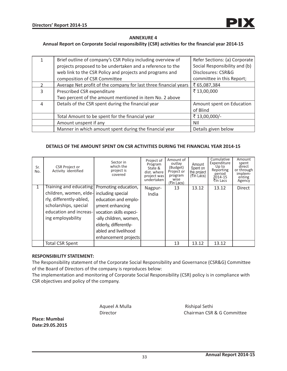

#### **ANNEXURE 4**

#### **Annual Report on Corporate Social responsibility (CSR) activities for the financial year 2014-15**

|               | Brief outline of company's CSR Policy including overview of      | Refer Sections: (a) Corporate |
|---------------|------------------------------------------------------------------|-------------------------------|
|               | projects proposed to be undertaken and a reference to the        | Social Responsibility and (b) |
|               | web link to the CSR Policy and projects and programs and         | Disclosures: CSR&G            |
|               | composition of CSR Committee                                     | committee in this Report;     |
| $\mathcal{P}$ | Average Net profit of the company for last three financial years | ₹ 65,087,384                  |
| 3             | Prescribed CSR expenditure                                       | ₹13,00,000                    |
|               | Two percent of the amount mentioned in item No. 2 above          |                               |
| 4             | Details of the CSR spent during the financial year               | Amount spent on Education     |
|               |                                                                  | of Blind                      |
|               | Total Amount to be spent for the financial year                  | ₹13,00,000/-                  |
|               | Amount unspent if any                                            | NII                           |
|               | Manner in which amount spent during the financial year           | Details given below           |

#### **DETAILS OF THE AMOUNT SPENT ON CSR ACTIVITIES DURING THE FINANCIAL YEAR 2014-15**

| Sr.<br>No. | <b>CSR Project or</b><br>Activity identified                                                                                                                                                 | Sector in<br>which the<br>project is<br>covered                                                                                                                       | Project of<br>Program<br>State &<br>dist. where<br>project was<br>undertaken | Amount of<br>outlay<br>(Budget)<br>Project or<br>program<br>wise<br>(राn Lacs) | Amount<br>Spent on<br>the project<br>(₹In Lacs) | Cumulative<br>Expenditure<br>Up to<br>Reporting<br>period<br>2014-15<br>₹In Lacs | Amount<br>spent<br>direct<br>or through<br>implem-<br>enting<br>Agency |
|------------|----------------------------------------------------------------------------------------------------------------------------------------------------------------------------------------------|-----------------------------------------------------------------------------------------------------------------------------------------------------------------------|------------------------------------------------------------------------------|--------------------------------------------------------------------------------|-------------------------------------------------|----------------------------------------------------------------------------------|------------------------------------------------------------------------|
|            | Training and educating   Promoting education,<br>children, women, elde- including special<br>rly, differently-abled,<br>scholarships, special<br>education and increas-<br>ing employability | education and emplo-<br>yment enhancing<br>vocation skills especi-<br>-ally children, women,<br>elderly, differently-<br>abled and livelihood<br>enhancement projects | Nagpur-<br>India                                                             | 13                                                                             | 13.12                                           | 13.12                                                                            | <b>Direct</b>                                                          |
|            | <b>Total CSR Spent</b>                                                                                                                                                                       |                                                                                                                                                                       |                                                                              | 13                                                                             | 13.12                                           | 13.12                                                                            |                                                                        |

#### **RESPONSIBILITY STATEMENT:**

The Responsibility statement of the Corporate Social Responsibility and Governance (CSR&G) Committee of the Board of Directors of the company is reproduces below:

The implementation and monitoring of Corporate Social Responsibility (CSR) policy is in compliance with CSR objectives and policy of the company.

Aqueel A Mulla Rishipal Sethi

Director Chairman CSR & G Committee

**Place: Mumbai Date:29.05.2015**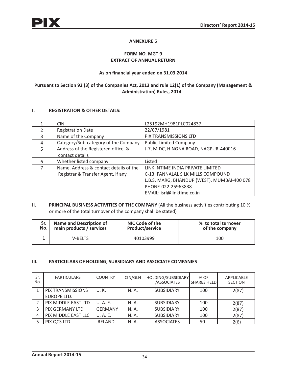# **ANNEXURE 5**

# **FORM NO. MGT 9 EXTRACT OF ANNUAL RETURN**

# **As on financial year ended on 31.03.2014**

# **Pursuant to Section 92 (3) of the Companies Act, 2013 and rule 12(1) of the Company (Management & Administration) Rules, 2014**

# **I. REGISTRATION & OTHER DETAILS:**

|                | <b>CIN</b>                             | L25192MH1981PLC024837                       |
|----------------|----------------------------------------|---------------------------------------------|
|                | <b>Registration Date</b>               | 22/07/1981                                  |
| 3              | Name of the Company                    | PIX TRANSMISSIONS LTD                       |
| 4              | Category/Sub-category of the Company   | <b>Public Limited Company</b>               |
| $\overline{5}$ | Address of the Registered office &     | J-7, MIDC, HINGNA ROAD, NAGPUR-440016       |
|                | contact details                        |                                             |
| 6              | Whether listed company                 | Listed                                      |
| 7              | Name, Address & contact details of the | LINK INTIME INDIA PRIVATE LIMITED           |
|                | Registrar & Transfer Agent, if any.    | C-13, PANNALAL SILK MILLS COMPOUND          |
|                |                                        | L.B.S. MARG, BHANDUP (WEST), MUMBAI-400 078 |
|                |                                        | PHONE-022-25963838                          |
|                |                                        | EMAIL: isrl@linktime.co.in                  |

# **II. PRINCIPAL BUSINESS ACTIVITIES OF THE COMPANY (All the business activities contributing 10 %** or more of the total turnover of the company shall be stated)

| Sr. I | <b>Name and Description of</b> | NIC Code of the        | % to total turnover |
|-------|--------------------------------|------------------------|---------------------|
| No. l | main products / services       | <b>Product/service</b> | of the company      |
|       | <b>V-BELTS</b>                 | 40103999               | 100                 |

## **III. PARTICULARS OF HOLDING, SUBSIDIARY AND ASSOCIATE COMPANIES**

| Sr.<br>No. | <b>PARTICULARS</b>     | <b>COUNTRY</b> | CIN/GLN | HOLDING/SUBSIDIARY<br><b>ASSOCIATES</b> | % OF<br>l SHARES HELDI | <b>APPLICABLE</b><br><b>SECTION</b> |
|------------|------------------------|----------------|---------|-----------------------------------------|------------------------|-------------------------------------|
|            | PIX TRANSMISSIONS      | U.K.           | N. A.   | <b>SUBSIDIARY</b>                       | 100                    | 2(87)                               |
|            | EUROPE LTD.            |                |         |                                         |                        |                                     |
| 2          | PIX MIDDLE EAST LTD    | U.A.E.         | N. A.   | <b>SUBSIDIARY</b>                       | 100                    | 2(87)                               |
|            | <b>PIX GERMANY LTD</b> | <b>GERMANY</b> | N. A.   | <b>SUBSIDIARY</b>                       | 100                    | 2(87)                               |
| 4          | PIX MIDDLE EAST LLC    | U.A.E.         | N. A.   | <b>SUBSIDIARY</b>                       | 100                    | 2(87)                               |
|            | PIX QCS LTD            | <b>IRELAND</b> | N. A.   | <b>ASSOCIATES</b>                       | 50                     | 2(6)                                |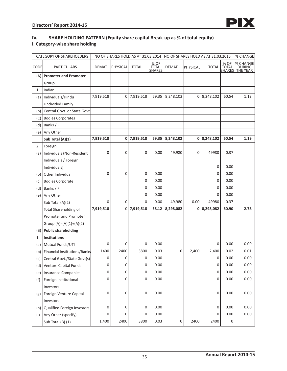# **IV. SHARE HOLDING PATTERN (Equity share capital Break-up as % of total equity)**

# **i. Category-wise share holding**

| <b>CATEGORY OF SHAREHOLDERS</b> |                              | NO OF SHARES HOLD AS AT 31.03.2014 INO OF SHARES HOLD AS AT 31.03.2015 |          |              |                         |                |          |              |                                | <b>% CHANGE</b>                |
|---------------------------------|------------------------------|------------------------------------------------------------------------|----------|--------------|-------------------------|----------------|----------|--------------|--------------------------------|--------------------------------|
| <b>CODE</b>                     | <b>PARTICULARS</b>           | <b>DEMAT</b>                                                           | PHYSICAL | <b>TOTAL</b> | % OF<br>TOTAL<br>SHARES | <b>DEMAT</b>   | PHYSICAL | <b>TOTAL</b> | % OF<br>TOTAL<br><b>SHARES</b> | % CHANGE<br>DURING<br>THE YEAR |
| (A)                             | <b>Promoter and Promoter</b> |                                                                        |          |              |                         |                |          |              |                                |                                |
|                                 | Group                        |                                                                        |          |              |                         |                |          |              |                                |                                |
| $\mathbf{1}$                    | Indian                       |                                                                        |          |              |                         |                |          |              |                                |                                |
| (a)                             | Individuals/Hindu            | 7,919,518                                                              | 0        | 7,919,518    | 59.35                   | 8,248,102      | 0        | 8,248,102    | 60.54                          | 1.19                           |
|                                 | <b>Undivided Family</b>      |                                                                        |          |              |                         |                |          |              |                                |                                |
| (b)                             | Central Govt. or State Govt. |                                                                        |          |              |                         |                |          |              |                                |                                |
| (C)                             | <b>Bodies Corporates</b>     |                                                                        |          |              |                         |                |          |              |                                |                                |
| (d)                             | Banks / FI                   |                                                                        |          |              |                         |                |          |              |                                |                                |
| (e)                             | Any Other                    |                                                                        |          |              |                         |                |          |              |                                |                                |
|                                 | Sub Total (A)(1)             | 7,919,518                                                              | 0        | 7,919,518    | 59.35                   | 8,248,102      | 0        | 8,248,102    | 60.54                          | 1.19                           |
| $\overline{2}$                  | Foreign                      |                                                                        |          |              |                         |                |          |              |                                |                                |
| (a)                             | Individuals (Non-Resident    | 0                                                                      | 0        | 0            | 0.00                    | 49,980         | 0        | 49980        | 0.37                           |                                |
|                                 | Individuals / Foreign        |                                                                        |          |              |                         |                |          |              |                                |                                |
|                                 | Individuals)                 |                                                                        |          |              |                         |                |          | 0            | 0.00                           |                                |
| (b)                             | Other Individual             | 0                                                                      | 0        | 0            | 0.00                    |                |          | 0            | 0.00                           |                                |
| (c)                             | <b>Bodies Corporate</b>      |                                                                        |          | 0            | 0.00                    |                |          | 0            | 0.00                           |                                |
| (d)                             | Banks / Fl                   |                                                                        |          | 0            | 0.00                    |                |          | 0            | 0.00                           |                                |
| (e)                             | Any Other                    |                                                                        |          | 0            | 0.00                    |                |          | 0            | 0.00                           |                                |
|                                 | Sub Total (A)(2)             | 0                                                                      | 0        | 0            | 0.00                    | 49,980         | 0.00     | 49980        | 0.37                           |                                |
|                                 | Total Shareholding of        | 7,919,518                                                              | 0        | 7,919,518    | 58.12                   | 8,298,082      | 0        | 8,298,082    | 60.90                          | 2.78                           |
|                                 | Promoter and Promoter        |                                                                        |          |              |                         |                |          |              |                                |                                |
|                                 | Group $(A)=(A)(1)+(A)(2)$    |                                                                        |          |              |                         |                |          |              |                                |                                |
| (B)                             | <b>Public shareholding</b>   |                                                                        |          |              |                         |                |          |              |                                |                                |
| 1                               | <b>Institutions</b>          |                                                                        |          |              |                         |                |          |              |                                |                                |
| (a)                             | Mutual Funds/UTI             | 0                                                                      | 0        | 0            | 0.00                    |                |          | 0            | 0.00                           | 0.00                           |
| (b)                             | Financial Institutions/Banks | 1400                                                                   | 2400     | 3800         | 0.03                    | 0              | 2,400    | 2,400        | 0.02                           | 0.01                           |
| (c)                             | Central Govt./State Govt(s)  | 0                                                                      | 0        | 0            | 0.00                    |                |          | 0            | 0.00                           | 0.00                           |
| (d)                             | Venture Capital Funds        | 0                                                                      | 0        | 0            | 0.00                    |                |          | 0            | 0.00                           | 0.00                           |
| (e)                             | Insurance Companies          | 0                                                                      | 0        | 0            | 0.00                    |                |          | $\mathsf 0$  | 0.00                           | 0.00                           |
| (f)                             | Foreign Institutional        | 0                                                                      | 0        | 0            | 0.00                    |                |          | 0            | 0.00                           | 0.00                           |
|                                 | Investors                    |                                                                        |          |              |                         |                |          |              |                                |                                |
| (g)                             | Foreign Venture Capital      | 0                                                                      | 0        | 0            | 0.00                    |                |          | 0            | 0.00                           | 0.00                           |
|                                 | Investors                    |                                                                        |          |              |                         |                |          |              |                                |                                |
| (h)                             | Qualified Foreign Investors  | 0                                                                      | 0        | 0            | 0.00                    |                |          | 0            | 0.00                           | 0.00                           |
| (1)                             | Any Other (specify)          | 0                                                                      | 0        | 0            | 0.00                    |                |          | 0            | 0.00                           | 0.00                           |
|                                 | Sub Total (B) (1)            | 1,400                                                                  | 2400     | 3800         | 0.03                    | $\overline{0}$ | 2400     | 2400         | $\overline{0}$                 |                                |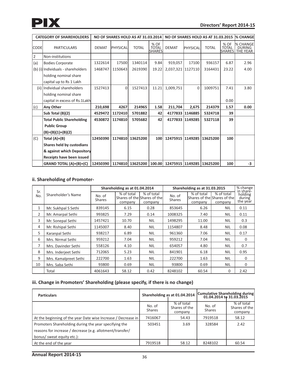

| <b>CATEGORY OF SHAREHOLDERS</b><br>NO OF SHARES HOLD AS AT 31.03.2014 |                                    |              |                 |              | NO OF SHARES HOLD AS AT 31.03.2015 |                   | <b>% CHANGE</b> |                           |                      |                                                         |
|-----------------------------------------------------------------------|------------------------------------|--------------|-----------------|--------------|------------------------------------|-------------------|-----------------|---------------------------|----------------------|---------------------------------------------------------|
| <b>CODE</b>                                                           | <b>PARTICULARS</b>                 | <b>DEMAT</b> | <b>PHYSICAL</b> | <b>TOTAL</b> | % OF<br><b>TOTAL</b><br>lsharesl   | <b>DEMAT</b>      | PHYSICAL        | <b>TOTAL</b>              | % OF<br><b>TOTAL</b> | <b>I% CHANGEI</b><br><b>DURING</b><br> SHARES  THE YEAR |
| $\overline{2}$                                                        | Non-institutions                   |              |                 |              |                                    |                   |                 |                           |                      |                                                         |
| (a)                                                                   | <b>Bodies Corporate</b>            | 1322614      | 17500           | 1340114      | 9.84                               | 919,057           | 17100           | 936157                    | 6.87                 | 2.96                                                    |
|                                                                       | (b) (i) Individuals - shareholders | 1468747      | 1150643         | 2619390      | 19.22                              | 2,037,321 1127110 |                 | 3164431                   | 23.22                | 4.00                                                    |
|                                                                       | holding nominal share              |              |                 |              |                                    |                   |                 |                           |                      |                                                         |
|                                                                       | capital up to Rs 1 Lakh            |              |                 |              |                                    |                   |                 |                           |                      |                                                         |
|                                                                       | (ii) Individual shareholders       | 1527413      | $\Omega$        | 1527413      | 11.21                              | 1,009,751         | $\Omega$        | 1009751                   | 7.41                 | 3.80                                                    |
|                                                                       | holding nominal share              |              |                 |              |                                    |                   |                 |                           |                      |                                                         |
|                                                                       | capital in excess of Rs.1Lakh      |              |                 |              |                                    |                   |                 |                           | 0.00                 |                                                         |
| (c)                                                                   | Any Other                          | 210,698      | 4267            | 214965       | 1.58                               | 211,704           | 2,675           | 214379                    | 1.57                 | 0.00                                                    |
|                                                                       | Sub Total (B)(2)                   | 4529472      | 1172410         | 5701882      | 42                                 |                   | 4177833 1146885 | 5324718                   | 39                   |                                                         |
|                                                                       | <b>Total Public Shareholding</b>   | 4530872      | 1174810         | 5705682      | 42                                 |                   | 4177833 1149285 | 5327118                   | 39                   |                                                         |
|                                                                       | <b>Public Group</b>                |              |                 |              |                                    |                   |                 |                           |                      |                                                         |
|                                                                       | $(B)=(B)(1)+(B)(2)$                |              |                 |              |                                    |                   |                 |                           |                      |                                                         |
| (C)                                                                   | Total $(A)+(B)$                    | 12450390     | 1174810         | 13625200     | 100                                | 12475915 1149285  |                 | 13625200                  | 100                  |                                                         |
|                                                                       | Shares held by custodians          |              |                 |              |                                    |                   |                 |                           |                      |                                                         |
|                                                                       | & against which Depository         |              |                 |              |                                    |                   |                 |                           |                      |                                                         |
|                                                                       | Receipts have been issued          |              |                 |              |                                    |                   |                 |                           |                      |                                                         |
|                                                                       | GRAND TOTAL (A)+(B)+(C)            | 12450390     | 1174810         | 13625200     | 100.00                             |                   |                 | 12475915 1149285 13625200 | 100                  | $-3$                                                    |

# **ii. Shareholding of Promoter-**

|            | Shareholder's Name    |                         | Shareholding as at 01.04.2014 |                                                      |                         | Shareholding as at 31.03.2015 |                                                      | % change<br>in share-         |
|------------|-----------------------|-------------------------|-------------------------------|------------------------------------------------------|-------------------------|-------------------------------|------------------------------------------------------|-------------------------------|
| Sr.<br>No. |                       | No. of<br><b>Shares</b> | % of total<br>company         | % of total<br>Shares of the Shares of the<br>company | No. of<br><b>Shares</b> | % of total<br>company         | % of total<br>Shares of the Shares of the<br>company | holding<br>during<br>the year |
| 1          | Mr. Sukhpal S Sethi   | 839145                  | 6.15                          | 0.28                                                 | 853645                  | 6.26                          | <b>NIL</b>                                           | 0.11                          |
| 2          | Mr. Amarpal Sethi     | 993825                  | 7.29                          | 0.14                                                 | 1008325                 | 7.40                          | <b>NIL</b>                                           | 0.11                          |
| 3          | Mr. Sonepal Sethi     | 1457421                 | 10.70                         | <b>NIL</b>                                           | 1498295                 | 11.00                         | <b>NIL</b>                                           | 0.3                           |
| 4          | Mr. Rishipal Sethi    | 1145007                 | 8.40                          | <b>NIL</b>                                           | 1154807                 | 8.48                          | <b>NIL</b>                                           | 0.08                          |
| 5          | Karanpal Sethi        | 938217                  | 6.89                          | <b>NIL</b>                                           | 961360                  | 7.06                          | <b>NIL</b>                                           | 0.17                          |
| 6          | Mrs. Nirmal Sethi     | 959212                  | 7.04                          | <b>NIL</b>                                           | 959212                  | 7.04                          | <b>NIL</b>                                           | $\mathbf{0}$                  |
| 7          | Mrs. Davinder Sethi   | 558126                  | 4.10                          | <b>NIL</b>                                           | 654057                  | 4.80                          | <b>NIL</b>                                           | 0.7                           |
| 8          | Mrs. Inderjeet Sethi  | 712065                  | 5.23                          | <b>NIL</b>                                           | 841901                  | 6.18                          | <b>NIL</b>                                           | 0.95                          |
| 9          | Mrs. Kamalpreet Sethi | 222700                  | 1.63                          | <b>NIL</b>                                           | 222700                  | 1.63                          | <b>NIL</b>                                           | $\mathbf{0}$                  |
| 10         | Mrs. Saba Sethi       | 93800                   | 0.69                          | <b>NIL</b>                                           | 93800                   | 0.69                          | <b>NIL</b>                                           | $\mathbf{0}$                  |
|            | Total                 | 4061643                 | 58.12                         | 0.42                                                 | 8248102                 | 60.54                         | $\Omega$                                             | 2.42                          |

# **iii. Change in Promoters' Shareholding (please specify, if there is no change)**

| <b>Particulars</b>                                            |                  | Shareholding as at 01.04.2014          | Cumulative Shareholding during<br>01.04.2014 to 31.03.2015 |                                        |  |
|---------------------------------------------------------------|------------------|----------------------------------------|------------------------------------------------------------|----------------------------------------|--|
|                                                               | No. of<br>Shares | % of total<br>Shares of the<br>company | No. of<br><b>Shares</b>                                    | % of total<br>Shares of the<br>company |  |
| At the beginning of the year Date wise Increase / Decrease in | 7416067          | 54.43                                  | 7919518                                                    | 58.12                                  |  |
| Promoters Shareholding during the year specifying the         | 503451           | 3.69                                   | 328584                                                     | 2.42                                   |  |
| reasons for increase / decrease (e.g. allotment/transfer/     |                  |                                        |                                                            |                                        |  |
| bonus/ sweat equity etc.):                                    |                  |                                        |                                                            |                                        |  |
| At the end of the year                                        | 7919518          | 58.12                                  | 8248102                                                    | 60.54                                  |  |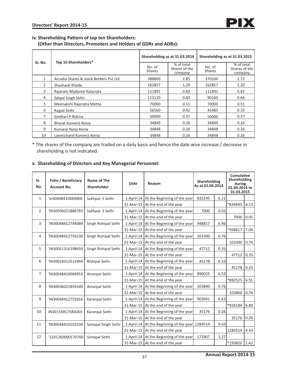### **iv. Shareholding Pattern of top ten Shareholders:**

 **(Other than Directors, Promoters and Holders of GDRs and ADRs):**

| Sr. No.      | Top 10 Shareholders*                   |                         | Shareholding as at 31.03.2014          | Shareholding as at 31.03.2015 |                                        |  |
|--------------|----------------------------------------|-------------------------|----------------------------------------|-------------------------------|----------------------------------------|--|
|              |                                        | No. of<br><b>Shares</b> | % of total<br>Shares of the<br>company | No. of<br><b>Shares</b>       | % of total<br>Shares of the<br>company |  |
| $\mathbf{1}$ | Arcadia Shares & stock Borkers Pyt Ltd | 388800                  | 2.85                                   | 370100                        | 2.72                                   |  |
| 2            | Shashank Khade                         | 162857                  | 1.20                                   | 162857                        | 1.20                                   |  |
| 3            | Rajaram Madanlal Kataruka              | 111891                  | 0.82                                   | 111891                        | 0.82                                   |  |
| 4            | Satpal Singh Sethi                     | 113120                  | 0.83                                   | 90160                         | 0.66                                   |  |
| 5            | Meenakshi Rajendra Mehta               | 70000                   | 0.51                                   | 70000                         | 0.51                                   |  |
| 6            | Rajpal Sethi                           | 56560                   | 0.42                                   | 45485                         | 0.33                                   |  |
| 7            | Girdhari P Rohira                      | 50000                   | 0.37                                   | 50000                         | 0.37                                   |  |
| 8            | Bharat Kunverji Kenia                  | 34849                   | 0.26                                   | 34849                         | 0.26                                   |  |
| 9            | Kunverji Nanji Kenia                   | 34848                   | 0.26                                   | 34848                         | 0.26                                   |  |
| 10           | Laxmichand Kunverji Kenia              | 34848                   | 0.26                                   | 34848                         | 0.26                                   |  |

\* The shares of the company are traded on a daily basis and hence the date wise increase / decrease in shareholding is not indicated.

# **v. Shareholding of Directors and Key Managerial Personnel:**

| Sr.<br>No.     | Folio / Beneficiary<br><b>Account No.</b> | Name of The<br>Shareholder | Date       | Reason                                    | <b>Shareholding</b><br>As at 01.04.2014 |      | <b>Cumulative</b><br><b>Shareholding</b><br>during<br>01.04.2014 to<br>31.03.2015 |      |
|----------------|-------------------------------------------|----------------------------|------------|-------------------------------------------|-----------------------------------------|------|-----------------------------------------------------------------------------------|------|
| $\mathbf{1}$   | 'In30048410069000                         | Sukhpal S Sethi            |            | 1-April-14   At the Beginning of the year | 832145                                  | 6.11 |                                                                                   |      |
|                |                                           |                            | 31-Mar-15  | At the end of the year                    |                                         |      | *834645                                                                           | 6.13 |
| $\overline{2}$ | 'IN30036021886783                         | Sukhpal S Sethi            |            | 1-April-14   At the Beginning of the year | 7000                                    | 0.05 |                                                                                   |      |
|                |                                           |                            |            | 31-Mar-15 At the end of the year          |                                         |      | 7000                                                                              | 0.05 |
| 3              | 'IN30048412744089                         | Singh Rishipal Sethi       | 1-April-14 | At the Beginning of the year              | 948817                                  | 6.96 |                                                                                   |      |
|                |                                           |                            | 31-Mar-15  | At the end of the year                    |                                         |      | *958617                                                                           | 7.04 |
| 4              | 'IN30048412750230                         | Singh Rishipal Sethi       |            | 1-April-14   At the Beginning of the year | 103300                                  | 0.76 |                                                                                   |      |
|                |                                           |                            | 31-Mar-15  | At the end of the year                    |                                         |      | 103300                                                                            | 0.76 |
| 5              | 'IN30051316198659                         | Singh Rishipal Sethi       |            | 1-April-14   At the Beginning of the year | 47712                                   | 0.35 |                                                                                   |      |
|                |                                           |                            |            | 31-Mar-15 At the end of the year          |                                         |      | 47712                                                                             | 0.35 |
| 6              | 'IN30018312515994                         | Rishipal Sethi             | 1-April-14 | At the Beginning of the year              | 45178                                   | 0.33 |                                                                                   |      |
|                |                                           |                            | 31-Mar-15  | At the end of the year                    |                                         |      | 45178                                                                             | 0.33 |
| $\overline{7}$ | 'IN30048410068953                         | Amarpal Sethi              |            | 1-April-14   At the Beginning of the year | 890025                                  | 6.53 |                                                                                   |      |
|                |                                           |                            |            | 31-Mar-15 At the end of the year          |                                         |      | *892525                                                                           | 6.55 |
| 8              | 'IN30036021859240                         | Amarpal Sethi              | 1-April-14 | At the Beginning of the year              | 103800                                  | 0.76 |                                                                                   |      |
|                |                                           |                            |            | 31-Mar-15 At the end of the year          |                                         |      | 103800                                                                            | 0.76 |
| 9              | 'IN30048412755916                         | Karanpal Sethi             |            | 1-April-14 At the Beginning of the year   | 903041                                  | 6.63 |                                                                                   |      |
|                |                                           |                            | 31-Mar-15  | At the end of the year                    |                                         |      | *926184                                                                           | 6.80 |
| 10             | IN30154917583043                          | Karanpal Sethi             | 1-April-14 | At the Beginning of the year              | 35176                                   | 0.26 |                                                                                   |      |
|                |                                           |                            | 31-Mar-15  | At the end of the year                    |                                         |      | 35176                                                                             | 0.26 |
| 11             | 'IN30048410102530                         | Sonepal Singh Sethi        |            | 1-April-14 At the Beginning of the year   | 1284514                                 | 9.43 |                                                                                   |      |
|                |                                           |                            | 31-Mar-15  | At the end of the year                    |                                         |      | 1284514                                                                           | 9.43 |
| 12             | '1201260000170700                         | Sonepal Sethi              |            | 1-April-14   At the Beginning of the year | 172907                                  | 1.27 |                                                                                   |      |
|                |                                           |                            |            | 31-Mar-15 At the end of the year          |                                         |      | *193820                                                                           | 1.42 |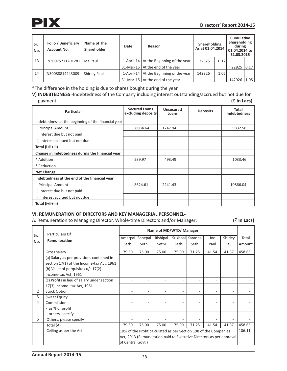

| Sr.<br>No. | Folio / Beneficiary<br><b>Account No.</b> | Name of The<br>Shareholder | Date | Reason                                    | Shareholding<br>As at 01.04.2014 |      | <b>Cumulative</b><br>Shareholding<br>during<br>01.04.2014 to<br>31.03.2015 |      |
|------------|-------------------------------------------|----------------------------|------|-------------------------------------------|----------------------------------|------|----------------------------------------------------------------------------|------|
| 13         | 'IN30075711201281                         | Joe Paul                   |      | 1-April-14   At the Beginning of the year | 22825                            | 0.17 |                                                                            |      |
|            |                                           |                            |      | 31-Mar-15   At the end of the year        |                                  |      | 22825 0.17                                                                 |      |
| 14         | IN30088814243009                          | <b>Shirley Paul</b>        |      | 1-April-14   At the Beginning of the year | 142926                           | 1.05 |                                                                            |      |
|            |                                           |                            |      | 31-Mar-15   At the end of the year        |                                  |      | 142926                                                                     | 1.05 |

\*The difference in the holding is due to shares bought during the year

**V) INDEBTEDNESS** -Indebtedness of the Company including interest outstanding/accrued but not due for payment. **(**` **In Lacs)** 

| <b>Particular</b>                                   | <b>Secured Loans</b><br>excluding deposits | Unsecured<br>Loans | <b>Deposits</b> | Total<br><b>Indebtedness</b> |
|-----------------------------------------------------|--------------------------------------------|--------------------|-----------------|------------------------------|
| Indebtedness at the beginning of the financial year |                                            |                    |                 |                              |
| i) Principal Amount                                 | 8084.64                                    | 1747.94            |                 | 9832.58                      |
| ii) Interest due but not paid                       |                                            |                    |                 |                              |
| iii) Interest accrued but not due                   |                                            |                    |                 |                              |
| Total (i+ii+iii)                                    |                                            |                    |                 |                              |
| Change in Indebtedness during the financial year    |                                            |                    |                 |                              |
| * Addition                                          | 539.97                                     | 493.49             |                 | 1033.46                      |
| * Reduction                                         |                                            |                    |                 |                              |
| <b>Net Change</b>                                   |                                            |                    |                 |                              |
| Indebtedness at the end of the financial year       |                                            |                    |                 |                              |
| i) Principal Amount                                 | 8624.61                                    | 2241.43            |                 | 10866.04                     |
| ii) Interest due but not paid                       |                                            |                    |                 |                              |
| iii) Interest accrued but not due                   |                                            |                    |                 |                              |
| Total (i+ii+iii)                                    |                                            |                    |                 |                              |

### **VI. REMUNERATION OF DIRECTORS AND KEY MANAGERIAL PERSONNEL-**

A. Remuneration to Managing Director, Whole-time Directors and/or Manager: **(**` **In Lacs)** 

|                | <b>Particulars Of</b>                       |                                                                      |         |          | Name of MD/WTD/ Manager  |                          |        |         |        |  |  |  |
|----------------|---------------------------------------------|----------------------------------------------------------------------|---------|----------|--------------------------|--------------------------|--------|---------|--------|--|--|--|
| Sr.            |                                             | Amarpal                                                              | Sonepal | Rishipal |                          | Sukhpal   Karanpal       | Joe    | Shirley | Total  |  |  |  |
| No.            | Remuneration                                | Sethi                                                                | Sethi   | Sethi    | Sethi                    | Sethi                    | Paul   | Paul    | Amount |  |  |  |
| $\mathbf{1}$   | Gross salary                                | 79.50                                                                | 75.00   | 75.00    | 75.00                    | 71.25                    | 41.54  | 41.37   | 458.65 |  |  |  |
|                | (a) Salary as per provisions contained in   |                                                                      |         |          |                          |                          |        |         |        |  |  |  |
|                | section 17(1) of the Income-tax Act, 1961   |                                                                      |         |          |                          |                          |        |         |        |  |  |  |
|                | (b) Value of perquisites u/s 17(2)          |                                                                      |         | ۰        | ۰                        | $\overline{\phantom{0}}$ |        | ٠       |        |  |  |  |
|                | Income-tax Act, 1961                        |                                                                      |         |          |                          |                          |        |         |        |  |  |  |
|                | (c) Profits in lieu of salary under section |                                                                      |         | ۰        | ٠                        |                          |        | ٠       |        |  |  |  |
|                | 17(3) Income- tax Act, 1961                 |                                                                      |         |          |                          |                          |        |         |        |  |  |  |
| $\overline{2}$ | <b>Stock Option</b>                         |                                                                      |         | ٠        | $\overline{\phantom{a}}$ | $\overline{\phantom{0}}$ |        | ٠       |        |  |  |  |
| 3              | Sweat Equity                                |                                                                      |         | ٠        | $\overline{\phantom{a}}$ | $\overline{\phantom{0}}$ |        | ٠       |        |  |  |  |
| 4              | Commission                                  | ٠                                                                    |         | ٠        | $\overline{\phantom{a}}$ | $\overline{\phantom{0}}$ |        | ٠       |        |  |  |  |
|                | - as % of profit                            |                                                                      |         |          |                          |                          |        |         |        |  |  |  |
|                | - others, specify                           |                                                                      |         |          |                          |                          |        |         |        |  |  |  |
| 5              | Others, please specify                      |                                                                      |         |          |                          |                          |        | ٠       |        |  |  |  |
|                | Total (A)                                   | 79.50                                                                | 75.00   | 75.00    | 75.00                    | 71.25                    | 41.54  | 41.37   | 458.65 |  |  |  |
|                | Ceiling as per the Act                      | 10% of the Profit calculated as per Section 198 of the Companies     |         |          |                          |                          | 106.11 |         |        |  |  |  |
|                |                                             | Act, 2013. (Remuneration paid to Executive Directors as per approval |         |          |                          |                          |        |         |        |  |  |  |
|                |                                             | of Central Govt)                                                     |         |          |                          |                          |        |         |        |  |  |  |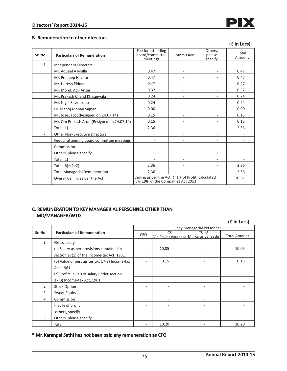

### **B. Remuneration to other directors**

|                |                                                                                                                          |                                                  |            |                              | (₹ In Lacs)     |
|----------------|--------------------------------------------------------------------------------------------------------------------------|--------------------------------------------------|------------|------------------------------|-----------------|
| Sr. No.        | <b>Particulars of Remuneration</b>                                                                                       | Fee for attending<br>board/committee<br>meetings | Commission | Others,<br>please<br>specify | Total<br>Amount |
| $\mathbf{1}$   | <b>Independent Directors</b>                                                                                             |                                                  |            |                              |                 |
|                | Mr. Aqueel A Mulla                                                                                                       | 0.47                                             | ٠          | ٠                            | 0.47            |
|                | Mr. Pradeep Havnur                                                                                                       | 0.47                                             |            |                              | 0.47            |
|                | Mr. Haresh Eidnani                                                                                                       | 0.47                                             |            |                              | 0.47            |
|                | Mr. Mohd. Adil Ansari                                                                                                    | 0.32                                             |            |                              | 0.32            |
|                | Mr. Prakash Chand Khasgiwala                                                                                             | 0.24                                             |            |                              | 0.24            |
|                | Mr. Nigel Savio Lobo                                                                                                     | 0.24                                             |            |                              | 0.24            |
|                | Dr. Manoj Mohan Sajnani                                                                                                  | 0.00                                             |            |                              | 0.00            |
|                | Mr. Jose Jacob(Resigned on 24.07.14)                                                                                     | 0.15                                             | ٠          |                              | 0.15            |
|                | Mr. Om Prakash Arora(Resigned on 24.07.14)                                                                               | 0.15                                             |            |                              | 0.15            |
|                | Total (1)                                                                                                                | 2.36                                             |            |                              | 2.36            |
| $\overline{2}$ | <b>Other Non-Executive Directors</b>                                                                                     | $\overline{\phantom{a}}$                         | ٠          | ٠                            | $\overline{a}$  |
|                | Fee for attending board committee meetings                                                                               |                                                  |            |                              |                 |
|                | Commission                                                                                                               |                                                  |            |                              |                 |
|                | Others, please specify                                                                                                   | $\overline{\phantom{a}}$                         | ٠          | $\overline{\phantom{0}}$     |                 |
|                | Total (2)                                                                                                                |                                                  |            |                              |                 |
|                | Total $(B)=(1+2)$                                                                                                        | 2.36                                             |            |                              | 2.36            |
|                | <b>Total Managerial Remuneration</b>                                                                                     | 2.36                                             |            |                              | 2.36            |
|                | Ceiling as per the Act (@1% of Profit calculated<br>Overall Ceiling as per the Act<br>u/s 198 of the Companies Act 2013) |                                                  |            |                              |                 |

## C. REMUNERATION TO KEY MANAGERIAL PERSONNEL OTHER THAN MD/MANAGER/WTD

**(**` **In Lacs)** 

|                | $\cdots$ - $\cdots$                           |     |                                       |                                 |                     |  |  |  |
|----------------|-----------------------------------------------|-----|---------------------------------------|---------------------------------|---------------------|--|--|--|
|                |                                               |     |                                       | <b>Key Managerial Personnel</b> |                     |  |  |  |
| Sr. No.        | <b>Particulars of Remuneration</b>            | CEO | <b>CS</b>                             | $*$ CFO                         | <b>Total Amount</b> |  |  |  |
|                |                                               |     | Mr. Shybu Varghese Mr. Karanpal Sethi |                                 |                     |  |  |  |
| $\mathbf{1}$   | Gross salary                                  |     |                                       |                                 |                     |  |  |  |
|                | (a) Salary as per provisions contained in     | ۰   | 10.05                                 |                                 | 10.05               |  |  |  |
|                | section 17(1) of the Income-tax Act, 1961     |     |                                       |                                 |                     |  |  |  |
|                | (b) Value of perquisites u/s 17(2) Income-tax | ۰   | 0.15                                  |                                 | 0.15                |  |  |  |
|                | Act, 1961                                     |     |                                       |                                 |                     |  |  |  |
|                | (c) Profits in lieu of salary under section   |     |                                       |                                 |                     |  |  |  |
|                | 17(3) Income-tax Act, 1961                    |     |                                       |                                 |                     |  |  |  |
| $\overline{2}$ | <b>Stock Option</b>                           |     |                                       |                                 |                     |  |  |  |
| 3              | Sweat Equity                                  | ۰   |                                       |                                 |                     |  |  |  |
| 4              | Commission                                    | ۰   |                                       |                                 |                     |  |  |  |
|                | - as % of profit                              | -   |                                       |                                 |                     |  |  |  |
|                | others, specify                               | ۰   |                                       |                                 |                     |  |  |  |
| 5              | Others, please specify                        | -   |                                       |                                 |                     |  |  |  |
|                | Total                                         | ۰   | 10.20                                 |                                 | 10.20               |  |  |  |

\* Mr. Karanpal Sethi has not been paid any remuneration as CFO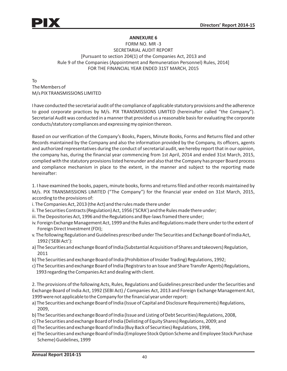# **ANNEXURE 6**

# FORM NO. MR -3 SECRETARIAL AUDIT REPORT [Pursuant to section 204(1) of the Companies Act, 2013 and Rule 9 of the Companies (Appointment and Remuneration Personnel) Rules, 2014] FOR THE FINANCIAL YEAR ENDED 31ST MARCH, 2015

To The Members of M/s PIX TRANSMISSIONS LIMITED

I have conducted the secretarial audit of the compliance of applicable statutory provisions and the adherence to good corporate practices by M/s. PIX TRANSMISSIONS LIMITED (hereinafter called "the Company"). Secretarial Audit was conducted in a manner that provided us a reasonable basis for evaluating the corporate conducts/statutory compliances and expressing my opinion thereon.

Based on our verification of the Company's Books, Papers, Minute Books, Forms and Returns filed and other Records maintained by the Company and also the information provided by the Company, its officers, agents and authorized representatives during the conduct of secretarial audit, we hereby report that in our opinion, the company has, during the financial year commencing from 1st April, 2014 and ended 31st March, 2015, complied with the statutory provisions listed hereunder and also that the Company has proper Board process and compliance mechanism in place to the extent, in the manner and subject to the reporting made hereinafter:

1. I have examined the books, papers, minute books, forms and returns filed and other records maintained by M/s. PIX TRANSMISSIONS LIMITED ("The Company") for the financial year ended on 31st March, 2015, according to the provisions of:

- i. The Companies Act, 2013 (the Act) and the rules made there under
- ii. The Securities Contracts (Regulation) Act, 1956 ('SCRA') and the Rules made there under;
- iii. The Depositories Act, 1996 and the Regulations and Bye-laws framed there under;
- iv. Foreign Exchange Management Act, 1999 and the Rules and Regulations made there under to the extent of Foreign Direct Investment (FDI);
- v. The following Regulation and Guidelines prescribed under The Securities and Exchange Board of India Act, 1992 ('SEBI Act'):
- a) The Securities and exchange Board of India (Substantial Acquisition of Shares and takeovers) Regulation, 2011
- b) The Securities and exchange Board of India (Prohibition of Insider Trading) Regulations, 1992;
- c) The Securities and exchange Board of India (Registrars to an Issue and Share Transfer Agents) Regulations, 1993 regarding the Companies Act and dealing with client.

2. The provisions of the following Acts, Rules, Regulations and Guidelines prescribed under the Securities and Exchange Board of India Act, 1992 (SEBI Act) / Companies Act, 2013 and Foreign Exchange Management Act, 1999 were not applicable to the Company for the financial year under report:

- a) The Securities and exchange Board of India (Issue of Capital and Disclosure Requirements) Regulations, 2009,
- b) The Securities and exchange Board of India (Issue and Listing of Debt Securities) Regulations, 2008,
- c) The Securities and exchange Board of India (Delisting of Equity Shares) Regulations, 2009; and
- d) The Securities and exchange Board of India (Buy Back of Securities) Regulations, 1998,
- e) The Securities and exchange Board of India (Employee Stock Option Scheme and Employee Stock Purchase Scheme) Guidelines, 1999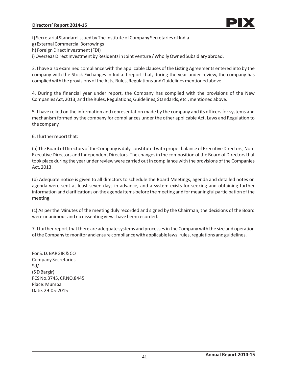f) Secretarial Standard issued by The Institute of Company Secretaries of India

g) External Commercial Borrowings

h) Foreign Direct Investment (FDI)

i) Overseas Direct Investment by Residents in Joint Venture / Wholly Owned Subsidiary abroad.

3. I have also examined compliance with the applicable clauses of the Listing Agreements entered into by the company with the Stock Exchanges in India. I report that, during the year under review, the company has complied with the provisions of the Acts, Rules, Regulations and Guidelines mentioned above.

4. During the financial year under report, the Company has complied with the provisions of the New Companies Act, 2013, and the Rules, Regulations, Guidelines, Standards, etc., mentioned above.

5. I have relied on the information and representation made by the company and its officers for systems and mechanism formed by the company for compliances under the other applicable Act, Laws and Regulation to the company.

6. I further report that:

(a) The Board of Directors of the Company is duly constituted with proper balance of Executive Directors, Non-Executive Directors and Independent Directors. The changes in the composition of the Board of Directors that took place during the year under review were carried out in compliance with the provisions of the Companies Act, 2013.

(b) Adequate notice is given to all directors to schedule the Board Meetings, agenda and detailed notes on agenda were sent at least seven days in advance, and a system exists for seeking and obtaining further information and clarifications on the agenda items before the meeting and for meaningful participation of the meeting.

(c) As per the Minutes of the meeting duly recorded and signed by the Chairman, the decisions of the Board were unanimous and no dissenting views have been recorded.

7. I further report that there are adequate systems and processes in the Company with the size and operation of the Company to monitor and ensure compliancewith applicable laws, rules, regulations and guidelines.

For S. D. BARGIR & CO Company Secretaries Sd/- (S D Bargir) FCS No.3745, CP.NO.8445 Place: Mumbai Date: 29-05-2015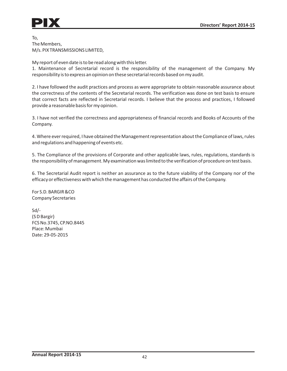To, The Members, M/s. PIX TRANSMISSIONS LIMITED,

My report of even date is to be read along with this letter.

1. Maintenance of Secretarial record is the responsibility of the management of the Company. My responsibility is to express an opinion on these secretarial records based on my audit.

2. I have followed the audit practices and process as were appropriate to obtain reasonable assurance about the correctness of the contents of the Secretarial records. The verification was done on test basis to ensure that correct facts are reflected in Secretarial records. I believe that the process and practices, I followed provide a reasonable basis for my opinion.

3. I have not verified the correctness and appropriateness of financial records and Books of Accounts of the Company.

4. Where ever required, I have obtained the Management representation about the Compliance of laws, rules and regulations and happening of events etc.

5. The Compliance of the provisions of Corporate and other applicable laws, rules, regulations, standards is the responsibility of management. My examination was limited to the verification of procedure on test basis.

6. The Secretarial Audit report is neither an assurance as to the future viability of the Company nor of the efficacyor effectiveness with which the management has conducted the affairs of the Company.

For S.D. BARGIR &CO Company Secretaries

Sd/- (S D Bargir) FCS No.3745, CP.NO.8445 Place: Mumbai Date: 29-05-2015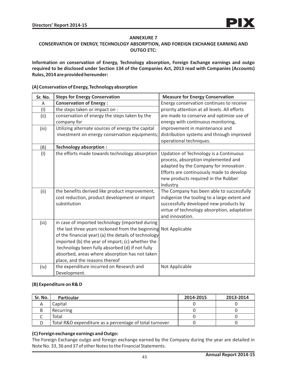## **ANNEXURE 7**

## **CONSERVATION OF ENERGY, TECHNOLOGY ABSORPTION, AND FOREIGN EXCHANGE EARNING AND OUTGO ETC:**

**Information on conservation of Energy, Technology absorption, Foreign Exchange earnings and outgo required to be disclosed under Section 134 of the Companies Act, 2013 read with Companies (Accounts) Rules, 2014 are provided hereunder:**

#### **Sr. No.** A (I) (ii) (iii) (B) (I) (ii) (iii) (iv) **Steps for Energy Conservation Conservation of Energy :** the steps taken or impact on : conservation of energy the steps taken by the company for Utilizing alternate sources of energy the capital investment on energy conservation equipments; **Technology absorption :** the efforts made towards technology absorption the benefits derived like product improvement, cost reduction, product development or import substitution in case of imported technology (imported during the last three years reckoned from the beginning Not Applicable of the financial year) (a) the details of technology imported (b) the year of import; (c) whether the technology been fully absorbed (d) if not fully absorbed, areas where absorption has not taken place, and the reasons thereof the expenditure incurred on Research and Development.  **Measure for Energy Conservation** Energy conservation continues to receive priority attention at all levels. All efforts are made to conserve and optimize use of energy with continuous monitoring, improvement in maintenance and distribution systems and through improved operational techniques. Updation of Technology is a Continuous process, absorption implemented and adapted by the Company for innovation . Efforts are continuously made to develop new products required in the Rubber Industry. The Company has been able to successfully indigenize the tooling to a large extent and successfully developed new products by virtue of technology absorption, adaptation and innovation. Not Applicable

### **(A) Conservation of Energy, Technology absorption**

### **(B) Expenditure on R& D**

| Sr. No. | <b>Particular</b>                                       | 2014-2015 | 2013-2014 |
|---------|---------------------------------------------------------|-----------|-----------|
|         | Capital                                                 |           |           |
|         | Recurring                                               |           |           |
|         | Total                                                   |           |           |
|         | Total R&D expenditure as a percentage of total turnover |           |           |

## **(C) Foreign exchange earnings and Outgo:**

The Foreign Exchange outgo and foreign exchange earned by the Company during the year are detailed in Note No. 33, 36 and 37 of other Notes to the Financial Statements.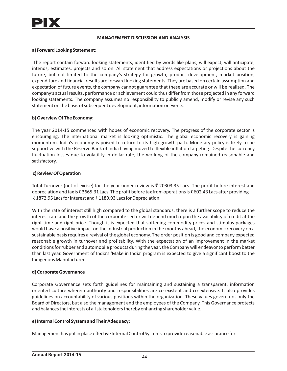### **MANAGEMENT DISCUSSION AND ANALYSIS**

### **a) Forward Looking Statement:**

The report contain forward looking statements, identified by words like plans, will expect, will anticipate, intends, estimates, projects and so on. All statement that address expectations or projections about the future, but not limited to the company's strategy for growth, product development, market position, expenditure and financial results are forward looking statements. They are based on certain assumption and expectation of future events, the company cannot guarantee that these are accurate or will be realized. The company's actual results, performance or achievement could thus differ from those projected in any forward looking statements. The company assumes no responsibility to publicly amend, modify or revise any such statement on the basis of subsequent development, information or events.

### **b) Overview Of The Economy:**

The year 2014-15 commenced with hopes of economic recovery. The progress of the corporate sector is encouraging. The international market is looking optimistic. The global economic recovery is gaining momentum. India's economy is poised to return to its high growth path. Monetary policy is likely to be supportive with the Reserve Bank of India having moved to flexible inflation targeting. Despite the currency fluctuation losses due to volatility in dollar rate, the working of the company remained reasonable and satisfactory.

### **c) Review Of Operation**

Total Turnover (net of excise) for the year under review is  $\bar{\tau}$  20303.35 Lacs. The profit before interest and depreciation and tax is  $\bar{\zeta}$  3665.31 Lacs. The profit before tax from operations is  $\bar{\zeta}$  602.43 Lacs after providing  $\bar{\tau}$  1872.95 Lacs for Interest and  $\bar{\tau}$  1189.93 Lacs for Depreciation.

With the rate of interest still high compared to the global standards, there is a further scope to reduce the interest rate and the growth of the corporate sector will depend much upon the availability of credit at the right time and right price. Though it is expected that softening commodity prices and stimulus packages would have a positive impact on the industrial production in the months ahead, the economic recovery on a sustainable basis requires a revival of the global economy. The order position is good and company expected reasonable growth in turnover and profitability. With the expectation of an improvement in the market conditions for rubber and automobile products during the year, the Company will endeavor to perform better than last year. Government of India's 'Make in India' program is expected to give a significant boost to the Indigenous Manufacturers.

### **d) Corporate Governance**

Corporate Governance sets forth guidelines for maintaining and sustaining a transparent, information oriented culture wherein authority and responsibilities are co-existent and co-extensive. It also provides guidelines on accountability of various positions within the organization. These values govern not only the Board of Directors, but also the management and the employees of the Company. This Governance protects and balances the interests of all stakeholders thereby enhancing shareholder value.

## **e) Internal Control System and Their Adequacy:**

Management has put in place effective Internal Control Systems to provide reasonable assurance for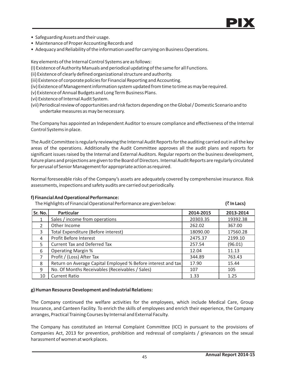

- Safeguarding Assets and their usage.
- Maintenance of Proper Accounting Records and
- Adequacy and Reliability of the information used for carrying on Business Operations.

Key elements of the Internal Control Systems are as follows:

- (I) Existence of Authority Manuals and periodical updating of the same for all Functions.
- (ii) Existence of clearly defined organizational structure and authority.
- (iii) Existence of corporate policies for Financial Reporting and Accounting.
- (iv) Existence of Management information system updated from time to time as may be required.
- (v) Existence of Annual Budgets and Long Term Business Plans.
- (vi) Existence of Internal Audit System.
- (vii) Periodical review of opportunities and risk factors depending on the Global / Domestic Scenario and to undertake measures as may be necessary.

The Company has appointed an Independent Auditor to ensure compliance and effectiveness of the Internal Control Systems in place.

The Audit Committee is regularly reviewing the Internal Audit Reports for the auditing carried out in all the key areas of the operations. Additionally the Audit Committee approves all the audit plans and reports for significant issues raised by the Internal and External Auditors. Regular reports on the business development, future plans and projections are given to the Board of Directors. Internal Audit Reports are regularly circulated for perusal of Senior Management for appropriate action as required.

Normal foreseeable risks of the Company's assets are adequately covered by comprehensive insurance. Risk assessments, inspections and safety audits are carried out periodically.

### **f) Financial And Operational Performance:**

The Highlights of Financial Operational Performance are given below:  $(3 \text{ ln} \text{ Lacs})$ 

| Sr. No.        | <b>Particular</b>                                            | 2014-2015 | 2013-2014 |
|----------------|--------------------------------------------------------------|-----------|-----------|
|                | Sales / income from operations                               | 20303.35  | 19392.38  |
| $\mathfrak{D}$ | Other Income                                                 | 262.02    | 367.00    |
| 3              | Total Expenditure (Before interest)                          | 18090.00  | 17560.28  |
| 4              | Profit Before Interest                                       | 2475.37   | 2199.10   |
| 5              | <b>Current Tax and Deferred Tax</b>                          | 257.54    | (96.01)   |
| 6              | <b>Operating Margin %</b>                                    | 12.04     | 11.13     |
| $\overline{7}$ | Profit / (Loss) After Tax                                    | 344.89    | 763.43    |
| 8              | Return on Average Capital Employed % Before interest and tax | 17.90     | 15.44     |
| 9              | No. Of Months Receivables (Receivables / Sales)              | 107       | 105       |
| 10             | <b>Current Ratio</b>                                         | 1.33      | 1.25      |

### **g) Human Resource Development and Industrial Relations:**

The Company continued the welfare activities for the employees, which include Medical Care, Group Insurance, and Canteen Facility. To enrich the skills of employees and enrich their experience, the Company arranges, Practical Training Courses by Internal and External Faculty.

The Company has constituted an Internal Complaint Committee (ICC) in pursuant to the provisions of Companies Act, 2013 for prevention, prohibition and redressal of complaints / grievances on the sexual harassment of women at work places.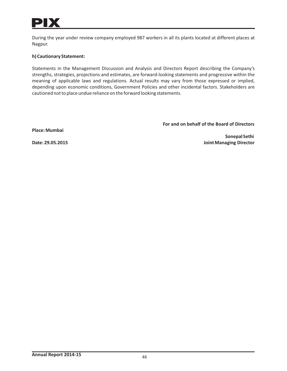

During the year under review company employed 987 workers in all its plants located at different places at Nagpur.

### **h) Cautionary Statement:**

Statements in the Management Discussion and Analysis and Directors Report describing the Company's strengths, strategies, projections and estimates, are forward-looking statements and progressive within the meaning of applicable laws and regulations. Actual results may vary from those expressed or implied, depending upon economic conditions, Government Policies and other incidental factors. Stakeholders are cautioned not to place undue reliance on the forward looking statements.

**Place: Mumbai**

**For and on behalf of the Board of Directors**

 **Sonepal Sethi Date: 29.05.2015 Joint Managing Director**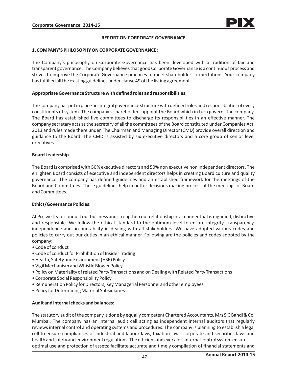### **REPORT ON CORPORATE GOVERNANCE**

#### **1. COMPANY'S PHILOSOPHY ON CORPORATE GOVERNANCE :**

The Company's philosophy on Corporate Governance has been developed with a tradition of fair and transparent governance. The Company believes that good Corporate Governance is a continuous process and strives to improve the Corporate Governance practices to meet shareholder's expectations. Your company has fulfilled all the existing guidelines under clause 49 of the listing agreement.

#### **Appropriate Governance Structure with definedroles and responsibilities:**

The company has put in place an integral governance structure with defined roles and responsibilities of every constituents of system. The company's shareholders appoint the Board which in turn governs the company. The Board has established five committees to discharge its responsibilities in an effective manner. The company secretary acts as the secretary of all the committees of the Board constituted under Companies Act, 2013 and rules made there under. The Chairman and Managing Director (CMD) provide overall direction and guidance to the Board. The CMD is assisted by six executive directors and a core group of senior level executives

#### **Board Leadership**

The Board is comprised with 50% executive directors and 50% non executive non independent directors. The enlighten Board consists of executive and independent directors helps in creating Board culture and quality governance. The company has defined guidelines and an established framework for the meetings of the Board and Committees. These guidelines help in better decisions making process at the meetings of Board and Committees.

### **Ethics/Governance Policies:**

At Pix, we try to conduct our business and strengthen our relationship in a manner that is dignified, distinctive and responsible. We follow the ethical standard to the optimum level to ensure integrity, transparency, independence and accountability in dealing with all stakeholders. We have adopted various codes and policies to carry out our duties in an ethical manner. Following are the policies and codes adopted by the company:

- Code of conduct
- Code of conduct for Prohibition of Insider Trading
- Health, Safety and Environment (HSE) Policy
- Vigil Mechanism and Whistle Blower Policy
- Policy on Materiality of related Party Transactions and on Dealing with Related Party Transactions
- Corporate Social Responsibility Policy
- Remuneration Policy for Directors, Key Managerial Personnel and other employees
- Policy for Determining Material Subsidiaries

### **Audit and internal checks and balances:**

The statutory audit of the company is done by equally competent Chartered Accountants,M/s S.C Bandi & Co, Mumbai. The company has an internal audit cell acting as independent internal auditors that regularly reviews internal control and operating systems and procedures. The company is planning to establish a legal cell to ensure compliances of industrial and labour laws, taxation laws, corporate and securities laws and health and safety and environment regulations. The efficient and ever alert internal control system ensures optimal use and protection of assets; facilitate accurate and timely compilation of financial statements and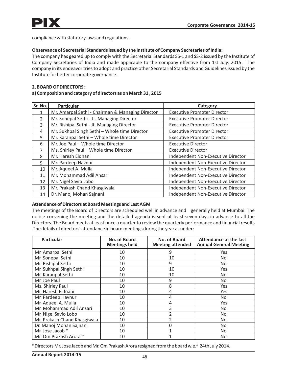compliance with statutory laws and regulations.

### **Observance of Secretarial Standards issued by the Institute of Company Secretaries of India:**

The company has geared up to comply with the Secretarial Standards SS-1 and SS-2 issued by the Institute of Company Secretaries of India and made applicable to the company effective from 1st July, 2015. The company in its endeavor tries to adopt and practice other Secretarial Standards and Guidelines issued by the Institute for better corporate governance.

### **2. BOARD OF DIRECTORS :**

### **a) Composition and category of directors as on March 31 , 2015**

| Sr. No.        | <b>Particular</b>                                | Category                           |
|----------------|--------------------------------------------------|------------------------------------|
|                | Mr. Amarpal Sethi - Chairman & Managing Director | <b>Executive Promoter Director</b> |
| $\mathcal{P}$  | Mr. Sonepal Sethi - Jt. Managing Director        | <b>Executive Promoter Director</b> |
| 3              | Mr. Rishipal Sethi - Jt. Managing Director       | <b>Executive Promoter Director</b> |
| 4              | Mr. Sukhpal Singh Sethi - Whole time Director    | <b>Executive Promoter Director</b> |
| 5              | Mr. Karanpal Sethi - Whole time Director         | <b>Executive Promoter Director</b> |
| 6              | Mr. Joe Paul - Whole time Director               | <b>Executive Director</b>          |
| $\overline{7}$ | Ms. Shirley Paul - Whole time Director           | <b>Executive Director</b>          |
| 8              | Mr. Haresh Eidnani                               | Independent Non-Executive Director |
| 9              | Mr. Pardeep Havnur                               | Independent Non-Executive Director |
| 10             | Mr. Aqueel A. Mulla                              | Independent Non-Executive Director |
| 11             | Mr. Mohammad Adil Ansari                         | Independent Non-Executive Director |
| 12             | Mr. Nigel Savio Lobo                             | Independent Non-Executive Director |
| 13             | Mr. Prakash Chand Khasgiwala                     | Independent Non-Executive Director |
| 14             | Dr. Manoj Mohan Sajnani                          | Independent Non-Executive Director |

### **Attendance of Directors at Board Meetings and Last AGM**

The meetings of the Board of Directors are scheduled well in advance and generally held at Mumbai. The notice convening the meeting and the detailed agenda is sent at least seven days in advance to all the Directors. The Board meets at least once a quarter to review the quarterly performance and financial results .The details of directors' attendance in board meetings during the year as under:

| <b>Particular</b>            | No. of Board<br><b>Meetings held</b> | No. of Board<br><b>Meeting attended</b> | <b>Attendance at the last</b><br><b>Annual General Meeting</b> |
|------------------------------|--------------------------------------|-----------------------------------------|----------------------------------------------------------------|
| Mr. Amarpal Sethi            | 10                                   | 9                                       | Yes                                                            |
| Mr. Sonepal Sethi            | 10                                   | 10                                      | No                                                             |
| Mr. Rishipal Sethi           | 10                                   | 9                                       | No                                                             |
| Mr. Sukhpal Singh Sethi      | 10                                   | 10                                      | Yes                                                            |
| Mr. Karanpal Sethi           | 10                                   | 10                                      | No.                                                            |
| Mr. Joe Paul                 | 10                                   | 9                                       | No.                                                            |
| Ms. Shirley Paul             | 10                                   | 8                                       | Yes                                                            |
| Mr. Haresh Eidnani           | 10                                   | 4                                       | Yes                                                            |
| Mr. Pardeep Havnur           | 10                                   | 4                                       | No                                                             |
| Mr. Aqueel A. Mulla          | 10                                   | 4                                       | Yes                                                            |
| Mr. Mohammad Adil Ansari     | 10                                   | 3                                       | No                                                             |
| Mr. Nigel Savio Lobo         | 10                                   | $\overline{2}$                          | No                                                             |
| Mr. Prakash Chand Khasgiwala | 10                                   | $\overline{2}$                          | No                                                             |
| Dr. Manoj Mohan Sajnani      | 10                                   | 0                                       | No                                                             |
| Mr. Jose Jacob *             | 10                                   | 1                                       | No                                                             |
| Mr. Om Prakash Arora *       | 10                                   |                                         | No                                                             |

\*Directors Mr. Jose Jacob and Mr. Om Prakash Arora resigned from the board w.e.f 24th July 2014.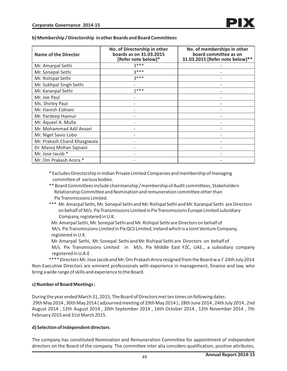| Name of the Director         | No. of Directorship in other<br>boards as on 31.03.2015<br>[Refer note below]* | No. of memberships in other<br>board committee as on<br>31.03.2015 [Refer note below]** |
|------------------------------|--------------------------------------------------------------------------------|-----------------------------------------------------------------------------------------|
| Mr. Amarpal Sethi            | $3***$                                                                         |                                                                                         |
| Mr. Sonepal Sethi            | $3***$                                                                         |                                                                                         |
| Mr. Rishipal Sethi           | $3***$                                                                         |                                                                                         |
| Mr. Sukhpal Singh Sethi      |                                                                                |                                                                                         |
| Mr. Karanpal Sethi           | $1***$                                                                         |                                                                                         |
| Mr. Joe Paul                 |                                                                                |                                                                                         |
| Ms. Shirley Paul             |                                                                                |                                                                                         |
| Mr. Haresh Eidnani           |                                                                                |                                                                                         |
| Mr. Pardeep Havnur           |                                                                                |                                                                                         |
| Mr. Aqueel A. Mulla          |                                                                                |                                                                                         |
| Mr. Mohammad Adil Ansari     |                                                                                |                                                                                         |
| Mr. Nigel Savio Lobo         |                                                                                |                                                                                         |
| Mr. Prakash Chand Khasgiwala |                                                                                |                                                                                         |
| Dr. Manoj Mohan Sajnani      |                                                                                |                                                                                         |
| Mr. Jose Jacob *             |                                                                                |                                                                                         |
| Mr. Om Prakash Arora *       |                                                                                |                                                                                         |

**b) Membership / Directorship in other Boards and Board Committees** 

\* Excludes Directorship in Indian Private Limited Companies and membership of managing committee of various bodies.

- \*\* Board Committees include chairmanship / membership of Audit committees, Stakeholders Relationship Committee and Nomination and remuneration committee other than Pix Transmissions Limited.
- \*\*\* Mr. Amarpal Sethi, Mr. Sonepal Sethi and Mr. Rishipal Sethi and Mr. Karanpal Sethi are Directors on behalf of M/s. Pix Transmissions Limited in Pix Transmissions Europe Limited subsidiary Company, registered in U.K.

 Mr. Amarpal Sethi, Mr. Sonepal Sethi and Mr. Rishipal Sethi are Directors on behalf of M/s. Pix Transmissions Limited in Pix QCS Limited, Ireland which is a Joint Venture Company, registered in U.K.

 Mr. Amarpal Sethi, Mr. Sonepal Sethi and Mr. Rishipal Sethi are Directors on behalf of M/s. Pix Transmissions Limited in M/s. Pix Middle East FZC, UAE., a subsidiary company registered in U.A.E .

\*\*\*\* Directors Mr. Jose Jacob and Mr. Om Prakash Arora resigned from the Board w.e.f 24th July 2014 Non-Executive Directors are eminent professionals with experience in management, finance and law, who bring a wide range of skills and experience to the Board.

### **c) Number of Board Meetings :**

During the year ended March 31, 2015, The Board of Directors met ten times on following dates: 29th May 2014 , 30th May 2014 ( adjourned meeting of 29th May 2014 ) , 28th June 2014 , 24th July 2014 , 2nd August 2014 , 12th August 2014 , 20th September 2014 , 16th October 2014 , 12th November 2014 , 7th February 2015 and 31st March 2015 .

### **d) Selection of Independent directors**

The company has constituted Nomination and Remuneration Committee for appointment of independent directors on the Board of the company. The committee inter alia considers qualification, positive attributes,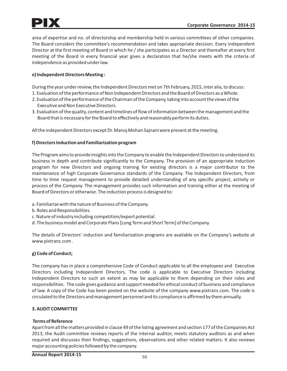area of expertise and no. of directorship and membership held in various committees of other companies. The Board considers the committee's recommendation and takes appropriate decision. Every independent Director at the first meeting of Board in which he / she participates as a Director and thereafter at every first meeting of the Board in every financial year gives a declaration that he/she meets with the criteria of independence as provided under law.

## **e) Independent Directors Meeting :**

During the year under review, the Independent Directors met on 7th February, 2015, inter alia, to discuss:

- 1. Evaluation of the performance of Non Independent Directors and the Board of Directors as a Whole.
- 2. Evaluation of the performance of the Chairman of the Company, taking into account the views of the Executive and Non Executive Directors.
- 3. Evaluation of the quality, content and timelines of flow of information between the management and the Board that is necessary for the Board to effectively and reasonably perform its duties.

All the independent Directors except Dr. Manoj Mohan Sajnani were present at the meeting.

### **f) Directors Induction and Familiarization program**

The Program aims to provide insights into the Company to enable the Independent Directors to understand its business in depth and contribute significantly to the Company. The provision of an appropriate induction program for new Directors and ongoing training for existing directors is a major contributor to the maintenance of high Corporate Governance standards of the Company. The Independent Directors, from time to time request management to provide detailed understanding of any specific project, activity or process of the Company. The management provides such information and training either at the meeting of Board of Directors or otherwise. The induction process is designed to:

- a. Familiarize with the nature of Business of the Company.
- b. Roles and Responsibilities.
- c. Nature of industry including competition/export potential.
- d. The business model and Corporate Plans [Long Term and Short Term] of the Company

The details of Directors' induction and familiarization programs are available on the Company's website at www.pixtrans.com .

## **g) Code of Conduct;**

The company has in place a comprehensive Code of Conduct applicable to all the employees and Executive Directors including Independent Directors. The code is applicable to Executive Directors including Independent Directors to such an extent as may be applicable to them depending on their roles and responsibilities. The code gives guidance and support needed for ethical conduct of business and compliance of law. A copy of the Code has been posted on the website of the company www.pixtrans.com. The code is circulated to the Directors and management personnel and its compliance is affirmed by them annually.

## **3. AUDIT COMMITTEE**

### **Terms of Reference**

Apart from all the matters provided in clause 49 of the listing agreement and section 177 of the Companies Act 2013, the Audit committee reviews reports of the internal auditor, meets statutory auditors as and when required and discusses their findings, suggestions, observations and other related matters. It also reviews major accounting policies followed by the company.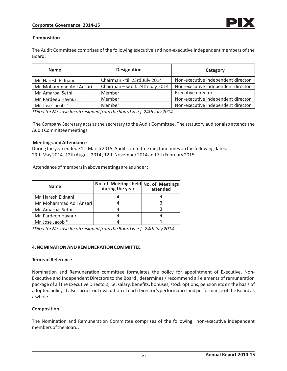### **Composition**

The Audit Committee comprises of the following executive and non-executive independent members of the Board:

| <b>Name</b>              | <b>Designation</b>               | Category                           |
|--------------------------|----------------------------------|------------------------------------|
| Mr. Haresh Eidnani       | Chairman - till 23rd July 2014   | Non-executive independent director |
| Mr. Mohammad Adil Ansari | Chairman - w.e.f. 24th July 2014 | Non-executive independent director |
| Mr. Amarpal Sethi        | Member                           | <b>Executive director</b>          |
| Mr. Pardeep Havnur       | Member                           | Non-executive independent director |
| Mr. Jose Jacob *         | Member                           | Non-executive independent director |

*\*Director Mr. Jose Jacob resigned from the board w.e.f 24th July 2014 .* 

The Company Secretary acts as the secretary to the Audit Committee. The statutory auditor also attends the Audit Committee meetings.

### **Meetings and Attendance**

During the year ended 31st March 2015, Audit committee met four times on the following dates: 29th May 2014 , 12th August 2014 , 12th November 2014 and 7th February 2015.

Attendance of members in above meetings are as under :

| <b>Name</b>              | No. of Meetings held No. of Meetings<br>during the year | attended |
|--------------------------|---------------------------------------------------------|----------|
| Mr. Haresh Eidnani       |                                                         |          |
| Mr. Mohammad Adil Ansari |                                                         |          |
| Mr. Amarpal Sethi        |                                                         |          |
| Mr. Pardeep Havnur       |                                                         |          |
| Mr. Jose Jacob *         |                                                         |          |

*\*Director Mr. Jose Jacob resigned from the Board w.e.f. 24th July 2014.* 

### **4. NOMINATION AND REMUNERATION COMMITTEE**

#### **Terms of Reference**

Nomination and Remuneration committee formulates the policy for appointment of Executive, Non-Executive and Independent Directors to the Board , determines / recommend all elements of remuneration package of all the Executive Directors, i.e. salary, benefits, bonuses, stock options, pension etc on the basis of adopted policy. It also carries out evaluation of each Director's performance and performance of the Board as a whole.

### **Composition**

The Nomination and Remuneration Committee comprises of the following non-executive independent members of the Board: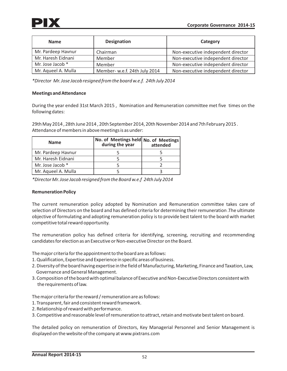| <b>Name</b>         | <b>Designation</b>            | Category                           |
|---------------------|-------------------------------|------------------------------------|
| Mr. Pardeep Havnur  | Chairman                      | Non-executive independent director |
| Mr. Haresh Eidnani  | Member                        | Non-executive independent director |
| Mr. Jose Jacob *    | Member                        | Non-executive independent director |
| Mr. Aqueel A. Mulla | Member- w.e.f. 24th July 2014 | Non-executive independent director |

*\*Director Mr. Jose Jacob resigned from the board w.e.f. 24th July 2014*

### **Meetings and Attendance**

During the year ended 31st March 2015 , Nomination and Remuneration committee met five times on the following dates:

29th May 2014 , 28th June 2014 , 20th September 2014, 20th November 2014 and 7th February 2015 . Attendance of members in above meetings is as under:

| <b>Name</b>         | No. of Meetings held No. of Meetings<br>during the year | attended |
|---------------------|---------------------------------------------------------|----------|
| Mr. Pardeep Havnur  |                                                         |          |
| Mr. Haresh Eidnani  |                                                         |          |
| Mr. Jose Jacob *    |                                                         |          |
| Mr. Aqueel A. Mulla |                                                         |          |

*\*Director Mr. Jose Jacob resigned from the Board w.e.f 24th July 2014*

## **Remuneration Policy**

The current remuneration policy adopted by Nomination and Remuneration committee takes care of selection of Directors on the board and has defined criteria for determining their remuneration .The ultimate objective of formulating and adopting remuneration policy is to provide best talent to the board with market competitive total reward opportunity.

The remuneration policy has defined criteria for identifying, screening, recruiting and recommending candidates for election as an Executive or Non-executive Director on the Board.

The major criteria for the appointment to the board are as follows:

- 1. Qualification, Expertise and Experience in specific areas of business.
- 2. Diversity of the board having expertise in the field of Manufacturing, Marketing, Finance and Taxation, Law, Governance and General Management.
- 3. Composition of the board with optimal balance of Executive and Non-Executive Directors consistent with the requirements of law.

The major criteria for the reward / remuneration are as follows:

- 1. Transparent, fair and consistent reward framework.
- 2. Relationship of reward with performance.
- 3. Competitive and reasonable level of remuneration to attract, retain and motivate best talent on board.

The detailed policy on remuneration of Directors, Key Managerial Personnel and Senior Management is displayed on the website of the company at www.pixtrans.com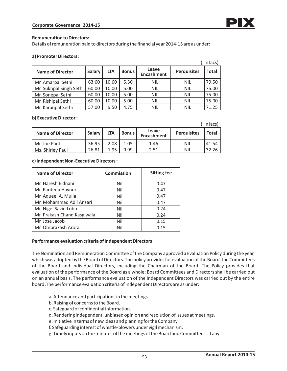#### **Remuneration to Directors:**

Details of remuneration paid to directors during the financial year 2014-15 are as under:

#### **a) Promoter Directors :**

|                         |               |            |              |                            |                    | (`in lacs)   |
|-------------------------|---------------|------------|--------------|----------------------------|--------------------|--------------|
| <b>Name of Director</b> | <b>Salary</b> | <b>LTA</b> | <b>Bonus</b> | Leave<br><b>Encashment</b> | <b>Perquisites</b> | <b>Total</b> |
| Mr. Amarpal Sethi       | 63.60         | 10.60      | 5.30         | <b>NIL</b>                 | <b>NIL</b>         | 79.50        |
| Mr. Sukhpal Singh Sethi | 60.00         | 10.00      | 5.00         | <b>NIL</b>                 | <b>NIL</b>         | 75.00        |
| Mr. Sonepal Sethi       | 60.00         | 10.00      | 5.00         | <b>NIL</b>                 | <b>NIL</b>         | 75.00        |
| Mr. Rishipal Sethi      | 60.00         | 10.00      | 5.00         | <b>NIL</b>                 | <b>NIL</b>         | 75.00        |
| Mr. Karanpal Sethi      | 57.00         | 9.50       | 4.75         | <b>NIL</b>                 | <b>NIL</b>         | 71.25        |

#### **b) Executive Director :**

|                         |               |            |                |                            |                    | (`in lacs) |
|-------------------------|---------------|------------|----------------|----------------------------|--------------------|------------|
| <b>Name of Director</b> | <b>Salary</b> | <b>LTA</b> | <b>Bonus</b> l | Leave<br><b>Encashment</b> | <b>Perquisites</b> | Total      |
| Mr. Joe Paul            | 36.95         | 2.08       | 1.05           | 1.46                       | <b>NIL</b>         | 41.54      |
| Ms. Shirley Paul        | 26.81         | 1.95       | 0.99           | 2.51                       | NIL                | 32.26      |

#### **c) Independent Non-Executive Directors :**

| <b>Name of Director</b>     | <b>Commission</b> | <b>Sitting fee</b> |
|-----------------------------|-------------------|--------------------|
| Mr. Haresh Eidnani          | Nil               | 0.47               |
| Mr. Pardeep Havnur          | Nil               | 0.47               |
| Mr. Aqueel A. Mulla         | Nil               | 0.47               |
| Mr. Mohammad Adil Ansari    | Nil               | 0.47               |
| Mr. Nigel Savio Lobo        | Nil               | 0.24               |
| Mr. Prakash Chand Kasgiwala | Nil               | 0.24               |
| Mr. Jose Jacob              | Nil               | 0.15               |
| Mr. Omprakash Arora         | Nil               | 0.15               |

### **Performance evaluation criteria of Independent Directors**

The Nomination and Remuneration Committee of the Company approved a Evaluation Policy during the year, which was adopted by the Board of Directors. The policy provides for evaluation of the Board, the Committees of the Board and individual Directors, including the Chairman of the Board. The Policy provides that evaluation of the performance of the Board as a whole; Board Committees and Directors shall be carried out on an annual basis. The performance evaluation of the Independent Directors was carried out by the entire board .The performance evaluation criteria of Independent Directors are as under:

- a. Attendance and participations in the meetings.
- b. Raising of concerns to the Board.
- c. Safeguard of confidential information.
- d. Rendering independent, unbiased opinion and resolution of issues at meetings.
- e. Initiative in terms of new ideas and planning for the Company.
- f. Safeguarding interest of whistle-blowers under vigil mechanism.
- g. Timely inputs on the minutes of the meetings of the Board and Committee's, if any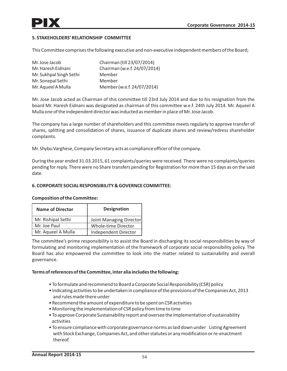### **5. STAKEHOLDERS' RELATIONSHIP COMMITTEE**

This Committee comprises the following executive and non-executive independent members of the Board;

| Mr. Jose Jacob          | Chairman (till 23/07/2014)   |
|-------------------------|------------------------------|
| Mr. Haresh Eidnani      | Chairman (w.e.f. 24/07/2014) |
| Mr. Sukhpal Singh Sethi | Member                       |
| Mr. Sonepal Sethi       | Member                       |
| Mr. Aqueel A Mulla      | Member (w.e.f. 24/07/2014)   |

Mr. Jose Jacob acted as Chairman of this committee till 23rd July 2014 and due to his resignation from the board Mr. Haresh Eidnani was designated as chairman of this committee w.e.f. 24th July 2014. Mr. Aqueel A Mulla one of the independent director was inducted as member in place of Mr. Jose Jacob.

The company has a large number of shareholders and this committee meets regularly to approve transfer of shares, splitting and consolidation of shares, issuance of duplicate shares and review/redress shareholder complaints.

Mr. Shybu Varghese, Company Secretary acts as complianceofficer of the company.

During the year ended 31.03.2015, 61 complaints/queries were received. There were no complaints/queries pending for reply. There were no Share transfers pending for Registration for more than 15 days as on the said date.

### **6. CORPORATE SOCIAL RESPONSIBILITY & GOVERNCE COMMITTEE:**

| <b>Name of Director</b> | <b>Designation</b>      |
|-------------------------|-------------------------|
| Mr. Rishipal Sethi      | Joint Managing Director |
| Mr. Joe Paul            | Whole-time Director     |
| Mr. Aqueel A Mulla      | Independent Director    |

#### **Composition of the Committee:**

The committee's prime responsibility is to assist the Board in discharging its social responsibilities by way of formulating and monitoring implementation of the framework of corporate social responsibility policy. The Board has also empowered the committee to look into the matter related to sustainability and overall governance.

### **Terms of references of the Committee, inter alia includes the following:**

- To formulate and recommend to Board a Corporate Social Responsibility (CSR) policy
- Indicating activities to be undertaken in complianceof the provisions of the Companies Act, 2013 and rules made there under
- Recommend the amount of expenditure to be spent on CSR activities
- Monitoring the implementation of CSR policy from time to time
- To approve Corporate Sustainability report and oversee the implementation of sustainability activities
- To ensure compliancewith corporate governance norms as laid down under Listing Agreement with Stock Exchange, Companies Act, and other statutes or any modification or re-enactment thereof.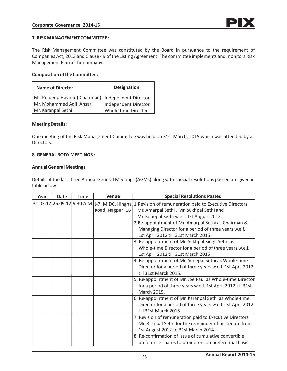### **7. RISK MANAGEMENT COMMITTEE :**

The Risk Management Committee was constituted by the Board in pursuance to the requirement of Companies Act, 2013 and Clause 49 of the Listing Agreement. The committee implements and monitors Risk Management Plan of the company.

### **Composition of the Committee:**

| <b>Name of Director</b>                              | <b>Designation</b>         |
|------------------------------------------------------|----------------------------|
| Mr. Pradeep Havnur (Chairman)   Independent Director |                            |
| Mr. Mohammed Adil Ansari                             | Independent Director       |
| Mr. Karanpal Sethi                                   | <b>Whole-time Director</b> |

#### **Meeting Details:**

One meeting of the Risk Management Committee was held on 31st March, 2015 which was attended by all Directors.

### **8. GENERAL BODY MEETINGS :**

#### **Annual General Meetings**

Details of the last three Annual General Meetings (AGMs) along with special resolutions passed are given in table below:

| Year | <b>Date</b> | <b>Time</b> | <b>Venue</b>    | <b>Special Resolutions Passed</b>                                                                      |
|------|-------------|-------------|-----------------|--------------------------------------------------------------------------------------------------------|
|      |             |             |                 | 31.03.12 26.09.12 9.30 A.M. J.-7, MIDC, Hingna 1. Revision of remuneration paid to Executive Directors |
|      |             |             | Road, Nagpur-16 | Mr. Amarpal Sethi, Mr. Sukhpal Sethi and                                                               |
|      |             |             |                 | Mr. Sonepal Sethi w.e.f. 1st August 2012                                                               |
|      |             |             |                 | 2. Re-appointment of Mr. Amarpal Sethi as Chairman &                                                   |
|      |             |             |                 | Managing Director for a period of three years w.e.f.                                                   |
|      |             |             |                 | 1st April 2012 till 31st March 2015.                                                                   |
|      |             |             |                 | 3. Re-appointment of Mr. Sukhpal Singh Sethi as                                                        |
|      |             |             |                 | Whole-time Director for a period of three years w.e.f.                                                 |
|      |             |             |                 | 1st April 2012 till 31st March 2015.                                                                   |
|      |             |             |                 | 4. Re-appointment of Mr. Sonepal Sethi as Whole-time                                                   |
|      |             |             |                 | Director for a period of three years w.e.f. 1st April 2012                                             |
|      |             |             |                 | till 31st March 2015.                                                                                  |
|      |             |             |                 | 5. Re-appointment of Mr. Joe Paul as Whole-time Director                                               |
|      |             |             |                 | for a period of three years w.e.f. 1st April 2012 till 31st                                            |
|      |             |             |                 | March 2015.                                                                                            |
|      |             |             |                 | 6. Re-appointment of Mr. Karanpal Sethi as Whole-time                                                  |
|      |             |             |                 | Director for a period of three years w.e.f. 1st April 2012                                             |
|      |             |             |                 | till 31st March 2015.                                                                                  |
|      |             |             |                 | 7. Revision of remuneration paid to Executive Directors                                                |
|      |             |             |                 | Mr. Rishipal Sethi for the remainder of his tenure from                                                |
|      |             |             |                 | 1st August 2012 to 31st March 2014.                                                                    |
|      |             |             |                 | 8. Re-confirmation of Issue of cumulative convertible                                                  |
|      |             |             |                 | preference shares to promoters on preferential basis.                                                  |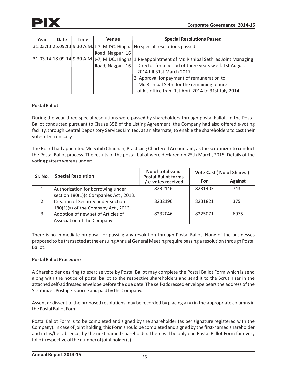

| Year | Date | Time | Venue           | <b>Special Resolutions Passed</b>                                                                      |
|------|------|------|-----------------|--------------------------------------------------------------------------------------------------------|
|      |      |      |                 | 31.03.13 25.09.13 9.30 A.M. J-7, MIDC, Hingna No special resolutions passed.                           |
|      |      |      | Road, Nagpur-16 |                                                                                                        |
|      |      |      |                 | 31.03.14 18.09.14 9.30 A.M. J-7, MIDC, Hingna 1.Re-appointment of Mr. Rishipal Sethi as Joint Managing |
|      |      |      |                 | Road, Nagpur-16   Director for a period of three years w.e.f. 1st August                               |
|      |      |      |                 | 2014 till 31st March 2017.                                                                             |
|      |      |      |                 | 2. Approval for payment of remuneration to                                                             |
|      |      |      |                 | Mr. Rishipal Sethi for the remaining tenure                                                            |
|      |      |      |                 | of his office from 1st April 2014 to 31st July 2014.                                                   |

## **Postal Ballot**

During the year three special resolutions were passed by shareholders through postal ballot. In the Postal Ballot conducted pursuant to Clause 35B of the Listing Agreement, the Company had also offered e-voting facility, through Central Depository Services Limited, as an alternate, to enable the shareholders to cast their votes electronically.

The Board had appointed Mr. Sahib Chauhan, Practicing Chartered Accountant, as the scrutinizer to conduct the Postal Ballot process. The results of the postal ballot were declared on 25th March, 2015. Details of the voting pattern were as under:

| Sr. No.        | <b>Special Resolution</b>             | No of total valid<br><b>Postal Ballot forms</b> | Vote Cast (No of Shares) |                |  |
|----------------|---------------------------------------|-------------------------------------------------|--------------------------|----------------|--|
|                |                                       | e-votes received                                | For                      | <b>Against</b> |  |
|                | Authorization for borrowing under     | 8232146                                         | 8231403                  | 743            |  |
|                | section 180(1)(c Companies Act, 2013. |                                                 |                          |                |  |
| $\overline{2}$ | Creation of Security under section    | 8232196                                         | 8231821                  | 375            |  |
|                | 180(1)(a) of the Company Act, 2013.   |                                                 |                          |                |  |
| 3              | Adoption of new set of Articles of    | 8232046                                         | 8225071                  | 6975           |  |
|                | Association of the Company            |                                                 |                          |                |  |

There is no immediate proposal for passing any resolution through Postal Ballot. None of the businesses proposed to be transacted at the ensuing Annual General Meeting require passing a resolution through Postal Ballot.

## **Postal Ballot Procedure**

A Shareholder desiring to exercise vote by Postal Ballot may complete the Postal Ballot Form which is send along with the notice of postal ballot to the respective shareholders and send it to the Scrutinizer in the attached self-addressed envelope before the due date. The self-addressed envelope bears the address of the Scrutinizer. Postage is borne and paid by the Company.

Assent or dissent to the proposed resolutions may be recorded by placing a (v) in the appropriate columns in the Postal Ballot Form.

Postal Ballot Form is to be completed and signed by the shareholder (as per signature registered with the Company). In case of joint holding, this Form should be completed and signed by the first-named shareholder and in his/her absence, by the next named shareholder. There will be only one Postal Ballot Form for every folio irrespective of the number of joint holder(s).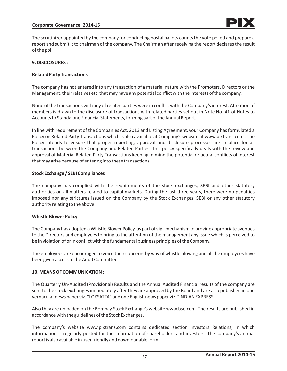The scrutinizer appointed by the company for conducting postal ballots counts the vote polled and prepare a report and submit it to chairman of the company. The Chairman after receiving the report declares the result of the poll.

### **9. DISCLOSURES :**

### **Related Party Transactions**

The company has not entered into any transaction of a material nature with the Promoters, Directors or the Management, their relatives etc. that may have any potential conflict with the interests of the company.

None of the transactions with any of related parties were in conflict with the Company's interest. Attention of members is drawn to the disclosure of transactions with related parties set out in Note No. 41 of Notes to Accounts to Standalone Financial Statements, forming part of the Annual Report.

In line with requirement of the Companies Act, 2013 and Listing Agreement, your Company has formulated a Policy on Related Party Transactions which is also available at Company's website at www.pixtrans.com . The Policy intends to ensure that proper reporting, approval and disclosure processes are in place for all transactions between the Company and Related Parties. This policy specifically deals with the review and approval of Material Related Party Transactions keeping in mind the potential or actual conflicts of interest that may arise because of entering into these transactions.

### **Stock Exchange / SEBI Compliances**

The company has complied with the requirements of the stock exchanges, SEBI and other statutory authorities on all matters related to capital markets. During the last three years, there were no penalties imposed nor any strictures issued on the Company by the Stock Exchanges, SEBI or any other statutory authority relating to the above.

### **Whistle Blower Policy**

The Company has adopted a Whistle Blower Policy, as part of vigil mechanism to provide appropriate avenues to the Directors and employees to bring to the attention of the management any issue which is perceived to be in violation of or in conflict with the fundamental business principles of the Company.

The employees are encouraged to voice their concerns by way of whistle blowing and all the employees have been given access to the Audit Committee.

### **10. MEANS OF COMMUNICATION :**

The Quarterly Un-Audited (Provisional) Results and the Annual Audited Financial results of the company are sent to the stock exchanges immediately after they are approved by the Board and are also published in one vernacular news paper viz. "LOKSATTA" and one English news paper viz. "INDIAN EXPRESS".

Also they are uploaded on the Bombay Stock Exchange's website www.bse.com. The results are published in accordance with the guidelines of the Stock Exchanges.

The company's website www.pixtrans.com contains dedicated section Investors Relations, in which information is regularly posted for the information of shareholders and investors. The company's annual report is also available in user friendly and downloadable form.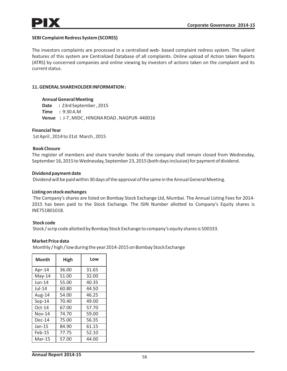### **SEBI Complaint Redress System (SCORES)**

The investors complaints are processed in a centralized web- based complaint redress system. The salient features of this system are Centralized Database of all complaints. Online upload of Action taken Reports (ATRS) by concerned companies and online viewing by investors of actions taken on the complaint and its current status.

### **11. GENERAL SHAREHOLDER INFORMATION :**

 **Annual General Meeting Date :** 23rd September , 2015  **Time :** 9:30 A.M  **Venue :** J-7 , MIDC , HINGNA ROAD , NAGPUR- 440016

**Financial Year** 

1st April , 2014 to 31st March , 2015

### **Book Closure**

The register of members and share transfer books of the company shall remain closed from Wednesday, September 16, 2015 to Wednesday, September 23, 2015 (both days inclusive) for payment of dividend.

#### **Dividend payment date**

Dividend will be paid within 30 days of the approval of the same in the Annual General Meeting.

### **Listing on stock exchanges**

The Company's shares are listed on Bombay Stock Exchange Ltd, Mumbai. The Annual Listing Fees for 2014- 2015 has been paid to the Stock Exchange. The ISIN Number allotted to Company's Equity shares is INE751B01018.

### **Stock code**

Stock / scrip code allotted by Bombay Stock Exchange to company's equity shares is 500333.

### **Market Price data**

Monthly / high / low during the year 2014-2015 on Bombay Stock Exchange

| Month         | High  | Low   |
|---------------|-------|-------|
| Apr-14        | 36.00 | 31.65 |
| $May-14$      | 51.00 | 32.00 |
| $Jun-14$      | 55.00 | 40.35 |
| $Jul-14$      | 60.80 | 44.50 |
| Aug-14        | 54.00 | 46.25 |
| $Sep-14$      | 70.40 | 49.00 |
| $Oct-14$      | 67.00 | 57.70 |
| <b>Nov-14</b> | 74.70 | 59.00 |
| $Dec-14$      | 75.00 | 56.35 |
| Jan-15        | 84.90 | 61.15 |
| $Feb-15$      | 77.75 | 52.10 |
| Mar-15        | 57.00 | 44.00 |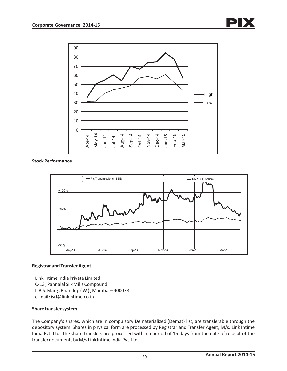

## **Stock Performance**



## **Registrar and Transfer Agent**

 Link Intime India Private Limited C-13 , Pannalal Silk Mills Compound L.B.S. Marg , Bhandup ( W ) , Mumbai – 400078 e-mail : isrl@linkintime.co.in

## **Share transfer system**

The Company's shares, which are in compulsory Dematerialized (Demat) list, are transferable through the depository system. Shares in physical form are processed by Registrar and Transfer Agent, M/s. Link Intime India Pvt. Ltd. The share transfers are processed within a period of 15 days from the date of receipt of the transfer documents by M/s Link Intime India Pvt. Ltd.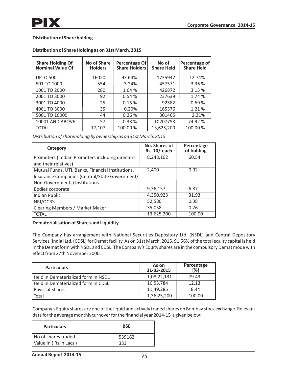## **Distribution of Share holding**

| <b>Share Holding Of</b><br><b>Nominal Value Of</b> | <b>No of Share</b><br><b>Holders</b> | <b>Percentage Of</b><br><b>Share Holders</b> | No of<br><b>Share Held</b> | Percentage of<br><b>Share Held</b> |
|----------------------------------------------------|--------------------------------------|----------------------------------------------|----------------------------|------------------------------------|
| <b>UPTO 500</b>                                    | 16020                                | 93.64%                                       | 1735942                    | 12.74%                             |
| 501 TO 1000                                        | 554                                  | 3.24%                                        | 457571                     | 3.36 %                             |
| 1001 TO 2000                                       | 280                                  | 1.64 %                                       | 426872                     | 3.13 %                             |
| 2001 TO 3000                                       | 92                                   | 0.54%                                        | 237639                     | 1.74 %                             |
| 3001 TO 4000                                       | 25                                   | 0.15%                                        | 92582                      | 0.69%                              |
| 4001 TO 5000                                       | 35                                   | 0.20%                                        | 165376                     | 1.21 %                             |
| 5001 TO 10000                                      | 44                                   | 0.26%                                        | 301465                     | 2.21%                              |
| 10001 AND ABOVE                                    | 57                                   | 0.33%                                        | 10207753                   | 74.92 %                            |
| <b>TOTAL</b>                                       | 17,107                               | 100.00%                                      | 13,625,200                 | 100.00 %                           |

## **Distribution of Share Holding as on 31st March, 2015**

*Distribution of shareholding by ownership as on 31st March, 2015*

| Category                                                                                                                             | No. Shares of<br>Rs. 10/-each | Percentage<br>of holding |
|--------------------------------------------------------------------------------------------------------------------------------------|-------------------------------|--------------------------|
| Promoters (Indian Promoters including directors<br>and their relatives)                                                              | 8,248,102                     | 60.54                    |
| Mutual Funds, UTI, Banks, Financial Institutions,<br>Insurance Companies (Central/State Government/<br>Non-Governments) Institutions | 2,400                         | 0.02                     |
| Bodies corporate                                                                                                                     | 9,36,157                      | 6.87                     |
| <b>Indian Public</b>                                                                                                                 | 4,350,923                     | 31.93                    |
| NRI/OCB's                                                                                                                            | 52,580                        | 0.38                     |
| Clearing Members / Market Maker                                                                                                      | 35,038                        | 0.26                     |
| <b>TOTAL</b>                                                                                                                         | 13,625,200                    | 100.00                   |

### **Dematerialisation of Shares and Liquidity**

The Company has arrangement with National Securities Depository Ltd. (NSDL) and Central Depository Services [India] Ltd. (CDSL) for Demat facility. As on 31st March, 2015, 91.56% of the total equity capital is held in the Demat form with NSDL and CDSL. The Company's Equity shares are in the compulsory Demat mode with effect from 27th November 2000.

| <b>Particulars</b>                  | As on<br>31-03-2015 | Percentage<br>[%] |
|-------------------------------------|---------------------|-------------------|
| Held in Dematerialized form in NSDL | 1,08,22,131         | 79.43             |
| Held in Dematerialized form in CDSL | 16,53,784           | 12.13             |
| <b>Physical Shares</b>              | 11,49,285           | 8.44              |
| Total                               | 1,36,25,200         | 100.00            |

Company's Equity shares are one of the liquid and actively traded shares on Bombay stock exchange. Relevant data for the average monthly turnover for the financial year 2014-15 is given below:

| <b>Particulars</b>    | <b>BSF</b> |
|-----------------------|------------|
| l No of shares traded | 539162     |
| Value in (Rs in Lacs) | २२२        |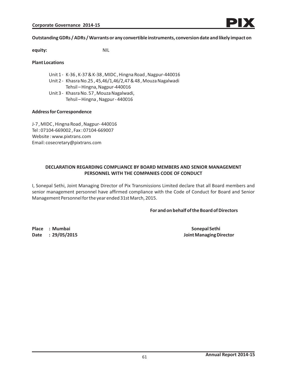### **Outstanding GDRs / ADRs / Warrants or any convertible instruments, conversion date and likely impact on**

**equity:** NIL

### **Plant Locations**

- Unit 1 K-36 , K-37 & K-38 , MIDC , Hingna Road , Nagpur-440016
- Unit 2 Khasra No.25 , 45,46/1,46/2,47 & 48 , Mouza Nagalwadi Tehsil – Hingna, Nagpur-440016
- Unit 3 Khasra No. 57 , Mouza Nagalwadi, Tehsil – Hingna , Nagpur - 440016

### **Address for Correspondence**

J-7 , MIDC , Hingna Road , Nagpur- 440016 Tel : 07104-669002 , Fax : 07104-669007 Website : www.pixtrans.com Email: cosecretary@pixtrans.com

### **DECLARATION REGARDING COMPLIANCE BY BOARD MEMBERS AND SENIOR MANAGEMENT PERSONNEL WITH THE COMPANIES CODE OF CONDUCT**

I, Sonepal Sethi, Joint Managing Director of Pix Transmissions Limited declare that all Board members and senior management personnel have affirmed compliance with the Code of Conduct for Board and Senior Management Personnel for the year ended 31st March, 2015.

### **For and on behalf of the Board of Directors**

**Place : Mumbai Sonepal Sethi** Sonepal Sethi

**Date : 29/05/2015 Joint Managing Director**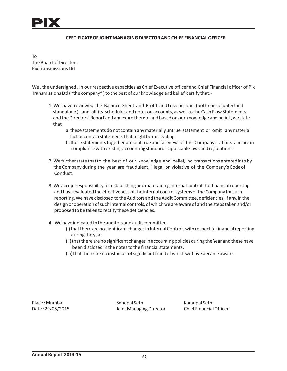

#### **CERTIFICATE OF JOINT MANAGING DIRECTOR AND CHIEF FINANCIAL OFFICER**

To The Board of Directors Pix Transmissions Ltd

We , the undersigned , in our respective capacities as Chief Executive officer and Chief Financial officer of Pix Transmissions Ltd ( "the company" ) to the best of our knowledge and belief, certify that:-

- 1. We have reviewed the Balance Sheet and Profit and Loss account (both consolidated and standalone ), and all its schedules and notes on accounts, as well as the Cash Flow Statements and the Directors' Report and annexure thereto and based on our knowledge and belief , we state that :
	- a. these statements do not contain any materially untrue statement or omit any material fact or contain statements that might be misleading.
	- b. these statements together present true and fair view of the Company's affairs and are in compliancewith existing accounting standards, applicable laws and regulations.
- 2. We further state that to the best of our knowledge and belief, no transactions entered into by the Company during the year are fraudulent, illegal or violative of the Company's Code of Conduct.
- 3. We accept responsibility for establishing and maintaining internal controls for financial reporting and have evaluated the effectiveness of the internal control systems of the Company for such reporting. We have disclosed to the Auditors and the Audit Committee, deficiencies, if any, in the design or operation of such internal controls, of which we are aware of and the steps taken and/or proposed to be taken to rectify these deficiencies.
- 4. We have indicated to the auditors and audit committee:
	- (i) that there are no significant changes in Internal Controls with respect to financial reporting during the year.
	- (ii) that there are no significant changes in accounting policies during the Year and these have been disclosed in the notes to the financial statements.
	- (iii) that there are no instances of significant fraud of which wehave became aware.

Place : Mumbai Sonepal Sethi Karanpal Sethi Date : 29/05/2015 Joint Managing Director Chief Financial Officer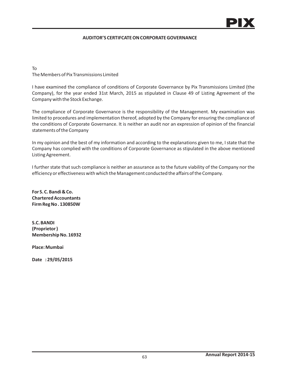### **AUDITOR'S CERTIFCATE ON CORPORATE GOVERNANCE**

To The Members of Pix Transmissions Limited

I have examined the compliance of conditions of Corporate Governance by Pix Transmissions Limited (the Company), for the year ended 31st March, 2015 as stipulated in Clause 49 of Listing Agreement of the Company with the Stock Exchange.

The compliance of Corporate Governance is the responsibility of the Management. My examination was limited to procedures and implementation thereof, adopted by the Company for ensuring the compliance of the conditions of Corporate Governance. It is neither an audit nor an expression of opinion of the financial statements of the Company

In my opinion and the best of my information and according to the explanations given to me, I state that the Company has complied with the conditions of Corporate Governance as stipulated in the above mentioned Listing Agreement.

I further state that such compliance is neither an assurance as to the future viability of the Company nor the efficiency or effectiveness with which the Management conducted the affairs of the Company.

**For S. C. Bandi & Co. Chartered Accountants Firm Reg No . 130850W**

**S.C. BANDI (Proprietor ) Membership No. 16932** 

**Place: Mumbai**

**Date : 29/05/2015**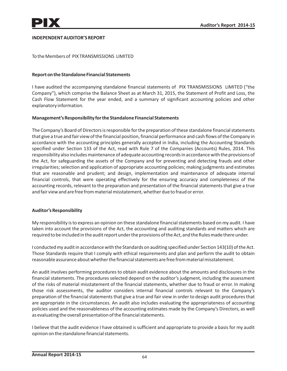### **INDEPENDENT AUDITOR'S REPORT**

To the Members of PIX TRANSMISSIONS LIMITED

### **Report on the Standalone Financial Statements**

I have audited the accompanying standalone financial statements of PIX TRANSMISSIONS LIMITED ("the Company"), which comprise the Balance Sheet as at March 31, 2015, the Statement of Profit and Loss, the Cash Flow Statement for the year ended, and a summary of significant accounting policies and other explanatory information.

### **Management's Responsibility for the Standalone Financial Statements**

The Company's Board of Directors is responsible for the preparation of these standalone financial statements that give a true and fair view of the financial position, financial performance and cash flows of the Company in accordance with the accounting principles generally accepted in India, including the Accounting Standards specified under Section 133 of the Act, read with Rule 7 of the Companies (Accounts) Rules, 2014. This responsibility also includes maintenance of adequate accounting records in accordance with the provisions of the Act, for safeguarding the assets of the Company and for preventing and detecting frauds and other irregularities; selection and application of appropriate accounting policies; making judgments and estimates that are reasonable and prudent; and design, implementation and maintenance of adequate internal financial controls, that were operating effectively for the ensuring accuracy and completeness of the accounting records, relevant to the preparation and presentation of the financial statements that give a true and fair view and are free from material misstatement, whether due to fraud or error.

### **Auditor's Responsibility**

My responsibility is to express an opinion on these standalone financial statements based on my audit. I have taken into account the provisions of the Act, the accounting and auditing standards and matters which are required to be included in the audit report under the provisions of the Act, and the Rules made there under.

I conducted my audit in accordance with the Standards on auditing specified under Section 143(10) of the Act. Those Standards require that I comply with ethical requirements and plan and perform the audit to obtain reasonable assurance about whether the financial statements are free from material misstatement.

An audit involves performing procedures to obtain audit evidence about the amounts and disclosures in the financial statements. The procedures selected depend on the auditor's judgment, including the assessment of the risks of material misstatement of the financial statements, whether due to fraud or error. In making those risk assessments, the auditor considers internal financial controls relevant to the Company's preparation of the financial statements that give a true and fair view in order to design audit procedures that are appropriate in the circumstances. An audit also includes evaluating the appropriateness of accounting policies used and the reasonableness of the accounting estimates made by the Company's Directors, as well as evaluating the overall presentation of the financial statements.

I believe that the audit evidence I have obtained is sufficient and appropriate to provide a basis for my audit opinion on the standalone financial statements.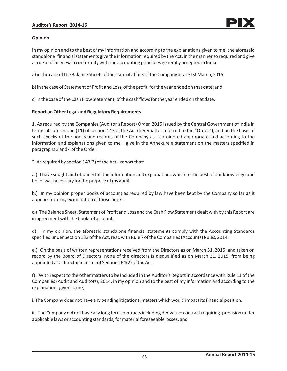### **Opinion**

In my opinion and to the best of my information and according to the explanations given to me, the aforesaid standalone financial statements give the information required by the Act, in the manner so required and give a true and fair view in conformity with the accounting principles generally accepted in India:

a) in the case of the Balance Sheet, of the state of affairs of the Company as at 31st March, 2015

b) in the case of Statement of Profit and Loss, of the profit for the year ended on that date; and

c) in the case of the Cash Flow Statement, of the cash flows for the year ended on that date.

## **Report on Other Legal and Regulatory Requirements**

1. As required by the Companies (Auditor's Report) Order, 2015 issued by the Central Government of India in terms of sub-section (11) of section 143 of the Act (hereinafter referred to the "Order"), and on the basis of such checks of the books and records of the Company as I considered appropriate and according to the information and explanations given to me, I give in the Annexure a statement on the matters specified in paragraphs 3 and 4 of the Order.

2. As required by section 143(3) of the Act, I report that:

a.) I have sought and obtained all the information and explanations which to the best of our knowledge and belief was necessary for the purpose of my audit

b.) In my opinion proper books of account as required by law have been kept by the Company so far as it appears from my examination of those books.

c.) The Balance Sheet, Statement of Profit and Loss and the Cash Flow Statement dealt with by this Report are in agreement with the books of account.

d). In my opinion, the aforesaid standalone financial statements comply with the Accounting Standards specified under Section 133 of the Act, read with Rule 7 of the Companies (Accounts) Rules, 2014.

e.) On the basis of written representations received from the Directors as on March 31, 2015, and taken on record by the Board of Directors, none of the directors is disqualified as on March 31, 2015, from being appointed as a director in terms of Section 164(2) of the Act.

f). With respect to the other matters to be included in the Auditor's Report in accordance with Rule 11 of the Companies (Audit and Auditors), 2014, in my opinion and to the best of my information and according to the explanations given to me;

i. The Company does not have any pending litigations, matters which would impact its financial position.

ii. The Company did not have any long term contracts including derivative contract requiring provision under applicable laws or accounting standards, for material foreseeable losses, and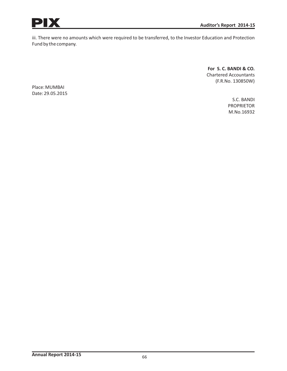

iii. There were no amounts which were required to be transferred, to the Investor Education and Protection Fund by the company.

> **For S. C. BANDI & CO.** Chartered Accountants (F.R.No. 130850W)

Place: MUMBAI Date: 29.05.2015

> S.C. BANDI PROPRIETOR M.No.16932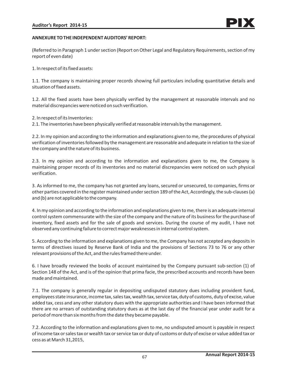### **ANNEXURE TO THE INDEPENDENT AUDITORS' REPORT:**

(Referred to in Paragraph 1 under section (Report on Other Legal and Regulatory Requirements, section of my report of even date)

1. In respect of its fixed assets:

1.1. The company is maintaining proper records showing full particulars including quantitative details and situation of fixed assets.

1.2. All the fixed assets have been physically verified by the management at reasonable intervals and no material discrepancies were noticed on such verification.

2. In respect of its Inventories:

2.1. The inventories have been physically verified at reasonable intervals by the management.

2.2. In my opinion and according to the information and explanations given to me, the procedures of physical verification of inventories followed by the management are reasonable and adequate in relation to the size of the company and the nature of its business.

2.3. In my opinion and according to the information and explanations given to me, the Company is maintaining proper records of its inventories and no material discrepancies were noticed on such physical verification.

3. As informed to me, the company has not granted any loans, secured or unsecured, to companies, firms or other parties covered in the register maintained under section 189 of the Act, Accordingly, the sub-clauses (a) and (b) are not applicable to the company.

4. In my opinion and according to the information and explanations given to me, there is an adequate internal control system commensurate with the size of the company and the nature of its business for the purchase of inventory, fixed assets and for the sale of goods and services. During the course of my audit, I have not observed any continuing failure to correct major weaknesses in internal control system.

5. According to the information and explanations given to me, the Company has not accepted any deposits in terms of directives issued by Reserve Bank of India and the provisions of Sections 73 to 76 or any other relevant provisions of the Act, and the rules framed there under.

6. I have broadly reviewed the books of account maintained by the Company pursuant sub-section (1) of Section 148 of the Act, and is of the opinion that prima facie, the prescribed accounts and records have been made and maintained.

7.1. The company is generally regular in depositing undisputed statutory dues including provident fund, employees state insurance, income tax, sales tax, wealth tax, service tax, duty of customs, duty of excise, value added tax, cess and any other statutory dues with the appropriate authorities and I have been informed that there are no arrears of outstanding statutory dues as at the last day of the financial year under audit for a period of more than six months from the date they becamepayable.

7.2. According to the information and explanations given to me, no undisputed amount is payable in respect of income tax or sales tax or wealth tax or service tax or duty of customs or duty of excise or value added tax or cess as at March 31,2015,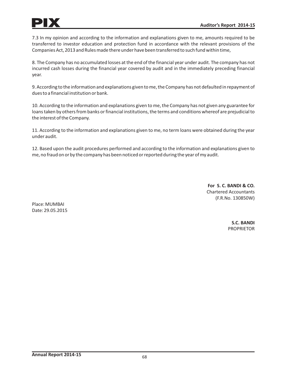

7.3 In my opinion and according to the information and explanations given to me, amounts required to be transferred to investor education and protection fund in accordance with the relevant provisions of the Companies Act, 2013 and Rules made there under have been transferred to such fund within time,

8. The Company has no accumulated losses at the end of the financial year under audit. The company has not incurred cash losses during the financial year covered by audit and in the immediately preceding financial year.

9. According to the information and explanations given to me, the Company has not defaulted in repayment of dues to a financial institution or bank.

10. According to the information and explanations given to me, the Company has not given any guarantee for loans taken by others from banks or financial institutions, the terms and conditions whereof are prejudicial to the interest of the Company.

11. According to the information and explanations given to me, no term loans were obtained during the year under audit.

12. Based upon the audit procedures performed and according to the information and explanations given to me, no fraud on or by the company has been noticed or reported during the year of my audit.

> **For S. C. BANDI & CO.** Chartered Accountants (F.R.No. 130850W)

Place: MUMBAI Date: 29.05.2015

> **S.C. BANDI** PROPRIETOR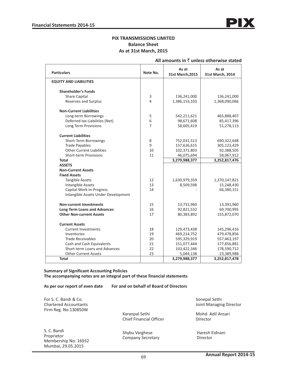### **PIX TRANSMISSIONS LIMITED Balance Sheet As at 31st March, 2015**

| <b>Particulars</b>                  | Note No. | As at<br>31st March, 2015 | As at<br>31st March, 2014 |
|-------------------------------------|----------|---------------------------|---------------------------|
| <b>EQUITY AND LIABILITIES</b>       |          |                           |                           |
| <b>Shareholder's Funds</b>          |          |                           |                           |
| <b>Share Capital</b>                | 3        | 136,241,000               | 136,241,000               |
| Reserves and Surplus                | 4        | 1,386,153,103             | 1,368,090,066             |
| <b>Non-Current Liabilities</b>      |          |                           |                           |
| Long-term Borrowings                | 5        | 542,211,621               | 465,888,407               |
| Deferred tax Liabilities (Net)      | 6        | 98,671,608                | 85,417,396                |
| Long Term Provisions                | 7        | 58,605,419                | 51,278,113                |
| <b>Current Liabilities</b>          |          |                           |                           |
| Short-Term Borrowings               | 8        | 752,031,513               | 690,322,648               |
| <b>Trade Payables</b>               | 9        | 157,626,615               | 305,123,429               |
| <b>Other Current Liabilities</b>    | 10       | 102,371,803               | 92,388,505                |
| <b>Short-term Provisions</b>        | 11       | 46,075,694                | 58,067,912                |
| <b>Total</b>                        |          | 3,279,988,377             | 3,252,817,476             |
| <b>ASSETS</b>                       |          |                           |                           |
| <b>Non-Current Assets</b>           |          |                           |                           |
| <b>Fixed Assets</b>                 |          |                           |                           |
| <b>Tangible Assets</b>              | 12       | 1,630,979,359             | 1,370,147,821             |
| Intangible Assets                   | 13       | 8,509,598                 | 15,248,430                |
| Capital Work-in-Progress            | 14       |                           | 66,380,151                |
| Intangible Assets Under Development |          |                           |                           |
| <b>Non-current Investments</b>      | 15       | 13,731,960                | 13,391,960                |
| <b>Long Term Loans and Advances</b> | 16       | 92,821,532                | 69,700,995                |
| <b>Other Non-current Assets</b>     | 17       | 80,383,892                | 155,872,070               |
| <b>Current Assets</b>               |          |                           |                           |
| <b>Current Investments</b>          | 18       | 129,473,438               | 145,296,416               |
| Inventories                         | 19       | 469,214,752               | 479,478,856               |
| <b>Trade Receivables</b>            | 20       | 595,329,919               | 557,463,197               |
| Cash and Cash Equivalents           | 21       | 151,077,444               | 177,856,881               |
| Short-term Loans and Advances       | 22       | 103,422,346               | 178,590,712               |
| <b>Other Current Assets</b>         | 23       | 5,044,138                 | 23,389,988                |
| <b>Total</b>                        |          | 3,279,988,377             | 3,252,817,478             |

### **All amounts in** ` **unless otherwise stated**

**Summary of Significant Accounting Policies The accompanying notes are an integral part of these financial statements**

**As per our report of even date For and on behalf of Board of Directors**

For S. C. Bandi & Co. Chartered Accountants Firm Reg. No.130850W

Karanpal Sethi Chief Financial Officer

S. C. Bandi Proprietor Membership No: 16932 Mumbai, 29.05.2015

Shybu Varghese Company Secretary

 Sonepal Sethi Joint Managing Director

Mohd. Adil Ansari Director

 Haresh Eidnani Director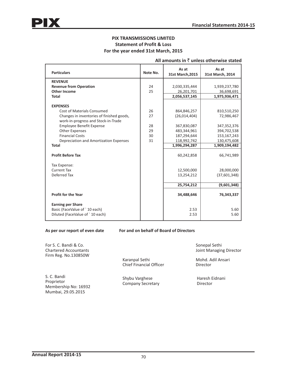### **PIX TRANSMISSIONS LIMITED Statement of Profit & Loss For the year ended 31st March, 2015**

| <b>Particulars</b>                                                                           | Note No. | As at<br>31st March, 2015 | As at<br>31st March, 2014 |
|----------------------------------------------------------------------------------------------|----------|---------------------------|---------------------------|
| <b>REVENUE</b>                                                                               |          |                           |                           |
| <b>Revenue from Operation</b>                                                                | 24       | 2,030,335,444             | 1,939,237,780             |
| <b>Other Income</b>                                                                          | 25       | 26,201,701                | 36,698,691                |
| <b>Total</b>                                                                                 |          | 2,056,537,145             | 1,975,936,471             |
| <b>EXPENSES</b><br>Cost of Materials Consumed                                                | 26       | 864,846,257               | 810,510,250               |
| Changes in inventories of finished goods,<br>work-in-progress and Stock-in-Trade             | 27       | (26,014,404)              | 72,986,467                |
| <b>Employee Benefit Expense</b>                                                              | 28       | 367,830,087               | 347,352,376               |
| <b>Other Expenses</b>                                                                        | 29       | 483,344,961               | 394,702,538               |
| <b>Financial Costs</b>                                                                       | 30       | 187,294,644               | 153, 167, 243             |
| Depreciation and Amortization Expenses                                                       | 31       | 118,992,742               | 130,475,608               |
| <b>Total</b>                                                                                 |          | 1,996,294,287             | 1,909,194,482             |
| <b>Profit Before Tax</b>                                                                     |          | 60,242,858                | 66,741,989                |
| Tax Expense:                                                                                 |          |                           |                           |
| <b>Current Tax</b>                                                                           |          | 12,500,000                | 28,000,000                |
| Deferred Tax                                                                                 |          | 13,254,212                | (37,601,348)              |
|                                                                                              |          | 25,754,212                | (9,601,348)               |
| <b>Profit for the Year</b>                                                                   |          | 34,488,646                | 76,343,337                |
| <b>Earning per Share</b><br>Basic (FaceValue of `10 each)<br>Diluted (FaceValue of `10 each) |          | 2.53<br>2.53              | 5.60<br>5.60              |

### **All amounts in** ` **unless otherwise stated**

**As per our report of even date For and on behalf of Board of Directors**

For S. C. Bandi & Co. Chartered Accountants Firm Reg. No.130850W

S. C. Bandi Proprietor Membership No: 16932 Mumbai, 29.05.2015

Karanpal Sethi Chief Financial Officer

Shybu Varghese Company Secretary

 Sonepal Sethi Joint Managing Director

Mohd. Adil Ansari Director

 Haresh Eidnani Director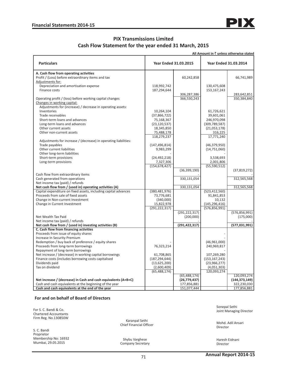

# **PIX Transmissions Limited Cash Flow Statement for the year ended 31 March, 2015**

|                                                                                                                            |                              |                            | All Amount in $\bar{z}$ unless otherwise stated |                            |
|----------------------------------------------------------------------------------------------------------------------------|------------------------------|----------------------------|-------------------------------------------------|----------------------------|
| <b>Particulars</b>                                                                                                         | <b>Year Ended 31.03.2015</b> |                            | <b>Year Ended 31.03.2014</b>                    |                            |
| A. Cash flow from operating activities                                                                                     |                              |                            |                                                 |                            |
| Profit / (Loss) before extraordinary items and tax                                                                         |                              | 60,242,858                 |                                                 | 66,741,989                 |
| Adjustments for:                                                                                                           |                              |                            |                                                 |                            |
| Depreciation and amortisation expense                                                                                      | 118,992,742                  |                            | 130,475,608                                     |                            |
| Finance costs                                                                                                              | 187,294,644                  |                            | 153, 167, 243                                   |                            |
|                                                                                                                            |                              | 306,287,386                |                                                 | 283,642,851                |
| Operating profit / (loss) before working capital changes                                                                   |                              | 366,530,243                |                                                 | 350,384,840                |
| Changes in working capital:                                                                                                |                              |                            |                                                 |                            |
| Adjustments for (increase) / decrease in operating assets:                                                                 |                              |                            |                                                 |                            |
| Inventories                                                                                                                | 10,264,104                   |                            | 61,726,621                                      |                            |
| Trade receivables                                                                                                          | (37,866,722)                 |                            | 39,601,061                                      |                            |
| Short-term loans and advances                                                                                              | 75,168,367                   |                            | 246,970,098                                     |                            |
| Long-term loans and advances                                                                                               | (23, 120, 537)               |                            | (309, 789, 587)                                 |                            |
| Other current assets                                                                                                       | 18,345,850                   |                            | (21,053,178)                                    |                            |
| Other non-current assets                                                                                                   | 75,488,178                   |                            | 316,225                                         |                            |
|                                                                                                                            | 118,279,237                  |                            | 17,771,240                                      |                            |
| Adjustments for increase / (decrease) in operating liabilities:                                                            |                              |                            |                                                 |                            |
| Trade payables                                                                                                             | (147, 496, 814)              |                            | (46, 379, 950)                                  |                            |
| Other current liabilities                                                                                                  | 9,983,299                    |                            | (14, 751, 060)                                  |                            |
| Other long-term liabilities                                                                                                |                              |                            |                                                 |                            |
| Short-term provisions                                                                                                      | (24, 492, 218)               |                            | 3,538,693                                       |                            |
| Long-term provisions                                                                                                       | 7,327,306                    |                            | 2,001,806                                       |                            |
|                                                                                                                            | (154, 678, 427)              |                            | (55, 590, 512)                                  |                            |
|                                                                                                                            |                              | (36, 399, 190)             |                                                 | (37, 819, 272)             |
| Cash flow from extraordinary items                                                                                         |                              |                            |                                                 |                            |
| Cash generated from operations                                                                                             |                              | 330,131,054                |                                                 | 312,565,568                |
| Net income tax (paid) / refunds<br>Net cash flow from / (used in) operating activities (A)                                 |                              | 330,131,054                |                                                 | 312,565,568                |
| Capital expenditure on fixed assets, including capital advances                                                            | (380, 481, 976)              |                            | (523, 412, 560)                                 |                            |
| Proceeds from sale of fixed assets                                                                                         | 73,776,681                   |                            | 91,841,853                                      |                            |
| Change in Non-current Investment                                                                                           | (340,000)                    |                            | 10,132                                          |                            |
| Change in Current Investment                                                                                               | 15,822,978                   |                            | (145, 296, 416)                                 |                            |
|                                                                                                                            | (291, 222, 317)              |                            | (576, 856, 991)                                 |                            |
|                                                                                                                            |                              | (291, 222, 317)            |                                                 | (576, 856, 991)            |
| Net Wealth Tax Paid                                                                                                        |                              | (200,000)                  |                                                 | (175,000)                  |
| Net income tax (paid) / refunds                                                                                            |                              |                            |                                                 |                            |
| Net cash flow from / (used in) investing activities (B)                                                                    |                              | (291, 422, 317)            |                                                 | (577, 031, 991)            |
| C. Cash flow from financing activities                                                                                     |                              |                            |                                                 |                            |
| Proceeds from issue of equity shares                                                                                       |                              |                            |                                                 |                            |
| Increase In Security Premium                                                                                               |                              |                            |                                                 |                            |
| Redemption / buy back of preference / equity shares                                                                        |                              |                            | (46,961,000)                                    |                            |
| Proceeds from long-term borrowings                                                                                         | 76,323,214                   |                            | 240,969,817                                     |                            |
| Repayment of long-term borrowings                                                                                          |                              |                            |                                                 |                            |
| Net increase / (decrease) in working capital borrowings                                                                    | 61,708,865                   |                            | 107,269,280                                     |                            |
| Finance costs (includes borrowing costs capitalised                                                                        | (187, 294, 644)              |                            | (153, 167, 243)                                 |                            |
| Dividends paid                                                                                                             | (13,625,200)                 |                            | (23,966,277)                                    |                            |
| Tax on dividend                                                                                                            | (2,600,409)                  |                            | (4,051,303)                                     |                            |
|                                                                                                                            | (65, 488, 174)               |                            | 120,093,274                                     |                            |
|                                                                                                                            |                              | (65, 488, 174)             |                                                 | 120,093,274                |
| Net increase / (decrease) in Cash and cash equivalents $(A+B+C)$<br>Cash and cash equivalents at the beginning of the year |                              | (26, 779, 437)             |                                                 | (144, 373, 149)            |
| Cash and cash equivalents at the end of the year                                                                           |                              | 177,856,881<br>151,077,444 |                                                 | 322,230,030<br>177,856,881 |
|                                                                                                                            |                              |                            |                                                 |                            |

#### **For and on behalf of Board of Directors**

For S. C. Bandi & Co. Chartered Accountants Firm Reg. No.130850W

S. C. Bandi Proprietor Membership No: 16932 Mumbai, 29.05.2015

Karanpal Sethi Karanpai Setni<br>Chief Financial Officer Mohd. Adil Ansari<br>Ning the Mohd. Adil Ansari

Shybu Varghese Company Secretary  Sonepal Sethi Joint Managing Director

Director

 Haresh Eidnani Director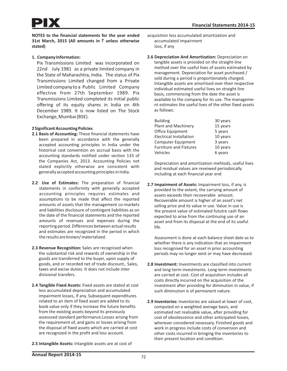#### **1. Company Information:**

Pix Transmissions Limited was incorporated on 22nd July 1981 as a private limited company in the State of Maharashtra, India. The status of Pix Transmissions Limited changed from a Private Limited company to a Public Limited Company effective from 27th September 1989. Pix Transmissions Limited completed its initial public offering of its equity shares in India on 4th December 1989. It is now listed on The Stock Exchange, Mumbai (BSE).

#### **2 Significant Accounting Policies**

- **2.1 Basis of Accounting:** These financial statements have been prepared in accordance with the generally accepted accounting principles in India under the historical cost convention on accrual basis with the accounting standards notified under section 133 of the Companies Act, 2013. Accounting Policies not stated explicitly otherwise are consistent with generally accepted accounting principles in India.
- **2.2 Use of Estimates:** The preparation of financial statements in conformity with generally accepted accounting principles requires estimates and assumptions to be made that affect the reported amounts of assets that the management co-markets and liabilities disclosure of contingent liabilities as on the date of the financial statements and the reported amounts of revenues and expenses during the reporting period. Differences between actual results and estimates are recognized in the period in which the results are known/ materialized.
- **2.3 Revenue Recognition:** Sales are recognised when the substantial risk and rewards of ownership in the goods are transferred to the buyer, upon supply of goods, and or recorded net of trade discount,. Sales, taxes and excise duties. It does not include inter divisional transfers.
- **2.4 Tangible Fixed Assets:** Fixed assets are stated at cost less accumulated depreciation and accumulated impairment losses, If any. Subsequent expenditures related to an item of fixed asset are added to its book value only if they increase the future benefits from the existing assets beyond its previously assesssed standard performance.Losses arising from the requirement of, and gains or losses arising from the disposal of fixed assets which are carried at cost are recognized in the profit and loss account.
- **2.5 Intangible Assets:** Intangible assets are at cost of
- acquisition less accumulated amortization and accumulated impairment loss, if any
- **2.6 Depreciation And Amortization:** Depreciation on tangible assets is provided on the straight-line method over the useful lives of assets estimated by management. Depreciation for asset purchased / sold during a period is proportionately charged. Intangible assets are amortised over their respective individual estimated useful lives on straight line basis, commencing from the date the asset is available to the company for its use. The management estimates the useful lives of the other fixed assets as follows:

| <b>Building</b>                | 30 years |
|--------------------------------|----------|
| <b>Plant and Machinery</b>     | 15 years |
| Office Equipment               | 5 years  |
| <b>Electrical Installation</b> | 10 years |
| Computer Equipment             | 3 years  |
| <b>Furniture and Fixtures</b>  | 10 years |
| Vehicles                       | 6 years  |

Depreciation and amortization mehtods, useful lives and residual values are reveiwed periodoically including at each financial year end

**2.7 Impairment of Assets:** Impairment loss, if any, is provided to the extent, the carrying amount of assets exceeds their recoverable amount. Recoverable amount is higher of an asset's net selling price and its value in use. Value in use is the present value of estimated fututre cash flows expected to arise from the continuing use of an asset and from its disposal at the end of its useful life.

Assessment is done at each balance sheet date as to whether there is any indication that an impairment loss recognised for an asset in prior accounting periods may no longer exist or may have decreased.

- **2.8 Investment:** Investments are classified into current and long-term investments. Long-term investments are carried at cost. Cost of acquisition includes all costs directly incurred on the acquisition of the investment after providing for diminution in value, if such diminution is of permanent nature.
- **2.9 Inventories:** Inventories are valued at lower of cost, computed on a weighted average basis, and estimated net realisable value, after providing for cost of obsolescence and other anticipated losses, wherever considered nesessary. Finished goods and work in progress include costs of conversion and other costs incurred in bringing the inventories to their present location and condition.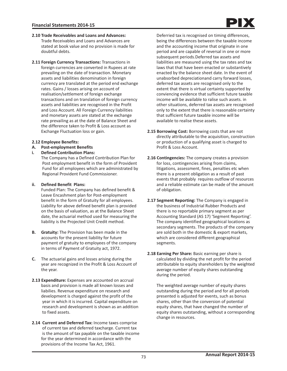- **2.10 Trade Receivables and Loans and Advances:** Trade Receivables and Loans and Advances are stated at book value and no provision is made for doubtful debts.
- **2.11 Foreign Currency Transactions:** Transactions in foreign currencies are converted in Rupees at rate prevailing on the date of transaction. Monetary assets and liabilities denomination in foreign currency are translated at the period end exchange rates. Gains / losses arising on account of realisation/settlement of foreign exchange transactions and on translation of foreign currency assets and liabilities are recognised in the Profit and Loss Account. All Foreign Currency liabilities and monetary assets are stated at the exchange rate prevailing as at the date of Balance Sheet and the difference taken to Profit & Loss account as Exchange Fluctuation loss or gain.

### **2.12 Employee Benefits:**

- **A. Post-employment Benefits**
- **i. Defined Contribution Plans:**
	- The Company has a Defined Contribution Plan for Post employment benefit in the form of Provident Fund for all employees which are administrated by Regional Provident Fund Commissioner.

### **ii. Defined Benefit Plans:**

 Funded Plan: The Company has defined benefit & Leave Encashment plan for Post-employment benefit in the form of Gratuity for all employees. Liability for above defined benefit plan is provided on the basis of valuation, as at the Balance Sheet date, the actuarial method used for measuring the liability is the Projected Unit Credit method.

- **B. Gratuity:** The Provision has been made in the accounts for the present liability for future payment of gratuity to employees of the company in terms of Payment of Gratuity act, 1972.
- **C.** The actuarial gains and losses arising during the year are recognized in the Profit & Loss Account of the year.
- **2.13 Expenditure:** Expenses are accounted on accrual basis and provision is made all known losses and liabilies. Revenue expenditure on research and development is charged against the profit of the year in which it is incurred. Capital expenditure on research and development is shown as an addition to fixed assets.
- **2.14 Current and Deferred Tax:** Income taxes comprise of current tax and deferred taxcharge. Current tax is the amount of tax payable on the taxable income for the year determined in accordance with the provisions of the Income Tax Act, 1961.

 Deferried tax is recognised on timing differences, being the differences between the taxable income and the accounting income that originate in one period and are capable of reversal in one or more subsequent periods.Deferred tax assets and liabilities are measured using the tax rates and tax laws that that have been enacted or substantively enacted by the balance sheet date. In the event of unabsorbed depreciationand carry forward losses, deferred tax assets are recognised only to the extent that there is virtual certainty supported by conviencing evidence that sufficient future taxable income will be available to ralise such assets. in other situations, deferred tax assets are recognised only to the extent that there is reasonable certainty that sufficient future taxable income will be available to realise these assets.

- **2.15 Borrowing Cost:** Borrowing costs that are not directly attributable to the acquisition, construction or production of a qualifying asset is charged to Profit & Loss Account.
- **2.16 Contingencies:** The company creates a provision for loss, contingencies arising from claims, litigations, assessment, fines, penalties etc when there is a present obligation as a result of past events that probably requires outflow of resources and a reliable estimate can be made of the amount of obligation.
- **2.17 Segment Reporting:** The Company is engaged in the business of Industrial Rubber Products and there is no reportable primary segment as per Accounting Standard (AS 17) 'Segment Reporting'. The company identified geographical locations as secondary segments. The products of the company are sold both in the domestic & export markets, which are considered different geographical segments.
- **2.18 Earning Per Share:** Basic earning per share is calculated by dividing the net profit for the period attributable to equity shareholders by the weighted average number of equity shares outstanding during the period.

 The weighted average number of equity shares outstanding during the period and for all periods presented is adjusted for events, such as bonus shares, other than the conversion of potential equity shares, that have changed the number of equity shares outstanding, without a corresponding change in resources.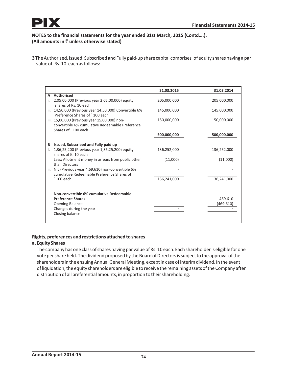**3** The Authorised, Issued, Subscribed and Fully paid-up share capital comprises of equity shares having a par value of Rs. 10 each as follows:

|    |                                                                                                                         | 31.03.2015  | 31.03.2014  |
|----|-------------------------------------------------------------------------------------------------------------------------|-------------|-------------|
|    | A Authorised                                                                                                            |             |             |
| i. | 2,05,00,000 (Previous year 2,05,00,000) equity<br>shares of Rs. 10 each                                                 | 205,000,000 | 205,000,000 |
|    | ii. 14,50,000 (Previous year 14,50,000) Convertible 6%<br>Preference Shares of `100 each                                | 145,000,000 | 145,000,000 |
|    | iii. 15,00,000 (Previous year 15,00,000) non-<br>convertible 6% cumulative Redeemable Preference<br>Shares of `100 each | 150,000,000 | 150,000,000 |
|    |                                                                                                                         | 500,000,000 | 500,000,000 |
| B  | Issued, Subscribed and Fully paid up                                                                                    |             |             |
|    | 1,36,25,200 (Previous year 1,36,25,200) equity<br>shares of <b>2</b> 10 each                                            | 136,252,000 | 136,252,000 |
|    | Less: Allotment money in arrears from public other<br>than Directors                                                    | (11,000)    | (11,000)    |
|    | ii. NIL (Previous year 4,69,610) non-convertible 6%<br>cumulative Redeemable Preference Shares of                       |             |             |
|    | 100 each                                                                                                                | 136,241,000 | 136,241,000 |
|    | Non-convertible 6% cumulative Redeemable                                                                                |             |             |
|    | <b>Preference Shares</b>                                                                                                |             | 469,610     |
|    | <b>Opening Balance</b>                                                                                                  |             | (469, 610)  |
|    | Changes during the year                                                                                                 |             |             |
|    | Closing balance                                                                                                         |             |             |
|    |                                                                                                                         |             |             |

# **Rights, preferences and restrictions attached to shares**

# **a. Equity Shares**

The company has one class of shares having par value of Rs. 10 each. Each shareholder is eligible for one vote per share held. The dividend proposed by the Board of Directors is subject to the approval of the shareholders in the ensuing Annual General Meeting, except in case of interim dividend. In the event of liquidation, the equity shareholders are eligible to receive the remaining assets of the Company after distribution of all preferential amounts, in proportion to their shareholding.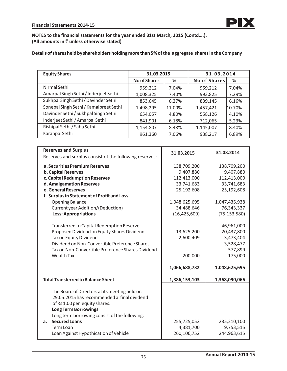# **Details of shares held by shareholders holding more than 5% of the aggregate shares in the Company**

| <b>Equity Shares</b>                   | 31.03.2015          |        | 31.03.2014          |        |
|----------------------------------------|---------------------|--------|---------------------|--------|
|                                        | <b>No of Shares</b> | %      | <b>No of Shares</b> | %      |
| Nirmal Sethi                           | 959,212             | 7.04%  | 959,212             | 7.04%  |
| Amarpal Singh Sethi / Inderjeet Sethi  | 1,008,325           | 7.40%  | 993,825             | 7.29%  |
| Sukhpal Singh Sethi / Davinder Sethi   | 853,645             | 6.27%  | 839,145             | 6.16%  |
| Sonepal Singh Sethi / Kamalpreet Sethi | 1,498,295           | 11.00% | 1,457,421           | 10.70% |
| Davinder Sethi / Sukhpal Singh Sethi   | 654,057             | 4.80%  | 558,126             | 4.10%  |
| Inderjeet Sethi / Amarpal Sethi        | 841,901             | 6.18%  | 712,065             | 5.23%  |
| Rishipal Sethi / Saba Sethi            | 1,154,807           | 8.48%  | 1,145,007           | 8.40%  |
| Karanpal Sethi                         | 961,360             | 7.06%  | 938,217             | 6.89%  |

| <b>Reserves and Surplus</b>                                                                                                                                  | 31.03.2015     | 31.03.2014     |
|--------------------------------------------------------------------------------------------------------------------------------------------------------------|----------------|----------------|
| Reserves and surplus consist of the following reserves:                                                                                                      |                |                |
| a. Securities Premium Reserves                                                                                                                               | 138,709,200    | 138,709,200    |
| <b>b. Capital Reserves</b>                                                                                                                                   | 9,407,880      | 9,407,880      |
| c. Capital Redumption Reserves                                                                                                                               | 112,413,000    | 112,413,000    |
| d. Amalgamation Reserves                                                                                                                                     | 33,741,683     | 33,741,683     |
| e. General Reserves                                                                                                                                          | 25,192,608     | 25,192,608     |
| f. Surplus in Statement of Profit and Loss                                                                                                                   |                |                |
| <b>Opening Balance</b>                                                                                                                                       | 1,048,625,695  | 1,047,435,938  |
| Current year Addition/(Deduction)                                                                                                                            | 34,488,646     | 76,343,337     |
| <b>Less: Appropriations</b>                                                                                                                                  | (16, 425, 609) | (75, 153, 580) |
|                                                                                                                                                              |                |                |
| Transferred to Capital Redemption Reserve                                                                                                                    |                | 46,961,000     |
| Proposed Dividend on Equity Shares Dividend                                                                                                                  | 13,625,200     | 20,437,800     |
| Tax on Equity Dividend                                                                                                                                       | 2,600,409      | 3,473,404      |
| Dividend on Non-Convertible Preference Shares                                                                                                                |                | 3,528,477      |
| Tax on Non-Convertible Preference Shares Dividend                                                                                                            |                | 577,899        |
| <b>Wealth Tax</b>                                                                                                                                            | 200,000        | 175,000        |
|                                                                                                                                                              | 1,066,688,732  | 1,048,625,695  |
|                                                                                                                                                              |                |                |
| <b>Total Transferred to Balance Sheet</b>                                                                                                                    | 1,386,153,103  | 1,368,090,066  |
| The Board of Directors at its meeting held on<br>29.05.2015 has recommended a final dividend<br>of Rs 1.00 per equity shares.<br><b>Long Term Borrowings</b> |                |                |
| Long term borrowing consist of the following:                                                                                                                |                |                |
| <b>Secured Loans</b><br>a.                                                                                                                                   | 255,725,052    | 235,210,100    |
| <b>Term Loan</b>                                                                                                                                             | 4,381,700      | 9,753,515      |
| Loan Against Hypothication of Vehicle                                                                                                                        | 260,106,752    | 244,963,615    |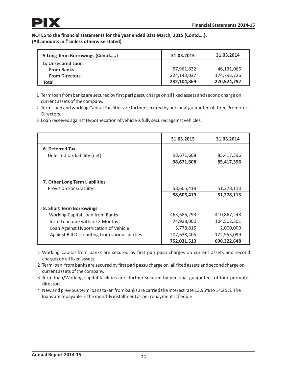| 5 Long Term Borrowings (Contd) | 31.03.2015  | 31.03.2014  |
|--------------------------------|-------------|-------------|
| b. Unsecured Laon              |             |             |
| <b>From Banks</b>              | 57,961,832  | 46,131,066  |
| <b>From Directors</b>          | 224,143,037 | 174,793,726 |
| Total                          | 282,104,869 | 220,924,792 |

- 1 Term loan from banks are secured by first pari passu chargeon all fixed assets and second chargeon current assets of the company.
- 2 Term Loan and working Capital Facilities are further secured by personal guarantee of three Promoter's Directors.
- 3 Loan received against Hypothecation of vehicle is fully secured against vehicles.

|                                               | 31.03.2015  | 31.03.2014  |
|-----------------------------------------------|-------------|-------------|
| 6. Deferred Tax                               |             |             |
| Deferred tax liability (net)                  | 98,671,608  | 85,417,396  |
|                                               | 98,671,608  | 85,417,396  |
|                                               |             |             |
| 7. Other Long Term Liabilities                |             |             |
| <b>Provision For Gratuity</b>                 | 58,605,419  | 51,278,113  |
|                                               | 58,605,419  | 51,278,113  |
|                                               |             |             |
| 8. Short Term Borrowings                      |             |             |
| <b>Working Capital Loan from Banks</b>        | 463,686,293 | 410,867,248 |
| Term Loan due within 12 Months                | 74,928,000  | 104,502,301 |
| Loan Against Hypothication of Vehicle         | 5,778,815   | 2,000,000   |
| Against Bill Discounting from various parties | 207,638,405 | 172,953,099 |
|                                               | 752,031,513 | 690,322,648 |

- 1 Working Capital from banks are secured by first pari pasu charges on current assets and second charges on all fixed assets.
- 2 Term loan from banks are secured by first pari passu chargeon all fixed assets and second chargeon current assets of the company.
- 3 Term loan/Working capital facilities are further secured by personal guarantee of four promoter directors.
- 4 New and previous term loans taken from banks are carried the interest rate 13.95% to 14.25%. The loans are repayable in the monthly installment as per repayment schedule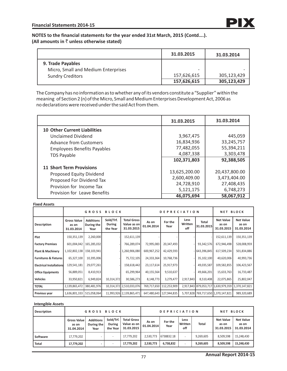|                                                          | 31.03.2015               | 31.03.2014  |
|----------------------------------------------------------|--------------------------|-------------|
| 9. Trade Payables<br>Micro, Small and Medium Enterprises | $\overline{\phantom{0}}$ |             |
| <b>Sundry Creditors</b>                                  | 157,626,615              | 305,123,429 |
|                                                          | 157,626,615              | 305,123,429 |

The Company has no information as to whether any of its vendors constitute a "Supplier" within the meaning of Section 2 (n) of the Micro, Small and Medium Enterprises Development Act, 2006 as no declarations were received under the said Act from them.

|                                     | 31.03.2015    | 31.03.2014    |
|-------------------------------------|---------------|---------------|
| <b>10 Other Current Liabilities</b> |               |               |
| <b>Unclaimed Dividend</b>           | 3,967,475     | 445,059       |
| <b>Advance from Customers</b>       | 16,834,936    | 33,245,757    |
| <b>Employees Benefits Payables</b>  | 77,482,055    | 55,394,211    |
| <b>TDS Payable</b>                  | 4,087,338     | 3,303,478     |
|                                     | 102,371,803   | 92,388,505    |
| <b>11 Short Term Provisions</b>     |               |               |
| Proposed Equity Dividend            | 13,625,200.00 | 20,437,800.00 |
| Proposed For Dividend Tax           | 2,600,409.00  | 3,473,404.00  |
| Provision for Income Tax            | 24,728,910    | 27,408,435    |
| <b>Provision for Leave Benefits</b> | 5,121,175     | 6,748,273     |
|                                     | 46,075,694    | 58,067,912    |

#### **Fixed Assets**

|                                  |                                           | GROSS                                  | <b>BLOCK</b>                    |                                                 |                     | <b>DEPRECIATION</b> |                        |                            |                                         | <b>NET BLOCK</b>                        |  |
|----------------------------------|-------------------------------------------|----------------------------------------|---------------------------------|-------------------------------------------------|---------------------|---------------------|------------------------|----------------------------|-----------------------------------------|-----------------------------------------|--|
| <b>Description</b>               | <b>Gross Value</b><br>as on<br>31.03.2014 | <b>Additions</b><br>During the<br>Year | Sold/Trf.<br>During<br>the Year | <b>Total Gross</b><br>Value as on<br>31.03.2015 | As on<br>01.04.2014 | For the<br>Year     | Less<br>Written<br>off | <b>Total</b><br>31.03.2015 | <b>Net Value</b><br>as on<br>31.03.2015 | <b>Net Value</b><br>as on<br>31.03.2014 |  |
| Plot                             | 150,351,139                               | 2,260,000                              |                                 | 152,611,139                                     |                     |                     |                        |                            | 152,611,139                             | 150,351,139                             |  |
| <b>Factory Premises</b>          | 601,004,042                               | 165,285,032                            |                                 | 766,289,074                                     | 72,995,083          | 20,347,493          |                        | 93,342,576                 | 672,946,498                             | 528,008,959                             |  |
| <b>Plant &amp; Machinery</b>     | 1,102,802,138   158,103,941               |                                        |                                 | 1,260,906,080                                   | 600,967,252         | 42,429,593          |                        | 643,396,845                | 617,509,234                             | 501,834,886                             |  |
| <b>Furnitures &amp; Fixtures</b> | 65,327,100                                | 10,395,006                             |                                 | 75,722,105                                      | 24,333,364          | 10,768,736          |                        | 35,102,100                 | 40,620,006                              | 40,993,736                              |  |
| <b>Electrical Installations</b>  | 129,541,181                               | 29,077,261                             |                                 | 158,618,442                                     | 23,117,614          | 25,917,973          |                        | 49,035,587                 | 109,582,855                             | 106,423,567                             |  |
| <b>Office Equipments</b>         | 56,889,051                                | 8,410,913                              |                                 | 65,299,964                                      | 40,155,564          | 9,510,637           |                        | 49,666,201                 | 15,633,763                              | 16,733,487                              |  |
| <b>Vehicles</b>                  | 33,950,821                                | 6,949,824                              | 10,314,372                      | 30,586,273                                      | 8,148,773           | 3,279,477           | 2,917,843              | 8,510,408                  | 22,075,865                              | 25,802,047                              |  |
| <b>TOTAL</b>                     | 2,139,865,472                             | 380,481,976                            |                                 | 10,314,372 2,510,033,076                        | 769,717,650         | 112,253,909         |                        |                            | 2,917,843 879,053,717 1,630,979,359     | 1,370,147,821                           |  |
| Previous year                    | 1,636,801,333                             | 515,058,064                            |                                 | 11,993,926 2,139,865,471                        | 647,480,643         | 127,944,835         |                        |                            | 5,707,828 769,717,650 1,370,147,821     | 989,320,689                             |  |

#### **Intengible Assets**

| <b>Description</b> | <b>GROSS BLOCK</b>                        |                                        |                                 |                                                 | <b>DEPRICIATION</b> |                 |                        |              | <b>BLOCK</b><br>NET                     |                                         |
|--------------------|-------------------------------------------|----------------------------------------|---------------------------------|-------------------------------------------------|---------------------|-----------------|------------------------|--------------|-----------------------------------------|-----------------------------------------|
|                    | <b>Gross Value</b><br>as on<br>31.04.2014 | <b>Additions</b><br>During the<br>Year | Sold/Trf.<br>During<br>the Year | <b>Total Gross</b><br>Value as on<br>31.03.2015 | As on<br>01.04.2014 | For the<br>Year | Less<br>Written<br>off | <b>Total</b> | <b>Net Value</b><br>as on<br>31.03.2015 | <b>Net Value</b><br>as on<br>31.03.2014 |
| Software           | 17,779,202                                |                                        |                                 | 17,779,202                                      | 2,530,773           | 6738832.18      |                        | 9,269,605    | 8,509,598                               | 15,248,430                              |
| l Total            | 17,779,202                                |                                        |                                 | 17,779,202                                      | 2,530,773           | 6,738,832       |                        | 9,269,605    | 8,509,598                               | 15,248,430                              |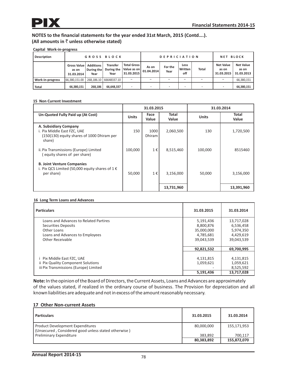# **Capital Work-in-progress**

| <b>Description</b>      | <b>GROSS BLOCK</b>                 |                                        |                                       |                                                 | <b>DEPRICIATION</b> |                 |                        |                          | <b>NET BLOCK</b>                        |                                         |
|-------------------------|------------------------------------|----------------------------------------|---------------------------------------|-------------------------------------------------|---------------------|-----------------|------------------------|--------------------------|-----------------------------------------|-----------------------------------------|
|                         | Gross Value<br>as on<br>31.03.2014 | <b>Additions</b><br>During the<br>Year | <b>Transfer</b><br>During the<br>Year | <b>Total Gross</b><br>Value as on<br>31.03.2015 | As on<br>01.04.2014 | For the<br>Year | Less<br>Written<br>off | <b>Total</b>             | <b>Net Value</b><br>as on<br>31.03.2015 | <b>Net Value</b><br>as on<br>31.03.2013 |
| <b>Nork-in-progress</b> | 66,380,151.00                      |                                        | 268.186.10 66648337.10                |                                                 |                     |                 |                        |                          |                                         | 66,380,151                              |
| Total                   | 66.380.151                         | 268.186                                | 66.648.337                            |                                                 |                     |                 |                        | $\overline{\phantom{a}}$ | $\overline{\phantom{a}}$                | 66,380,151                              |

#### **15 Non Current Investment**

|                                                                                                              | 31.03.2015   |                       |                | 31.03.2014   |                       |  |
|--------------------------------------------------------------------------------------------------------------|--------------|-----------------------|----------------|--------------|-----------------------|--|
| Un-Quoted Fully Paid up (At Cost)                                                                            | <b>Units</b> | Face<br>Value         | Total<br>Value | <b>Units</b> | <b>Total</b><br>Value |  |
| A. Subsidiary Company<br>i. Pix Middle East FZC, UAE<br>(150(130) equity shares of 1000 Dhiram per<br>share) | 150          | 1000<br><b>Dhiram</b> | 2,060,500      | 130          | 1,720,500             |  |
| ii. Pix Transmissions (Europe) Limited<br>(equity shares of per share)                                       | 100,000      | 1€                    | 8,515,460      | 100,000      | 8515460               |  |
| <b>B. Joint Venture Companies</b><br>i. Pix QCS Limited (50,000 equity shares of $1 \in$<br>per share)       | 50,000       | 1€                    | 3,156,000      | 50,000       | 3,156,000             |  |
|                                                                                                              |              |                       | 13,731,960     |              | 13,391,960            |  |

#### **16 Long Term Loans and Advances**

| <b>Particulars</b>                     | 31.03.2015 | 31.03.2014 |
|----------------------------------------|------------|------------|
| Loans and Advances to Related Partires | 5,191,436  | 13,717,028 |
| <b>Securities Deposits</b>             | 8,800,876  | 6,536,458  |
| Other Loans                            | 35,000,000 | 5,974,350  |
| Loans and Advances to Employees        | 4,785,681  | 4,429,619  |
| Other Receivable                       | 39,043,539 | 39,043,539 |
|                                        | 92,821,532 | 69,700,995 |
| i Pix Middle East FZC, UAE             | 4,131,815  | 4,131,815  |
| ii Pix Quality Component Solutions     | 1,059,621  | 1,059,621  |
| iii Pix Transmissions (Europe) Limited |            | 8,525,592  |
|                                        | 5,191,436  | 13,717,028 |

**Note:**In the opinion of the Board of Directors, the Current Assets, Loans and Advances are approximately of the values stated, if realized in the ordinary course of business. The Provision for depreciation and all known liabilities are adequate and not in excess of the amount reasonably necessary.

### **17 Other Non-current Assets**

| <b>Particulars</b>                                                                              | 31.03.2015 | 31.03.2014  |
|-------------------------------------------------------------------------------------------------|------------|-------------|
| <b>Product Development Expenditures</b><br>(Unsecured, Considered good unless stated otherwise) | 80,000,000 | 155,171,953 |
| <b>Preliminary Expenditure</b>                                                                  | 383.892    | 700.117     |
|                                                                                                 | 80,383,892 | 155,872,070 |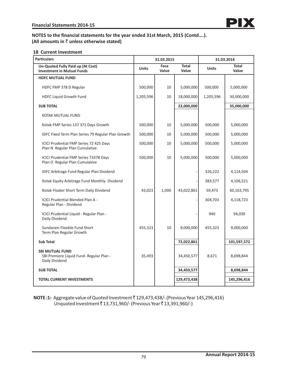## **18 Current Investment**

| <b>Particulars</b>                                                                   | 31.03.2015   |               | 31.03.2014            |              |                |
|--------------------------------------------------------------------------------------|--------------|---------------|-----------------------|--------------|----------------|
| Un-Quoted Fully Paid up (At Cost)<br><b>Investment in Mutual Funds</b>               | <b>Units</b> | Face<br>Value | <b>Total</b><br>Value | <b>Units</b> | Total<br>Value |
| <b>HDFC MUTUAL FUND</b>                                                              |              |               |                       |              |                |
| HDFC FMP 378 D Regular                                                               | 500,000      | 10            | 5,000,000             | 500,000      | 5,000,000      |
| HDFC Liquid Growth Fund                                                              | 1,205,596    | 10            | 18,000,000            | 1,205,596    | 30,000,000     |
| <b>SUB TOTAL</b>                                                                     |              |               | 23,000,000            |              | 35,000,000     |
| KOTAK MUTUAL FUND                                                                    |              |               |                       |              |                |
| Kotak FMP Series 137 371 Days Growth                                                 | 500,000      | 10            | 5,000,000             | 500,000      | 5,000,000      |
| IDFC Fixed Term Plan Series 79 Regular Plan Growth                                   | 500,000      | 10            | 5,000,000             | 500,000      | 5,000,000      |
| ICICI Prudential FMP Series 72 425 Days<br>Plan N Regular Plan Cumulative            | 500,000      | 10            | 5,000,000             | 500,000      | 5,000,000      |
| <b>ICICI Prudential FMP Series 73378 Days</b><br>Plan O Regular Plan Cumulative      | 500,000      | 10            | 5,000,000             | 500,000      | 5,000,000      |
| IDFC Arbitrage Fund Regular Plan Dividend                                            |              |               |                       | 326,222      | 4,114,504      |
| Kotak Equity Arbitrage Fund Monthly-Dividend                                         |              |               |                       | 383,577      | 4,106,521      |
| Kotak Floater Short Term Daily Dividend                                              | 43,023       | 1.000         | 43,022,861            | 59,473       | 60,163,795     |
| <b>ICICI Prudential Blended Plan A -</b><br>Regular Plan - Dividend                  |              |               |                       | 304,703      | 4,118,723      |
| ICICI Prudential Liquid - Regular Plan -<br>Daily Dividend                           |              |               |                       | 940          | 94,030         |
| Sundaram Flexible Fund Short<br>Term Plan Regular Growth                             | 455,323      | 10            | 9,000,000             | 455,323      | 9,000,000      |
| <b>Sub Total</b>                                                                     |              |               | 72,022,861            |              | 101,597,572    |
| <b>SBI MUTUAL FUND</b><br>SBI Premiere Liquid Fund- Regular Plan -<br>Daily Dividend | 35,493       |               | 34,450,577            | 8,671        | 8,698,844      |
| <b>SUB TOTAL</b>                                                                     |              |               | 34,450,577            |              | 8,698,844      |
| <b>TOTAL CURRENT INVESTMENTS</b>                                                     |              |               | 129,473,438           |              | 145,296,416    |
|                                                                                      |              |               |                       |              |                |

**NOTE :1:** Aggregate value of Quoted Investment ` 129,473,438/- (Previous Year 145,296,416) Unquoted Investment ₹13,731,960/- (Previous Year ₹13,391,960/-)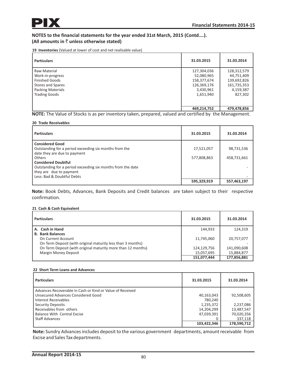**19 Inventories** (Valued at lower of cost and net realisable value)

| <b>Particulars</b>       | 31.03.2015  | 31.03.2014  |
|--------------------------|-------------|-------------|
| Raw Material             | 127,304,036 | 128,312,579 |
| Work-in-progress         | 52,080,965  | 44,751,409  |
| <b>Finished Goods</b>    | 158,377,674 | 139,692,826 |
| Stores and Spares        | 126,369,176 | 161,735,353 |
| <b>Packing Materials</b> | 3,430,961   | 4,159,387   |
| <b>Trading Goods</b>     | 1,651,940   | 827,302     |
|                          |             |             |
|                          | 469,214,752 | 479,478,856 |

**NOTE:** The Value of Stocks is as per inventory taken, prepared, valued and certified by the Management.

#### **20 Trade Receivables**

| <b>Particulars</b>                                                                                                                                                                                                                                                               | 31.03.2015                | 31.03.2014                |
|----------------------------------------------------------------------------------------------------------------------------------------------------------------------------------------------------------------------------------------------------------------------------------|---------------------------|---------------------------|
| <b>Considered Good</b><br>Outstanding for a period exceeding six months from the<br>date they are due to payment<br>Others<br><b>Considered Doubtful</b><br>Outstanding for a period exceeding six months from the date<br>they are due to payment<br>Less: Bad & Doubtful Debts | 17,521,057<br>577,808,863 | 98,731,536<br>458,731,661 |
|                                                                                                                                                                                                                                                                                  | 595,329,919               | 557,463,197               |

**Note:** Book Debts, Advances, Bank Deposits and Credit balances are taken subject to their respective confirmation.

#### **21 Cash & Cash Equivalent**

| <b>Particulars</b>                                           | 31.03.2015  | 31.03.2014  |
|--------------------------------------------------------------|-------------|-------------|
| A. Cash in Hand                                              | 144,933     | 124,319     |
| <b>B. Bank Balances</b>                                      |             |             |
| On Current Account                                           | 11,745,060  | 20,757,077  |
| On Term Deposit (with original maturity less than 3 months)  |             |             |
| On Term Deposit (with original maturity more than 12 months) | 124,129,756 | 141,090,608 |
| <b>Margin Money Deposit</b>                                  | 15,057,695  | 15,884,877  |
|                                                              | 151,077,444 | 177,856,881 |

#### **22 Short Term Loans and Advances**

| <b>Particulars</b>                                        | 31.03.2015  | 31.03.2014  |
|-----------------------------------------------------------|-------------|-------------|
| Advances Recoverable in Cash or Kind or Value of Received |             |             |
| Unsecured Advances Considered Good                        | 40,163,043  | 92,508,605  |
| l Interest Receivables                                    | 780.240     |             |
| Security Deposits                                         | 1,235,372   | 2,237,086   |
| Receivables from others                                   | 14,204,299  | 13,487,547  |
| <b>Balance With Central Excise</b>                        | 47,039,391  | 70,020,356  |
| <b>Staff Advances</b>                                     |             | 337,118     |
|                                                           | 103,422,346 | 178,590,712 |

**Note:** Sundry Advances includes deposit to the various government departments, amount receivable from Excise and Sales Tax departments.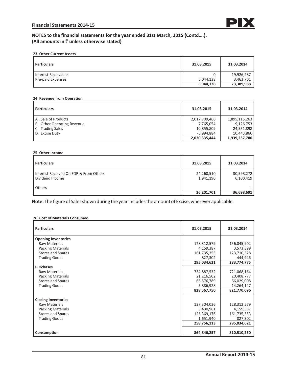### **23 Other Current Assets**

| <b>Particulars</b>   | 31.03.2015 | 31.03.2014 |
|----------------------|------------|------------|
| Interest Receivables |            | 19,926,287 |
| Pre-paid Expenses    | 5,044,138  | 3,463,701  |
|                      | 5,044,138  | 23,389,988 |

#### **24 Revenue from Operation**

| <b>Particulars</b>         | 31.03.2015    | 31.03.2014    |
|----------------------------|---------------|---------------|
| A. Sale of Products        | 2,017,709,466 | 1,895,115,263 |
| B. Other Operating Revenue | 7,765,054     | 9,126,753     |
| C. Trading Sales           | 10,855,809    | 24,551,898    |
| D. Excise Duty             | -5.994.884    | 10.443.866    |
|                            | 2,030,335,444 | 1,939,237,780 |

### **25 Other Income**

| <b>Particulars</b>                                        | 31.03.2015              | 31.03.2014              |
|-----------------------------------------------------------|-------------------------|-------------------------|
| Interest Received On FDR & From Others<br>Dividend Income | 24,260,510<br>1,941,190 | 30,598,272<br>6,100,419 |
| Others                                                    | 26,201,701              | 36,698,691              |

**Note:** The figure of Sales shown during the year includes the amount of Excise, wherever applicable.

#### **26 Cost of Materials Consumed**

| <b>Particulars</b>         | 31.03.2015  | 31.03.2014  |
|----------------------------|-------------|-------------|
| <b>Opening Inventories</b> |             |             |
| <b>Raw Materials</b>       | 128,312,579 | 156,045,902 |
| <b>Packing Materials</b>   | 4,159,387   | 3,573,399   |
| <b>Stores and Spares</b>   | 161,735,353 | 123,710,528 |
| <b>Trading Goods</b>       | 827,302     | 444,946     |
|                            | 295,034,621 | 283,774,775 |
| <b>Purchases</b>           |             |             |
| <b>Raw Materials</b>       | 734,887,532 | 721,068,164 |
| <b>Packing Materials</b>   | 21,216,502  | 20,408,777  |
| <b>Stores and Spares</b>   | 66,576,789  | 66,029,008  |
| <b>Trading Goods</b>       | 5,886,928   | 14,264,147  |
|                            | 828,567,750 | 821,770,096 |
| <b>Closing Inventories</b> |             |             |
| <b>Raw Materials</b>       | 127,304,036 | 128,312,579 |
| <b>Packing Materials</b>   | 3,430,961   | 4,159,387   |
| <b>Stores and Spares</b>   | 126,369,176 | 161,735,353 |
| <b>Trading Goods</b>       | 1,651,940   | 827,302     |
|                            | 258,756,113 | 295,034,621 |
| Consumption                | 864,846,257 | 810,510,250 |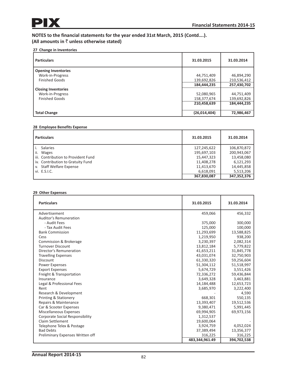# **27 Change in Inventories**

| <b>Particulars</b>         | 31.03.2015   | 31.03.2014  |
|----------------------------|--------------|-------------|
| <b>Opening Inventories</b> |              |             |
| Work-in-Progress           | 44,751,409   | 46,894,290  |
| <b>Finished Goods</b>      | 139,692,826  | 210,536,412 |
|                            | 184,444,235  | 257,430,702 |
| <b>Closing Inventories</b> |              |             |
| Work-in-Progress           | 52,080,965   | 44,751,409  |
| <b>Finished Goods</b>      | 158,377,674  | 139,692,826 |
|                            | 210,458,639  | 184,444,235 |
|                            |              |             |
| <b>Total Change</b>        | (26,014,404) | 72,986,467  |

#### **28 Employee Benefits Expense**

| <b>Particulars</b>                    | 31.03.2015  | 31.03.2014  |
|---------------------------------------|-------------|-------------|
| <b>Salaries</b>                       | 127,245,622 | 106,870,872 |
| ii.<br><b>Wages</b>                   | 195,697,103 | 200,943,067 |
| l iii. Contribution to Provident Fund | 15,447,323  | 13,458,080  |
| iv. Contribution to Gratuity Fund     | 11,408,278  | 6,121,293   |
| v. Staff Welfare Expense              | 11,413,670  | 14,445,858  |
| vi. E.S.I.C.                          | 6,618,091   | 5,513,206   |
|                                       | 367,830,087 | 347,352,376 |

#### **29 Other Expenses**

| <b>Particulars</b>                     | 31.03.2015     | 31.03.2014  |
|----------------------------------------|----------------|-------------|
| Advertisement                          | 459,066        | 456,332     |
| Auditor's Remuneration                 |                |             |
| - Audit Fees                           | 375,000        | 300,000     |
| - Tax Audit Fees                       | 125,000        | 100,000     |
| <b>Bank Commission</b>                 | 11,293,699     | 13,588,825  |
| Cess                                   | 1,219,950      | 938,200     |
| Commission & Brokerage                 | 3,230,397      | 2,082,314   |
| <b>Turnover Discount</b>               | 13,812,184     | 5,779,822   |
| Director's Remuneration                | 41,653,211     | 31,845,778  |
| <b>Travelling Expenses</b>             | 43,031,074     | 32,750,903  |
| Discount                               | 61,330,320     | 59,256,604  |
| <b>Power Expenses</b>                  | 51,304,112     | 51,518,997  |
| <b>Export Expenses</b>                 | 5,674,729      | 3,551,426   |
| Freight & Transportation               | 72,336,272     | 59,436,844  |
| Insurance                              | 3,649,328      | 3,463,881   |
| Legal & Professional Fees              | 14,184,488     | 12,653,723  |
| Rent                                   | 3,685,970      | 3,222,400   |
| Research & Development                 |                | 4,590       |
| <b>Printing &amp; Stationery</b>       | 668,301        | 550,135     |
| Repairs & Maintenance                  | 13,393,407     | 19,512,536  |
| Car & Scooter Expenses                 | 9,380,471      | 5,991,445   |
| <b>Miscellaneous Expenses</b>          | 69,994,905     | 69,973,156  |
| <b>Corporate Social Responsibility</b> | 1,312,537      |             |
| Claim Settlement                       | 19,600,064     |             |
| Telephone Telex & Postage              | 3,924,759      | 4,052,024   |
| <b>Bad Debts</b>                       | 37,389,494     | 13,356,377  |
| Preliminary Expenses Written off       | 316,225        | 316,225     |
|                                        | 483,344,961.49 | 394,702,538 |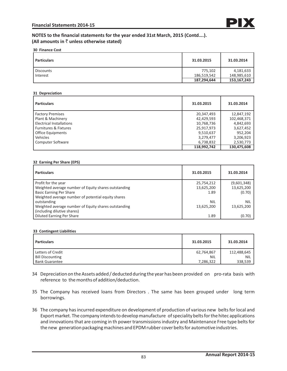**30 Finance Cost**

| <b>Particulars</b> | 31.03.2015  | 31.03.2014  |
|--------------------|-------------|-------------|
| <b>Discounts</b>   | 775,102     | 4,181,633   |
| Interest           | 186,519,542 | 148,985,610 |
|                    | 187,294,644 | 153,167,243 |

#### **31 Depreciation**

| <b>Particulars</b>               | 31.03.2015  | 31.03.2014  |
|----------------------------------|-------------|-------------|
| <b>Factory Premises</b>          | 20,347,493  | 12,847,192  |
| Plant & Machinery                | 42,429,593  | 102,468,371 |
| <b>Electrical Installations</b>  | 10,768,736  | 4,842,693   |
| <b>Furnitures &amp; Fixtures</b> | 25,917,973  | 3,627,452   |
| <b>Office Equipments</b>         | 9,510,637   | 952,204     |
| Vehicles                         | 3,279,477   | 3,206,923   |
| <b>Computer Software</b>         | 6,738,832   | 2,530,773   |
|                                  | 118,992,742 | 130,475,608 |

### **32 Earning Per Share (EPS)**

| <b>Particulars</b>                                   | 31.03.2015 | 31.03.2014  |
|------------------------------------------------------|------------|-------------|
| Profit for the year                                  | 25,754,212 | (9,601,348) |
| Weighted average number of Equity shares outstanding | 13,625,200 | 13,625,200  |
| <b>Basic Earning Per Share</b>                       | 1.89       | (0.70)      |
| Weighted average number of potential equity shares   |            |             |
| outstanding                                          | <b>NIL</b> | <b>NIL</b>  |
| Weighted average number of Equity shares outstanding | 13,625,200 | 13,625,200  |
| (including dilutive shares)                          |            |             |
| <b>Diluted Earning Per Share</b>                     | 1.89       | (0.70)      |

#### **33 Contingent Liabilities**

| <b>Particulars</b>      | 31.03.2015 | 31.03.2014  |
|-------------------------|------------|-------------|
| Letters of Credit       | 62,764,867 | 112,488,645 |
| <b>Bill Discounting</b> | <b>NIL</b> | <b>NIL</b>  |
| <b>Bank Guarantee</b>   | 7,286,322  | 338,539     |

- 34 Depreciation on the Assets added / deducted during the year has been provided on pro-rata basis with reference to the months of addition/deduction.
- 35 The Company has received loans from Directors . The same has been grouped under long term borrowings.
- 36 The company has incurred expenditure on development of production of various new belts for local and Export market. The company intends to develop manufacture of speciality belts for the hitec applications and innovations that are coming in th power transmissions industry and Maintenance Free type belts for the new generation packaging machines and EPDM rubber cover belts for automotive industries.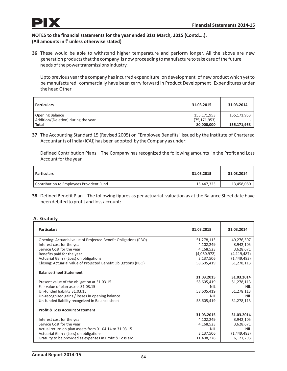

**36** These would be able to withstand higher temperature and perform longer. All the above are new generation products that the company is now proceeding to manufacture to take care of the future needs of the power transmissions industry.

Upto previous year the company has incurred expenditure on development of new product which yet to be manufactured commercially have been carry forward in Product Development Expenditures under the head Other

| <b>Particulars</b>                  | 31.03.2015     | 31.03.2014  |
|-------------------------------------|----------------|-------------|
| Opening Balance                     | 155,171,953    | 155,171,953 |
| Addition/(Deletion) during the year | (75, 171, 953) |             |
| <b>Total</b>                        | 80,000,000     | 155,171,953 |

**37** The Accounting Standard 15 (Revised 2005) on "Employee Benefits" issued by the Institute of Chartered Accountants of India (ICAI) has been adopted by the Company as under:

Defined Contribution Plans – The Company has recognized the following amounts in the Profit and Loss Account for the year

| <b>Particulars</b>                       | 31.03.2015 | 31.03.2014 |
|------------------------------------------|------------|------------|
| Contribution to Employees Provident Fund | 15,447,323 | 13,458,080 |

**38** Defined Benefit Plan – The following figures as per actuarial valuation as at the Balance Sheet date have been debited to profit and loss account:

## **A. Gratuity**

| <b>Particulars</b>                                              | 31.03.2015  | 31.03.2014    |
|-----------------------------------------------------------------|-------------|---------------|
| Opening: Actuarial value of Projected Benefit Obligations (PBO) | 51,278,113  | 49,276,307    |
| Interest cost for the year                                      | 4,102,249   | 3,942,105     |
| Service Cost for the year                                       | 4,168,523   | 3,628,671     |
| Benefits paid for the year                                      | (4,080,972) | (4, 119, 487) |
| Actuarial Gain / (Loss) on obligations                          | 3,137,506   | (1,449,483)   |
| Closing: Actuarial value of Projected Benefit Obligations (PBO) | 58,605,419  | 51,278,113    |
| <b>Balance Sheet Statement</b>                                  |             |               |
|                                                                 | 31.03.2015  | 31.03.2014    |
| Present value of the obligation at 31.03.15                     | 58,605,419  | 51,278,113    |
| Fair value of plan assets 31.03.15                              | NIL         | NII           |
| Un-funded liability 31.03.15                                    | 58,605,419  | 51,278,113    |
| Un-recognized gains / losses in opening balance                 | NII         | NIL           |
| Un-funded liability recognized in Balance sheet                 | 58,605,419  | 51,278,113    |
| <b>Profit &amp; Loss Account Statement</b>                      |             |               |
|                                                                 | 31.03.2015  | 31.03.2014    |
| Interest cost for the year                                      | 4,102,249   | 3,942,105     |
| Service Cost for the year                                       | 4,168,523   | 3,628,671     |
| Actual return on plan assets from 01.04.14 to 31.03.15          | <b>NII</b>  | <b>NII</b>    |
| Actuarial Gain / (Loss) on obligations                          | 3,137,506   | (1,449,483)   |
| Gratuity to be provided as expenses in Profit & Loss a/c.       | 11,408,278  | 6,121,293     |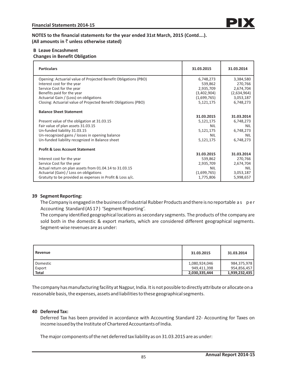## **B Leave Encashment Changes in Benefit Obligation**

| <b>Particulars</b>                                              | 31.03.2015  | 31.03.2014  |
|-----------------------------------------------------------------|-------------|-------------|
| Opening: Actuarial value of Projected Benefit Obligations (PBO) | 6,748,273   | 3,384,580   |
| Interest cost for the year                                      | 539,862     | 270,766     |
| Service Cost for the year                                       | 2,935,709   | 2,674,704   |
| Benefits paid for the year                                      | (3,402,904) | (2,634,964) |
| Actuarial Gain / (Loss) on obligations                          | (1,699,765) | 3,053,187   |
| Closing: Actuarial value of Projected Benefit Obligations (PBO) | 5,121,175   | 6,748,273   |
| <b>Balance Sheet Statement</b>                                  |             |             |
|                                                                 | 31.03.2015  | 31.03.2014  |
| Present value of the obligation at 31.03.15                     | 5,121,175   | 6,748,273   |
| Fair value of plan assets 31.03.15                              | NIL         | <b>NIL</b>  |
| Un-funded liability 31.03.15                                    | 5,121,175   | 6,748,273   |
| Un-recognized gains / losses in opening balance                 | NII         | <b>NIL</b>  |
| Un-funded liability recognized in Balance sheet                 | 5,121,175   | 6,748,273   |
| <b>Profit &amp; Loss Account Statement</b>                      |             |             |
|                                                                 | 31.03.2015  | 31.03.2014  |
| Interest cost for the year                                      | 539,862     | 270,766     |
| Service Cost for the year                                       | 2,935,709   | 2,674,704   |
| Actual return on plan assets from 01.04.14 to 31.03.15          | <b>NIL</b>  | <b>NIL</b>  |
| Actuarial (Gain) / Loss on obligations                          | (1,699,765) | 3,053,187   |
| Gratuity to be provided as expenses in Profit & Loss a/c.       | 1,775,806   | 5,998,657   |

## **39 Segment Reporting:**

The Company is engaged in the business of Industrial Rubber Products and there is no reportable as per Accounting Standard (AS 17 ) 'Segment Reporting'.

The company identified geographical locations as secondary segments. The products of the company are sold both in the domestic & export markets, which are considered different geographical segments. Segment-wise revenues are as under:

| Revenue      | 31.03.2015    | 31.03.2014    |
|--------------|---------------|---------------|
| Domestic     | 1,080,924,046 | 984,375,978   |
| Export       | 949,411,398   | 954,856,457   |
| <b>Total</b> | 2,030,335,444 | 1,939,232,435 |

The company has manufacturing facility at Nagpur, India. It is not possible to directly attribute or allocate on a reasonable basis, the expenses, assets and liabilities to these geographical segments.

## **40 Deferred Tax:**

Deferred Tax has been provided in accordance with Accounting Standard 22- Accounting for Taxes on income issued by the Institute of Chartered Accountants of India.

The major components of the net deferred tax liability as on 31.03.2015 are as under: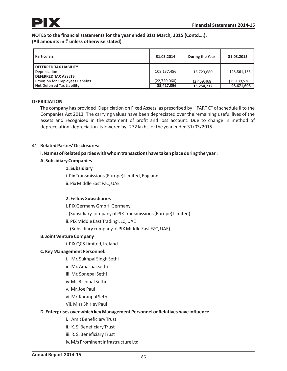| <b>Particulars</b>                                                           | 31.03.2014                   | During the Year           | 31.03.2015                   |
|------------------------------------------------------------------------------|------------------------------|---------------------------|------------------------------|
| <b>DEFERRED TAX LIABILITY</b><br>Depreciation<br><b>DEFERRED TAX ASSETS</b>  | 108,137,456                  | 15,723,680                | 123,861,136                  |
| <b>Provision for Employees Benefits</b><br><b>Net Deferred Tax Liability</b> | (22, 720, 060)<br>85,417,396 | (2,469,468)<br>13,254,212 | (25, 189, 528)<br>98,671,608 |

# **DEPRICIATION**

The company has provided Depriciation on Fixed Assets, as prescribed by "PART C" of schedule II to the Companies Act 2013. The carrying values have been depreciated over the remaining useful lives of the assets and recognised in the statement of profit and loss account. Due to change in method of depreceiation, depreciation is lowered by ` 272 lakhs for the year ended 31/03/2015.

# **41 Related Parties' Disclosures:**

# **i. Names of Related parties with whom transactions have taken place during the year :**

# **A. Subsidiary Companies**

## **1. Subsidiary**

i. Pix Transmissions (Europe) Limited, England

ii. Pix Middle East FZC, UAE

# **2. Fellow Subsidiaries**

i. PIX Germany GmbH, Germany

(Subsidiary company of PIX Transmissions (Europe) Limited)

- ii. PIX Middle East Trading LLC, UAE
	- (Subsidiary company of PIX Middle East FZC, UAE)

## **B. Joint Venture Company**

i. PIX QCS Limited, Ireland

## **C. Key Management Personnel:**

- i. Mr. Sukhpal Singh Sethi
- ii. Mr. Amarpal Sethi
- iii. Mr. Sonepal Sethi
- iv. Mr. Rishipal Sethi
- v. Mr. Joe Paul
- vi. Mr. Karanpal Sethi
- Vii. Miss Shirley Paul

## **D. Enterprises over which key Management Personnel or Relatives have influence**

- i. Amit Beneficiary Trust
- ii. K. S. Beneficiary Trust
- iii. R. S. Beneficiary Trust
- iv. M/s Prominent Infrastructure Ltd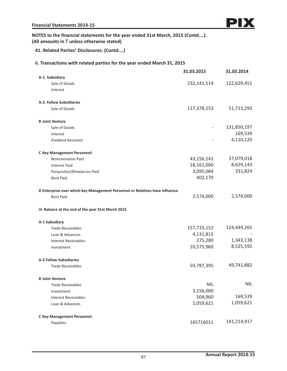# **41. Related Parties' Disclosures: (Contd….)**

# **ii. Transactions with related parties for the year ended March 31, 2015**

|                                                                              | 31.03.2015  | 31.03.2014  |
|------------------------------------------------------------------------------|-------------|-------------|
| A-1. Subsidiary                                                              |             |             |
| Sale of Goods                                                                | 232,141,514 | 122,629,451 |
| Interest                                                                     |             |             |
| A-2. Fellow Subsidiaries                                                     |             |             |
| Sale of Goods                                                                | 117,378,153 | 51,713,293  |
| <b>B Joint Venture</b>                                                       |             |             |
| Sale of Goods                                                                |             | 131,850,197 |
| Interest                                                                     |             | 169,539     |
| Dividend Received                                                            |             | 4,110,120   |
| <b>C Key Management Personnel:</b>                                           |             |             |
| <b>Remuneration Paid</b>                                                     | 43,156,141  | 37,079,018  |
| <b>Interest Paid</b>                                                         | 18,161,000  | 8,629,143   |
| Perquisites/Allowances Paid                                                  | 3,095,084   | 331,824     |
| <b>Rent Paid</b>                                                             | 402,170     |             |
| D Enterprise over which key Management Personnel or Relatives have influence |             |             |
| <b>Rent Paid</b>                                                             | 2,574,000   | 2,574,000   |
| iii. Balance at the end of the year 31st March 2015                          |             |             |
| A-1 Subsidiary                                                               |             |             |
| <b>Trade Receivables</b>                                                     | 157,733,152 | 124,449,265 |
| Loan & Advances                                                              | 4,131,815   |             |
| <b>Interest Receivables</b>                                                  | 275,280     | 1,343,138   |
| Investment                                                                   | 10,575,960  | 8,525,592   |
| <b>A-2 Fellow Subsidiaries</b>                                               |             |             |
| <b>Trade Receivables</b>                                                     | 59,787,395  | 49,741,882  |
| <b>B</b> Joint Venture                                                       |             |             |
| <b>Trade Receivables</b>                                                     | <b>NIL</b>  | <b>NIL</b>  |
| Investment                                                                   | 3,156,000   |             |
| <b>Interest Receivables</b>                                                  | 504,960     | 169,539     |
| Loan & Advances                                                              | 1,059,621   | 1,059,621   |
| <b>C Key Management Personnel:</b>                                           |             |             |
| Payables                                                                     | 165716011   | 141,214,917 |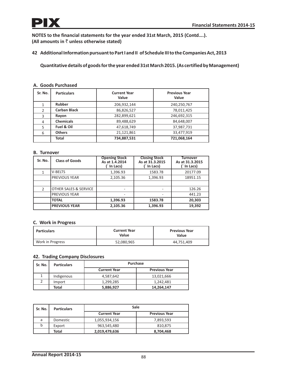**42 Additional Information pursuant to Part I and II of Schedule III to the Companies Act, 2013**

**Quantitative details of goods for the year ended 31st March 2015. (As certified by Management)**

| A. Goods Purchased |  |
|--------------------|--|
|                    |  |

| Sr. No.        | <b>Particulars</b>  | <b>Current Year</b><br>Value | <b>Previous Year</b><br>Value |
|----------------|---------------------|------------------------------|-------------------------------|
| 1              | <b>Rubber</b>       | 206,932,144                  | 240,250,767                   |
| $\overline{2}$ | <b>Carban Black</b> | 86,826,527                   | 78,011,425                    |
| 3              | Rayon               | 282,899,621                  | 246,692,315                   |
| 4              | <b>Chemicals</b>    | 89,488,629                   | 84,648,007                    |
| 5              | Fuel & Oil          | 47,618,749                   | 37,987,731                    |
| 6              | <b>Others</b>       | 21,121,861                   | 33,477,919                    |
|                | Total               | 734,887,531                  | 721,068,164                   |

### **B. Turnover**

| Sr. No.        | <b>Class of Goods</b> | <b>Opening Stock</b><br>As at 1.4.2014<br>(` In Lacs) | <b>Closing Stock</b><br>As at 31.3.2015<br>` In Lacs) | <b>Turnover</b><br>As at 31.3.2015<br>(` In Lacs) |
|----------------|-----------------------|-------------------------------------------------------|-------------------------------------------------------|---------------------------------------------------|
| 1              | <b>V-BELTS</b>        | 1,396.93                                              | 1583.78                                               | 20177.09                                          |
|                | <b>PREVIOUS YEAR</b>  | 2,105.36                                              | 1,396.93                                              | 18951.15                                          |
|                |                       |                                                       |                                                       |                                                   |
| $\overline{2}$ | OTHER SALES & SERVICE |                                                       |                                                       | 126.26                                            |
|                | <b>PREVIOUS YEAR</b>  |                                                       |                                                       | 441.23                                            |
|                | <b>TOTAL</b>          | 1,396.93                                              | 1583.78                                               | 20,303                                            |
|                | <b>PREVIOUS YEAR</b>  | 2,105.36                                              | 1,396.93                                              | 19,392                                            |

## **C. Work in Progress**

| <b>Particulars</b> | <b>Current Year</b><br>Value | <b>Previous Year</b><br>Value |
|--------------------|------------------------------|-------------------------------|
| Work in Progress   | 52,080,965                   | 44.751.409                    |

# **42. Trading Company Disclosures**

| Sr. No. | <b>Particulars</b> | <b>Purchase</b>                             |            |  |  |
|---------|--------------------|---------------------------------------------|------------|--|--|
|         |                    | <b>Current Year</b><br><b>Previous Year</b> |            |  |  |
|         | Indigenous         | 4,587,642                                   | 13,021,666 |  |  |
|         | Import             | 1,299,285                                   | 1,242,481  |  |  |
|         | Total              | 5,886,927                                   | 14,264,147 |  |  |

| Sr. No. | <b>Particulars</b> | Sale                |                      |  |
|---------|--------------------|---------------------|----------------------|--|
|         |                    | <b>Current Year</b> | <b>Previous Year</b> |  |
| a       | Domestic           | 1,055,934,156       | 7.893.593            |  |
| b       | Export             | 963,545,480         | 810,875              |  |
|         | Total              | 2,019,479,636       | 8,704,468            |  |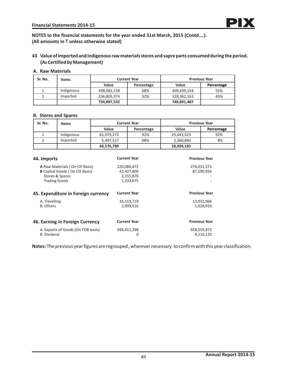# **43 Value of imported and indigenous raw materials stores and sapre parts consumed during the period. (As Certified by Management)**

### **A. Raw Materials**

| Sr. No. | <b>Items</b> | <b>Current Year</b> |            |             | <b>Previous Year</b> |
|---------|--------------|---------------------|------------|-------------|----------------------|
|         |              | Value               | Percentage | Value       | Percentage           |
|         | Indigenous   | 498,082,158         | 68%        | 409,439,324 | 55%                  |
|         | Imported     | 236,805,374         | 32%        | 339,362,163 | 45%                  |
|         |              | 734,887,532         |            | 748,801,487 |                      |

### **B. Stores and Spares**

| Sr. No. | <b>Items</b> | <b>Current Year</b> |            |            | <b>Previous Year</b> |
|---------|--------------|---------------------|------------|------------|----------------------|
|         |              | Value               | Percentage | Value      | Percentage           |
|         | Indigenous   | 61,079,272          | 92%        | 25,643,323 | 92%                  |
|         | Imported     | 5.497.517           | 08%        | 2,360,860  | 8%                   |
|         |              | 66,576,789          |            | 28,004,183 |                      |

| 44. Imports                           | <b>Current Year</b> | <b>Previous Year</b> |
|---------------------------------------|---------------------|----------------------|
| A Raw Materials (On CIF Basis)        | 220,084,472         | 274,031,571          |
| <b>B</b> Capital Goods (On CIF Basis) | 42,427,800          | 87,290,956           |
| Stores & Spares                       | 3,155,870           |                      |
| <b>Trading Goods</b>                  | 1,333,675           |                      |
| 45. Expenditure in Foreign currency   | <b>Current Year</b> | <b>Previous Year</b> |
| A. Travelling                         | 16,519,719          | 13,931,966           |
| <b>B.</b> Others                      | 2,999,616           | 1,628,910            |
| 46. Earning in Foreign Currency       | <b>Current Year</b> | <b>Previous Year</b> |
|                                       |                     |                      |
| A. Exports of Goods (On FOB basis)    | 949,411,398         | 928,559,873          |
| <b>B.</b> Dividend                    | 0                   | 4,110,120            |

**Notes:** The previous year figures are regrouped , wherever necessary to confirm with this year classification.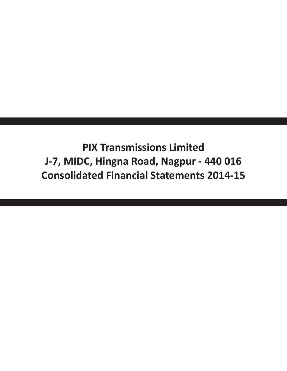**PIX Transmissions Limited J-7, MIDC, Hingna Road, Nagpur - 440 016 Consolidated Financial Statements 2014-15**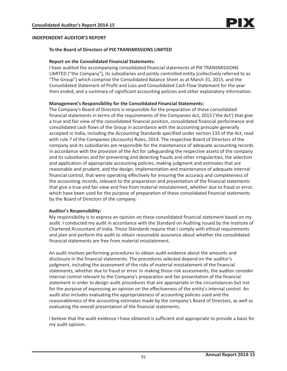# **INDEPENDENT AUDITOR'S REPORT**

## **To the Board of Directors of PIX TRANSMISSIONS LIMITED**

### **Report on the Consolidated Financial Statements:**

I have audited the accompanying consolidated financial statements of PIX TRANSMISSIONS LIMITED ("the Company"), its subsidiaries and jointly controlled entity (collectively referred to as "The Group") which comprise the Consolidated Balance Sheet as at March 31, 2015, and the Consolidated Statement of Profit and Loss and Consolidated Cash Flow Statement for the year then ended, and a summary of significant accounting policies and other explanatory information.

## **Management's Responsibility for the Consolidated Financial Statements:**

The Company's Board of Directors is responsible for the preparation of these consolidated financial statements in terms of the requirements of the Companies Act, 2013 ('the Act') that give a true and fair view of the consolidated financial position, consolidated financial performance and consolidated cash flows of the Group in accordance with the accounting principle generally accepted in India, including the Accounting Standards specified under section 133 of the Act, read with rule 7 of the Companies (Accounts) Rules, 2014. The respective Board of Directors of the company and its subsidiaries are responsible for the maintenance of adequate accounting records in accordance with the provision of the Act for safeguarding the respective assets of the company and its subsidiaries and for preventing and detecting frauds and other irregularities, the selection and application of appropriate accounting policies, making judgment and estimates that are reasonable and prudent, and the design, implementation and maintenance of adequate internal financial control, that were operating effectively for ensuring the accuracy and completeness of the accounting records, relevant to the preparation and presentation of the financial statements that give a true and fair view and free from material misstatement, whether due to fraud or error, which have been used for the purpose of preparation of these consolidated financial statements by the Board of Directors of the company.

## **Auditor's Responsibility:**

My responsibility is to express an opinion on these consolidated financial statement based on my audit. I conducted my audit in accordance with the Standard on Auditing issued by the Institute of Chartered Accountant of India. Those Standards require that I comply with ethical requirements and plan and perform the audit to obtain reasonable assurance about whether the consolidated financial statements are free from material misstatement.

An audit involves performing procedures to obtain audit evidence about the amounts and disclosure in the financial statements. The procedures selected depend on the auditor's judgment, including the assessment of the risks of material misstatement of the financial statements, whether due to fraud or error. In making those risk assessments, the auditor consider internal control relevant to the Company's preparation and fair presentation of the financial statement in order to design audit procedures that are appropriate in the circumstances but not for the purpose of expressing an opinion on the effectiveness of the entity's internal control. An audit also includes evaluating the appropriateness of accounting policies used and the reasonableness of the accounting estimates made by the company's Board of Directors, as well as evaluating the overall presentation of the financial statements.

I believe that the audit evidence I have obtained is sufficient and appropriate to provide a basis for my audit opinion.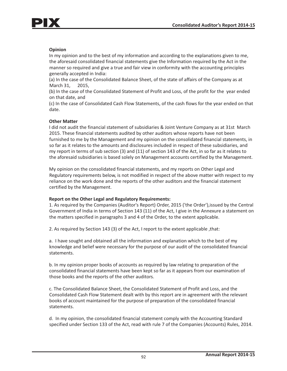

# **Opinion**

In my opinion and to the best of my information and according to the explanations given to me, the aforesaid consolidated financial statements give the Information required by the Act in the manner so required and give a true and fair view in conformity with the accounting principles generally accepted in India:

(a) In the case of the Consolidated Balance Sheet, of the state of affairs of the Company as at March 31, 2015,

(b) In the case of the Consolidated Statement of Profit and Loss, of the profit for the year ended on that date, and

(c) In the case of Consolidated Cash Flow Statements, of the cash flows for the year ended on that date.

## **Other Matter**

I did not audit the financial statement of subsidiaries & Joint Venture Company as at 31st March 2015. These financial statements audited by other auditors whose reports have not been furnished to me by the Management and my opinion on the consolidated financial statements, in so far as it relates to the amounts and disclosures included in respect of these subsidiaries, and my report in terms of sub section (3) and (11) of section 143 of the Act, in so far as it relates to the aforesaid subsidiaries is based solely on Management accounts certified by the Management.

My opinion on the consolidated financial statements, and my reports on Other Legal and Regulatory requirements below, is not modified in respect of the above matter with respect to my reliance on the work done and the reports of the other auditors and the financial statement certified by the Management.

## **Report on the Other Legal and Regulatory Requirements:**

1. As required by the Companies (Auditor's Report) Order, 2015 ('the Order'),issued by the Central Government of India in terms of Section 143 (11) of the Act, I give in the Annexure a statement on the matters specified in paragraphs 3 and 4 of the Order, to the extent applicable.

2. As required by Section 143 (3) of the Act, I report to the extent applicable ,that:

a. I have sought and obtained all the information and explanation which to the best of my knowledge and belief were necessary for the purpose of our audit of the consolidated financial statements.

b. In my opinion proper books of accounts as required by law relating to preparation of the consolidated financial statements have been kept so far as it appears from our examination of those books and the reports of the other auditors.

c. The Consolidated Balance Sheet, the Consolidated Statement of Profit and Loss, and the Consolidated Cash Flow Statement dealt with by this report are in agreement with the relevant books of account maintained for the purpose of preparation of the consolidated financial statements.

d. In my opinion, the consolidated financial statement comply with the Accounting Standard specified under Section 133 of the Act, read with rule 7 of the Companies (Accounts) Rules, 2014.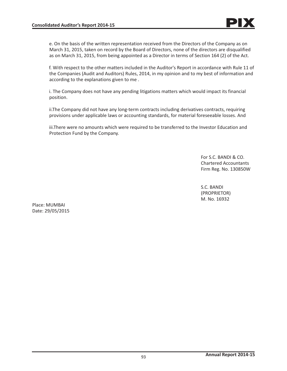e. On the basis of the written representation received from the Directors of the Company as on March 31, 2015, taken on record by the Board of Directors, none of the directors are disqualified as on March 31, 2015, from being appointed as a Director in terms of Section 164 (2) of the Act.

f. With respect to the other matters included in the Auditor's Report in accordance with Rule 11 of the Companies (Audit and Auditors) Rules, 2014, in my opinion and to my best of information and according to the explanations given to me .

i. The Company does not have any pending litigations matters which would impact its financial position.

ii.The Company did not have any long-term contracts including derivatives contracts, requiring provisions under applicable laws or accounting standards, for material foreseeable losses. And

iii.There were no amounts which were required to be transferred to the Investor Education and Protection Fund by the Company.

> For S.C. BANDI & CO. Chartered Accountants Firm Reg. No. 130850W

S.C. BANDI (PROPRIETOR) M. No. 16932

Place: MUMBAI Date: 29/05/2015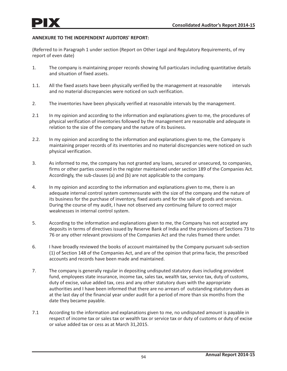# **ANNEXURE TO THE INDEPENDENT AUDITORS' REPORT:**

(Referred to in Paragraph 1 under section (Report on Other Legal and Regulatory Requirements, of my report of even date)

- 1. The company is maintaining proper records showing full particulars including quantitative details and situation of fixed assets.
- 1.1. All the fixed assets have been physically verified by the management at reasonable intervals and no material discrepancies were noticed on such verification.
- 2. The inventories have been physically verified at reasonable intervals by the management.
- 2.1 In my opinion and according to the information and explanations given to me, the procedures of physical verification of inventories followed by the management are reasonable and adequate in relation to the size of the company and the nature of its business.
- 2.2. In my opinion and according to the information and explanations given to me, the Company is maintaining proper records of its inventories and no material discrepancies were noticed on such physical verification.
- 3. As informed to me, the company has not granted any loans, secured or unsecured, to companies, firms or other parties covered in the register maintained under section 189 of the Companies Act. Accordingly, the sub-clauses (a) and (b) are not applicable to the company.
- 4. In my opinion and according to the information and explanations given to me, there is an adequate internal control system commensurate with the size of the company and the nature of its business for the purchase of inventory, fixed assets and for the sale of goods and services. During the course of my audit, I have not observed any continuing failure to correct major weaknesses in internal control system.
- 5. According to the information and explanations given to me, the Company has not accepted any deposits in terms of directives issued by Reserve Bank of India and the provisions of Sections 73 to 76 or any other relevant provisions of the Companies Act and the rules framed there under.
- 6. I have broadly reviewed the books of account maintained by the Company pursuant sub-section (1) of Section 148 of the Companies Act, and are of the opinion that prima facie, the prescribed accounts and records have been made and maintained.
- 7. The company is generally regular in depositing undisputed statutory dues including provident fund, employees state insurance, income tax, sales tax, wealth tax, service tax, duty of customs, duty of excise, value added tax, cess and any other statutory dues with the appropriate authorities and I have been informed that there are no arrears of outstanding statutory dues as at the last day of the financial year under audit for a period of more than six months from the date they became payable.
- 7.1 According to the information and explanations given to me, no undisputed amount is payable in respect of income tax or sales tax or wealth tax or service tax or duty of customs or duty of excise or value added tax or cess as at March 31,2015.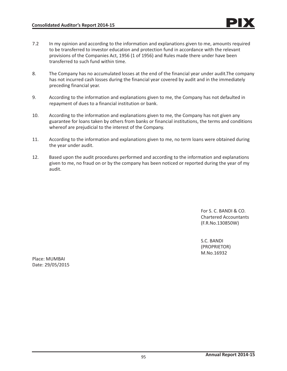- 7.2 In my opinion and according to the information and explanations given to me, amounts required to be transferred to investor education and protection fund in accordance with the relevant provisions of the Companies Act, 1956 (1 of 1956) and Rules made there under have been transferred to such fund within time.
- 8. The Company has no accumulated losses at the end of the financial year under audit.The company has not incurred cash losses during the financial year covered by audit and in the immediately preceding financial year.
- 9. According to the information and explanations given to me, the Company has not defaulted in repayment of dues to a financial institution or bank.
- 10. According to the information and explanations given to me, the Company has not given any guarantee for loans taken by others from banks or financial institutions, the terms and conditions whereof are prejudicial to the interest of the Company.
- 11. According to the information and explanations given to me, no term loans were obtained during the year under audit.
- 12. Based upon the audit procedures performed and according to the information and explanations given to me, no fraud on or by the company has been noticed or reported during the year of my audit.

For S. C. BANDI & CO. Chartered Accountants (F.R.No.130850W)

S.C. BANDI (PROPRIETOR) M.No.16932

Place: MUMBAI Date: 29/05/2015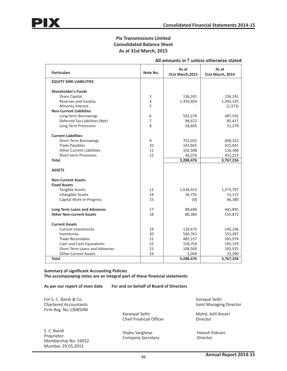# **Pix Transmissions Limited Consolidated Balance Sheet As at 31st March, 2015**

| <b>Particulars</b>                  | Note No.       | As at<br>31st March, 2015 | As at<br>31st March, 2014 |
|-------------------------------------|----------------|---------------------------|---------------------------|
| <b>EQUITY AND LIABILITIES</b>       |                |                           |                           |
| <b>Shareholder's Funds</b>          |                |                           |                           |
| <b>Share Capital</b>                | 3              | 136,241                   | 136,241                   |
| <b>Reserves and Surplus</b>         | $\overline{4}$ | 1,359,403                 | 1,345,145                 |
| Minority Interest                   | 5              |                           | (1, 372)                  |
| <b>Non-Current Liabilities</b>      |                |                           |                           |
| Long-term Borrowings                | 6              | 592,274                   | 487,592                   |
| Deferred Tax Liabilities (Net)      | $\overline{7}$ | 98,672                    | 85,417                    |
| Long Term Provisions                | 8              | 58,605                    | 51,278                    |
| <b>Current Liabilities</b>          |                |                           |                           |
| Short-Term Borrowings               | 9              | 752,032                   | 690,323                   |
| <b>Trade Payables</b>               | 10             | 142,665                   | 425,041                   |
| <b>Other Current Liabilities</b>    | 11             | 102,508                   | 116,368                   |
| <b>Short-term Provisions</b>        | 12             | 46,076                    | 431,223                   |
| <b>Total</b>                        |                | 3,288,476                 | 3,767,256                 |
| <b>ASSETS</b>                       |                |                           |                           |
| <b>Non-Current Assets</b>           |                |                           |                           |
| <b>Fixed Assets</b>                 |                |                           |                           |
| <b>Tangible Assets</b>              | 13             | 1,636,915                 | 1,373,797                 |
| Intangible Assets                   | 14             | 34,735                    | 51,172                    |
| Capital Work-in-Progress            | 15             | (0)                       | 66,380                    |
| <b>Long Term Loans and Advances</b> | 17             | 88,690                    | 441,895                   |
| <b>Other Non-current Assets</b>     | 18             | 80,384                    | 155,872                   |
| <b>Current Assets</b>               |                |                           |                           |
| <b>Current Investments</b>          | 19             | 129,473                   | 145,296                   |
| Inventories                         | 20             | 560,763                   | 555,397                   |
| <b>Trade Receivables</b>            | 21             | 485,157                   | 565,974                   |
| Cash and Cash Equivalents           | 22             | 158,754                   | 195,159                   |
| Short-Term Loans and Advances       | 23             | 108,560                   | 192,925                   |
| <b>Other Current Assets</b>         | 24             | 5,044                     | 23,390                    |
| <b>Total</b>                        |                | 3,288,476                 | 3,767,256                 |

### **All amounts in** ` **unless otherwise stated**

**Summary of significant Accounting Policies The accompanying notes are an integral part of these financial statements**

**As per our report of even date For and on behalf of Board of Directors**

For S. C. Bandi & Co. Chartered Accountants Firm Reg. No.130850W

Karanpal Sethi Chief Financial Officer

S. C. Bandi Proprietor Membership No: 16932 Mumbai, 29.05.2015

Shybu Varghese Company Secretary

 Sonepal Sethi Joint Managing Director

Mohd. Adil Ansari Director

 Haresh Eidnani Director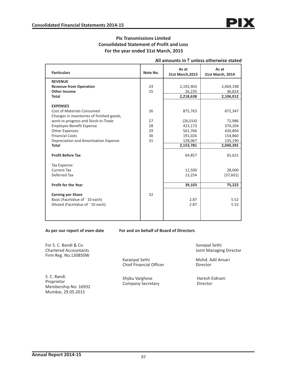# **Pix Transmissions Limited Consolidated Statement of Profit and Loss For the year ended 31st March, 2015**

| <b>Particulars</b>                                                                           | Note No. | As at<br>31st March, 2015 | As at<br>31st March, 2014 |
|----------------------------------------------------------------------------------------------|----------|---------------------------|---------------------------|
| <b>REVENUE</b>                                                                               |          |                           |                           |
| <b>Revenue from Operation</b>                                                                | 24       | 2,192,403                 | 2,069,198                 |
| <b>Other Income</b>                                                                          | 25       | 26,235                    | 36,814                    |
| <b>Total</b>                                                                                 |          | 2,218,638                 | 2,106,012                 |
| <b>EXPENSES</b><br>Cost of Materials Consumed                                                | 26       | 875,763                   | 872,347                   |
| Changes in inventories of finished goods,<br>work-in-progress and Stock-in-Trade             | 27       | (26, 014)                 | 72,986                    |
| <b>Employee Benefit Expense</b>                                                              | 28       | 423,173                   | 374,204                   |
| <b>Other Expenses</b>                                                                        | 29       | 561,766                   | 430,804                   |
| <b>Financial Costs</b>                                                                       | 30       | 191,026                   | 154,860                   |
| Depreciation and Amortization Expense                                                        | 31       | 128,067                   | 135,190                   |
| <b>Total</b>                                                                                 |          | 2,153,781                 | 2,040,391                 |
| <b>Profit Before Tax</b>                                                                     |          | 64,857                    | 65,621                    |
| Tax Expense:                                                                                 |          |                           |                           |
| <b>Current Tax</b>                                                                           |          | 12,500                    | 28,000                    |
| Deferred Tax                                                                                 |          | 13,254                    | (37,601)                  |
|                                                                                              |          |                           |                           |
| <b>Profit for the Year</b>                                                                   |          | 39,103                    | 75,222                    |
| <b>Earning per Share</b><br>Basic (FaceValue of `10 each)<br>Diluted (FaceValue of `10 each) | 32       | 2.87<br>2.87              | 5.52<br>5.52              |
|                                                                                              |          |                           |                           |

## **All amounts in** ` **unless otherwise stated**

**As per our report of even date For and on behalf of Board of Directors**

For S. C. Bandi & Co. Chartered Accountants Firm Reg. No.130850W

S. C. Bandi Proprietor Membership No: 16932 Mumbai, 29.05.2015

Karanpal Sethi Chief Financial Officer

Shybu Varghese Company Secretary

 Sonepal Sethi Joint Managing Director

Mohd. Adil Ansari Director

 Haresh Eidnani Director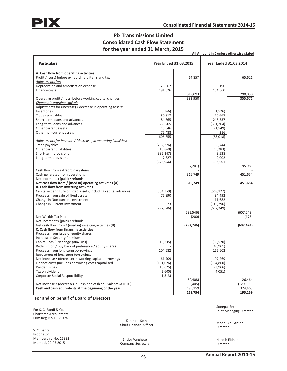# **Pix Transmissions Limited Consolidated Cash Flow Statement for the year ended 31 March, 2015**

|                                                                                                                                                                           |                                              |                        |                                               | All Amount in $\bar{z}$ unless otherwise stated |
|---------------------------------------------------------------------------------------------------------------------------------------------------------------------------|----------------------------------------------|------------------------|-----------------------------------------------|-------------------------------------------------|
| <b>Particulars</b>                                                                                                                                                        | <b>Year Ended 31.03.2015</b>                 |                        |                                               | <b>Year Ended 31.03.2014</b>                    |
| A. Cash flow from operating activities<br>Profit / (Loss) before extraordinary items and tax<br>Adjustments for:                                                          |                                              | 64,857                 |                                               | 65,621                                          |
| Depreciation and amortisation expense<br>Finance costs                                                                                                                    | 128,067<br>191,026                           | 319,093                | 135190<br>154,860                             | 290.050                                         |
| Operating profit / (loss) before working capital changes<br>Changes in working capital:<br>Adjustments for (increase) / decrease in operating assets:                     |                                              | 383,950                |                                               | 355,671                                         |
| Inventories<br>Trade receivables                                                                                                                                          | (5,366)<br>80,817                            |                        | (1,526)<br>20,667                             |                                                 |
| Short-term loans and advances<br>Long-term loans and advances<br>Other current assets                                                                                     | 84,365<br>353,205<br>18,346                  |                        | 245,337<br>(301, 264)<br>(21, 549)            |                                                 |
| Other non-current assets                                                                                                                                                  | 75,488<br>606,855                            |                        | 316<br>(58, 018)                              |                                                 |
| Adjustments for increase / (decrease) in operating liabilities:<br>Trade payables<br>Other current liabilities<br>Short-term provisions                                   | (282, 376)<br>(13,860)<br>(385, 147)         |                        | 163,744<br>(15, 283)<br>3,538                 |                                                 |
| Long-term provisions                                                                                                                                                      | 7,327<br>(674, 056)                          | (67, 201)              | 2,002<br>154,001                              | 95,983                                          |
| Cash flow from extraordinary items<br>Cash generated from operations                                                                                                      |                                              | 316,749                |                                               | 451,654                                         |
| Net Income tax (paid) / refunds<br>Net cash flow from / (used in) operating activities (A)<br><b>B. Cash flow from investing activities</b>                               |                                              | 316,749                |                                               | 451,654                                         |
| Capital expenditure on fixed assets, including capital advances<br>Proceeds from sale of fixed assets<br>Change in Non-current Investment<br>Change in Current Investment | (384, 359)<br>75,990<br>15,823               |                        | (568, 127)<br>94,492<br>11,682<br>(145, 296)  |                                                 |
| Net Wealth Tax Paid                                                                                                                                                       | (292, 546)                                   | (292, 546)<br>(200)    | (607, 249)                                    | (607, 249)<br>(175)                             |
| Net Income tax (paid) / refunds<br>Net cash flow from / (used in) investing activities (B)<br>C. Cash flow from financing activities                                      |                                              | (292, 746)             |                                               | (607, 424)                                      |
| Proceeds from issue of equity shares<br>Increase In Security Premium                                                                                                      |                                              |                        |                                               |                                                 |
| Capital Loss (Exchange gain/Loss)<br>Redemption / buy back of preference / equity shares<br>Proceeds from long-term borrowings<br>Repayment of long-term borrowings       | (18, 235)<br>104,682                         |                        | (16, 570)<br>(46, 961)<br>165,602             |                                                 |
| Net increase / (decrease) in working capital borrowings<br>Finance costs (includes borrowing costs capitalised<br>Dividends paid<br>Tax on dividend                       | 61,709<br>(191, 026)<br>(13, 625)<br>(2,600) |                        | 107,269<br>(154, 860)<br>(23, 966)<br>(4,051) |                                                 |
| <b>Corporate Social Responsibility</b><br>Net increase / (decrease) in Cash and cash equivalents (A+B+C)                                                                  | (1, 313)                                     | (60, 408)<br>(36, 405) |                                               | 26,464<br>(129, 305)                            |
| Cash and cash equivalents at the beginning of the year                                                                                                                    |                                              | 195,159<br>158,754     |                                               | 324,465<br>195,159                              |

**For and on behalf of Board of Directors**

For S. C. Bandi & Co. Chartered Accountants Firm Reg. No.130850W

S. C. Bandi Proprietor Membership No: 16932 Mumbai, 29.05.2015

Karanpal Sethi Karanpai Setni<br>Chief Financial Officer Mohd. Adil Ansari<br>Ning the Mohd. Adil Ansari

Shybu Varghese Company Secretary  Sonepal Sethi Joint Managing Director

Director

 Haresh Eidnani Director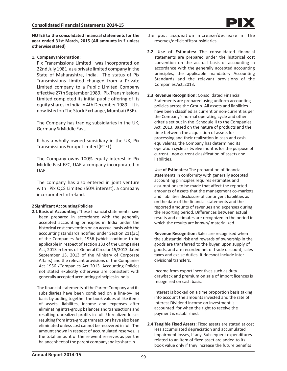**NOTES to the consolidated financial statements for the year ended 31st March, 2015 (All amounts in ₹ unless otherwise stated)**

### **1. Company Information:**

Pix Transmissions Limited was incorporated on 22nd July 1981 as a private limited company in the State of Maharashtra, India. The status of Pix Transmissions Limited changed from a Private Limited company to a Public Limited Company effective 27th September 1989. Pix Transmissions Limited completed its initial public offering of its equity shares in India in 4th December 1989. It is now listed on The Stock Exchange, Mumbai (BSE).

The Company has trading subsidiaries in the UK, Germany & Middle East.

It has a wholly owned subsidiary in the UK, Pix Transmissions Europe Limited (PTEL).

The Company owns 100% equity interest in Pix Middle East FZC, UAE a company incorporated in UAE.

The company has also entered in joint venture with Pix QCS Limited (50% interest), a company incorporated in Ireland.

### **2 Significant Accounting Policies**

**2.1 Basis of Accounting:** These financial statements have been prepared in accordance with the generally accepted accounting principles in India under the historical cost convention on an accrual basis with the accounting standards notified under Section 211(3C) of the Companies Act, 1956 (which continue to be applicable in respect of section 133 of the Companies Act, 2013 in terms of General Circular 15/2013 dated September 13, 2013 of the Ministry of Corporate Affairs) and the relevant provisions of the Companies Act 1956 /Companies Act 2013. Accounting Policies not stated explicitly otherwise are consistent with generally accepted accounting principles in India.

The financial statements of the Parent Company and its subsidiaries have been combined on a line-by-line basis by adding together the book values of like items of assets, liabilites, income and expenses after eliminating intra-group balances and transactions and resulting unrealized profits in full. Unrealized losses resulting from intra-group transactions have also been eliminated unless cost cannot be recovered in full. The amount shown in respect of accumulated reserves, is the total amount of the relevent reserves as per the balance sheet of the parent companyand its share in

- the post acquisition increase/decrease in the reserves/deficit of its subsidiaries.
- **2.2 Use of Estimates:** The consolidated financial statements are prepared under the historical cost convention on the accrual basis of accounting in accordance with the generally accepted accounting principles, the applicable mandatory Accounting Standards and the relevant provisions of the Companies Act, 2013.
- **2.3 Revenue Recognition:** Consolidated Financial Statements are prepared using uniform accounting policies across the Group. All assets and liabilities have been classified as current or non-current as per the Company's normal operating cycle and other criteria set out in the Schedule II to the Companies Act, 2013. Based on the nature of products and the time between the acquisition of assets for processing and their realization in cash and cash equivalents, the Company has determined its operation cycle as twelve months for the purpose of current - non current classification of assets and liabilities.

**Use of Estimates:** The preparation of financial statements in conformity with generally accepted accounting principles requires estimates and assumptions to be made that affect the reported amounts of assets that the management co-markets and liabilities disclosure of contingent liabilities as on the date of the financial statements and the reported amounts of revenues and expenses during the reporting period. Differences between actual results and estimates are recognized in the period in which the results are known/ materialized.

**Revenue Recognition:** Sales are recognised when the substantial risk and rewards of ownership in the goods are transferred to the buyer, upon supply of goods, and are recorded net of trade discount, sales taxes and excise duties. It doesnot include interdivisional transfers.

Income from export incentives such as duty drawback and premium on sale of import licences is recognised on cash basis.

Interest is booked on a time proportion basis taking into account the amounts invested and the rate of interest.Dividend income on investment is accounted for when the right to receive the payment is established.

**2.4 Tangible Fixed Assets:** Fixed assets are stated at cost less accumulated depreciation and accumulated impairment losses, If any. Subsequent expenditures related to an item of fixed asset are added to its book value only if they increase the future benefits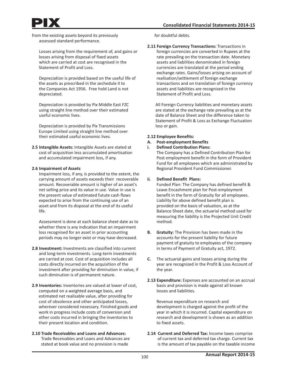from the existing assets beyond its previously assessed standard performance.

Losses arising from the requirement of, and gains or losses arising from disposal of fixed assets which are carried at cost are recognised in the Statement of Profit and Loss.

Depreciation is provided based on the useful life of the assets as prescribed in the sechedule II to the Companies Act 1956. Free hold Land is not depreciated.

Depreciation is provided by Pix Middle East FZC using straight line method over their estimated useful economic lives.

Depreciation is provided by Pix Transmissions Europe Limited using straight line method over their estimated useful economic lives.

**2.5 Intangible Assets:** Intangible Assets are stated at cost of acquisition less accumulated amortisation and accumulated impairment loss, if any.

### **2.6 Impairment of Assets**

Impairment loss, if any, is provided to the extent, the carrying amount of assets exceeds their recoverable amount. Recoverable amount is higher of an asset's net selling price and its value in use. Value in use is the present value of estimated futute cash flows expected to arise from the continuing use of an asset and from its disposal at the end of its useful life.

Assessment is done at each balance sheet date as to whether there is any indication that an impairment loss recognised for an asset in prior accounting periods may no longer exist or may have decreased.

- **2.8 Investment:** Investments are classified into current and long-term investments. Long-term investments are carried at cost. Cost of acquisition includes all costs directly incurred on the acquisition of the investment after providing for diminution in value, if such diminution is of permanent nature.
- **2.9 Inventories:** Inventories are valued at lower of cost, computed on a weighted average basis, and estimated net realisable value, after providing for cost of obsolence and other anticipated losses, wherever considered nesessary. Finished goods and work in progress include costs of conversion and other costs incurred in bringing the inventories to their present location and condition.
- **2.10 Trade Receivables and Loans and Advances:** Trade Receivables and Loans and Advances are stated at book value and no provision is made

for doubtful debts.

**2.11 Foreign Currency Transactions:** Transactions in foreign currencies are converted in Rupees at the rate prevailing on the transaction date. Monetary assets and liabilities denominated in foreign currencies are translated at the period ending exchange rates. Gains/losses arising on account of realisation/settlement of foreign exchange transactions and on translation of foreign currency assets and liabilities are recognised in the Statement of Profit and Loss.

 All Foreign Currency liabilities and monetary assets are stated at the exchange rate prevailing as at the date of Balance Sheet and the difference taken to Statement of Profit & Loss as Exchange Fluctuation loss or gain.

### **2.12 Employee Benefits:**

**A. Post-employment Benefits**

**i. Defined Contribution Plans:** The Company has a Defined Contribution Plan for Post employment benefit in the form of Provident Fund for all employees which are administrated by Regional Provident Fund Commissioner.

## **ii. Defined Benefit Plans:**

 Funded Plan: The Company has defined benefit & Leave Encashment plan for Post-employment benefit in the form of Gratuity for all employees. Liability for above defined benefit plan is provided on the basis of valuation, as at the Balance Sheet date, the actuarial method used for measuring the liability is the Projected Unit Credit method.

- **B. Gratuity:** The Provision has been made in the accounts for the present liability for future payment of gratuity to employees of the company in terms of Payment of Gratuity act, 1972.
- **C.** The actuarial gains and losses arising during the year are recognized in the Profit & Loss Account of the year.
- **2.13 Expenditure:** Expenses are accounted on an accrual basis and provision is made against all known losses and liabilities.

 Revenue expenditure on research and development is charged against the profit of the year in which it is incurred. Capital expenditure on research and development is shown as an addition to fixed assets.

**2.14 Current and Deferred Tax:** Income taxes comprise of current tax and deferred tax charge. Current tax is the amount of tax payable on the taxable income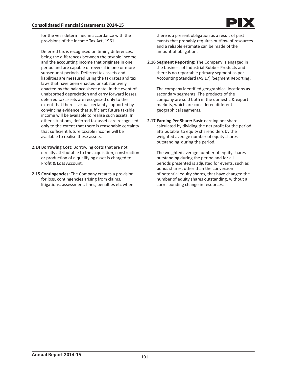for the year determined in accordance with the provisions of the Income Tax Act, 1961.

 Deferred tax is recognised on timing differences, being the differences between the taxable income and the accounting income that originate in one period and are capable of reversal in one or more subsequent periods. Deferred tax assets and liabilities are measured using the tax rates and tax laws that have been enacted or substantively enacted by the balance sheet date. In the event of unabsorbed depreciation and carry forward losses, deferred tax assets are recognised only to the extent that thereis virtual certainty supported by convincing evidence that sufficient future taxable income will be available to realise such assets. In other situations, deferred tax assets are recognised only to the extent that there is reasonable certainty that sufficient future taxable income will be available to realise these assets.

- **2.14 Borrowing Cost:** Borrowing costs that are not directly attributable to the acquisition, construction or production of a qualifying asset is charged to Profit & Loss Account.
- **2.15 Contingencies:** The Company creates a provision for loss, contingencies arising from claims, litigations, assessment, fines, penalties etc when

 there is a present obligation as a result of past events that probably requires outflow of resources and a reliable estimate can be made of the amount of obligation.

**2.16 Segment Reporting:** The Company is engaged in the business of Industrial Rubber Products and there is no reportable primary segment as per Accounting Standard (AS 17) 'Segment Reporting'.

 The company identified geographical locations as secondary segments. The products of the company are sold both in the domestic & export markets, which are considered different geographical segments.

**2.17 Earning Per Share:** Basic earning per share is calculated by dividing the net profit for the period attributable to equity shareholders by the weighted average number of equity shares outstanding during the period.

 The weighted average number of equity shares outstanding during the period and for all periods presented is adjusted for events, such as bonus shares, other than the conversion of potential equity shares, that have changed the number of equity shares outstanding, without a corresponding change in resources.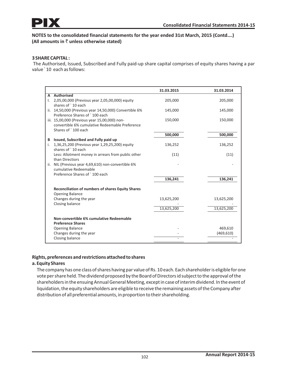

# **3 SHARE CAPITAL :**

The Authorised, Issued, Subscribed and Fully paid-up share capital comprises of equity shares having a par value ` 10 each as follows:

|                                                                            | 31.03.2015 | 31.03.2014 |
|----------------------------------------------------------------------------|------------|------------|
| A Authorised                                                               |            |            |
| 2,05,00,000 (Previous year 2,05,00,000) equity<br>Ι.                       | 205,000    | 205,000    |
| shares of `10 each                                                         |            |            |
| ii. 14,50,000 (Previous year 14,50,000) Convertible 6%                     | 145,000    | 145,000    |
| Preference Shares of `100 each                                             |            |            |
| iii. 15,00,000 (Previous year 15,00,000) non-                              | 150,000    | 150,000    |
| convertible 6% cumulative Redeemable Preference                            |            |            |
| Shares of `100 each                                                        |            |            |
|                                                                            | 500,000    | 500,000    |
| Issued, Subscribed and Fully paid up<br>В                                  |            |            |
| 1,36,25,200 (Previous year 1,29,25,200) equity<br>i.<br>shares of `10 each | 136,252    | 136,252    |
|                                                                            | (11)       | (11)       |
| Less: Allotment money in arrears from public other<br>than Directiors      |            |            |
| ii. NIL (Previous year 4,69,610) non-convertible 6%                        |            |            |
| cumulative Redeemable                                                      |            |            |
| Preference Shares of `100 each                                             |            |            |
|                                                                            | 136,241    | 136,241    |
|                                                                            |            |            |
| <b>Reconciliation of numbers of shares Equity Shares</b>                   |            |            |
| <b>Opening Balance</b>                                                     |            |            |
| Changes during the year                                                    | 13,625,200 | 13,625,200 |
| Closing balance                                                            |            |            |
|                                                                            | 13,625,200 | 13,625,200 |
|                                                                            |            |            |
| Non-convertible 6% cumulative Redeemable                                   |            |            |
| <b>Preference Shares</b>                                                   |            |            |
| <b>Opening Balance</b>                                                     |            | 469,610    |
| Changes during the year                                                    |            | (469, 610) |
| Closing balance                                                            |            |            |

## **Rights, preferences and restrictions attached to shares**

## **a. Equity Shares**

The company has one class of shares having par value of Rs. 10 each. Each shareholder is eligible for one vote per share held. The dividend proposed by the Board of Directors id subject to the approval of the shareholders in the ensuing Annual General Meeting, except in case of interim dividend. In the event of liquidation, the equity shareholders are eligible to receive the remaining assets of the Company after distribution of all preferential amounts, in proportion to their shareholding.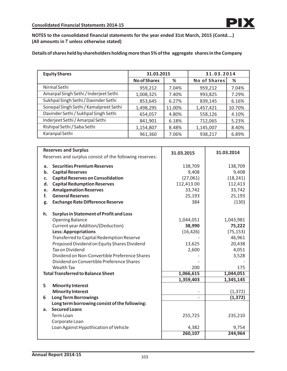**Details of shares held by shareholders holding more than 5% of the aggregate shares in the Company**

| <b>Equity Shares</b>                   | 31.03.2015          |        | 31.03.2014          |        |  |
|----------------------------------------|---------------------|--------|---------------------|--------|--|
|                                        | <b>No of Shares</b> | %      | <b>No of Shares</b> | %      |  |
| Nirmal Sethi                           | 959,212             | 7.04%  | 959,212             | 7.04%  |  |
| Amarpal Singh Sethi / Inderjeet Sethi  | 1,008,325           | 7.40%  | 993,825             | 7.29%  |  |
| Sukhpal Singh Sethi / Davinder Sethi   | 853,645             | 6.27%  | 839,145             | 6.16%  |  |
| Sonepal Singh Sethi / Kamalpreet Sethi | 1,498,295           | 11.00% | 1,457,421           | 10.70% |  |
| Davinder Sethi / Sukhpal Singh Sethi   | 654,057             | 4.80%  | 558,126             | 4.10%  |  |
| Inderjeet Sethi / Amarpal Sethi        | 841,901             | 6.18%  | 712,065             | 5.23%  |  |
| Rishipal Sethi / Saba Sethi            | 1,154,807           | 8.48%  | 1,145,007           | 8.40%  |  |
| Karanpal Sethi                         | 961,360             | 7.06%  | 938,217             | 6.89%  |  |

|    | <b>Reserves and Surplus</b>                             | 31.03.2015 | 31.03.2014 |
|----|---------------------------------------------------------|------------|------------|
|    | Reserves and surplus consist of the following reserves: |            |            |
| a. | <b>Securities Premium Reserves</b>                      | 138,709    | 138,709    |
| b. | <b>Capital Reserves</b>                                 | 9,408      | 9,408      |
| c. | <b>Capital Reserves on Consolidation</b>                | (27,061)   | (18, 241)  |
| d. | <b>Capital Redumption Reserves</b>                      | 112,413.00 | 112,413    |
| e. | <b>Amalgamation Reserves</b>                            | 33,742     | 33,742     |
| f. | <b>General Reserves</b>                                 | 25,193     | 25,193     |
| g. | <b>Exchange Rate Difference Reserve</b>                 | 384        | (130)      |
| h. | <b>Surplus in Statement of Profit and Loss</b>          |            |            |
|    | <b>Opening Balance</b>                                  | 1,044,051  | 1,043,981  |
|    | Current year Addition/(Deduction)                       | 38,990     | 75,222     |
|    | <b>Less: Appropriations</b>                             | (16, 426)  | (75, 153)  |
|    | Transferred to Capital Redemption Reserve               |            | 46,961     |
|    | Proposed Dividend on Equity Shares Dividend             | 13,625     | 20,438     |
|    | <b>Tax on Dividend</b>                                  | 2,600      | 4,051      |
|    | Dividend on Non-Convertible Preference Shares           |            | 3,528      |
|    | Dividend on Convertible Preference Shares               |            |            |
|    | Wealth Tax                                              | 200        | 175        |
|    | <b>Total Transferred to Balance Sheet</b>               | 1,066,615  | 1,044,051  |
|    |                                                         | 1,359,403  | 1,345,145  |
| 5  | <b>Minority Interest</b>                                |            |            |
|    | <b>Minority Interest</b>                                |            | (1, 372)   |
| 6  | <b>Long Term Borrowings</b>                             |            | (1, 372)   |
|    | Long term borrowing consist of the following:           |            |            |
| a. | <b>Secured Loans</b>                                    |            |            |
|    | Term Loan                                               | 255,725    | 235,210    |
|    | Corporate Loan                                          |            |            |
|    | Loan Against Hypothication of Vehicle                   | 4,382      | 9,754      |
|    |                                                         | 260,107    | 244,964    |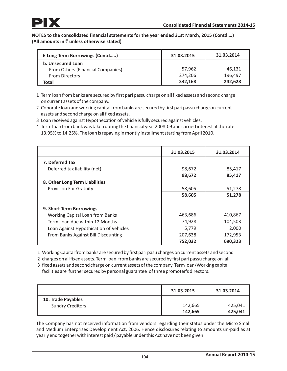| 6 Long Term Borrowings (Contd)    | 31.03.2015 | 31.03.2014 |
|-----------------------------------|------------|------------|
| b. Unsecured Loan                 |            |            |
| From Others (Financial Companies) | 57.962     | 46.131     |
| <b>From Directors</b>             | 274.206    | 196,497    |
| Total                             | 332.168    | 242.628    |

- 1 Term loan from banks are secured by first pari passu charge on all fixed assets and second charge on current assets of the company.
- 2 Coporate loan and working capital from banks are secured by first pari passu charge on current assets and second charge on all fixed assets.
- 3 Loan received against Hypothecation of vehicle is fully secured against vehicles.
- 4 Term loan from bank was taken during the financial year 2008-09 and carried interest at the rate 13.95% to 14.25%. The loan is repaying in montly installment starting from April 2010.

|                                        | 31.03.2015 | 31.03.2014 |
|----------------------------------------|------------|------------|
| 7. Deferred Tax                        |            |            |
| Deferred tax liability (net)           | 98,672     | 85,417     |
|                                        | 98,672     | 85,417     |
| 8. Other Long Term Liabilities         |            |            |
| <b>Provision For Gratuity</b>          | 58,605     | 51,278     |
|                                        | 58,605     | 51,278     |
|                                        |            |            |
| 9. Short Term Borrowings               |            |            |
| Working Capital Loan from Banks        | 463,686    | 410,867    |
| Term Loan due within 12 Months         | 74,928     | 104,503    |
| Loan Against Hypothication of Vehicles | 5,779      | 2,000      |
| From Banks Against Bill Discounting    | 207,638    | 172,953    |
|                                        | 752,032    | 690,323    |

1 Working Capital from banks are secured by first pari pasu charges on current assets and second

2 charges on all fixed assets. Term loan from banks are secured by first pari passu chargeon all

3 fixed assets and second chargeon current assets of the company. Term loan/Working capital facilities are further secured by personal guarantee of three promoter's directors.

|                         | 31.03.2015 | 31.03.2014 |
|-------------------------|------------|------------|
| 10. Trade Payables      |            |            |
| <b>Sundry Creditors</b> | 142,665    | 425,041    |
|                         | 142,665    | 425,041    |

The Company has not received information from vendors regarding their status under the Micro Small and Medium Enterprises Development Act, 2006. Hence disclosures relating to amounts un-paid as at yearly end together with interest paid / payable under this Act have not been given.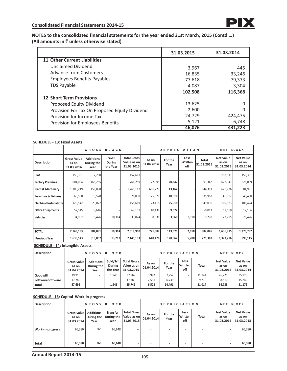|                                               | 31.03.2015 | 31.03.2014 |
|-----------------------------------------------|------------|------------|
| <b>11 Other Current Liabilities</b>           |            |            |
| <b>Unclaimed Dividend</b>                     | 3,967      | 445        |
| <b>Advance from Customers</b>                 | 16,835     | 33,246     |
| <b>Employees Benefits Payables</b>            | 77,618     | 79,373     |
| <b>TDS Payable</b>                            | 4,087      | 3,304      |
|                                               | 102,508    | 116,368    |
| <b>12 Short Term Provisions</b>               |            |            |
| Proposed Equity Dividend                      | 13,625     |            |
| Provision For Tax On Proposed Equity Dividend | 2,600      |            |
| Provision for Income Tax                      | 24,729     | 424,475    |
| Provision for Employees Benefits              | 5,121      | 6,748      |
|                                               | 46,076     | 431.223    |

### **SCHEDULE - 13: Fixed Assets**

|                                 | <b>GROSS BLOCK</b>                        |                                        |                            |                                                 | <b>DEPRECIATION</b> |                 |                        |                            | <b>NET BLOCK</b>                        |                                         |
|---------------------------------|-------------------------------------------|----------------------------------------|----------------------------|-------------------------------------------------|---------------------|-----------------|------------------------|----------------------------|-----------------------------------------|-----------------------------------------|
| <b>Description</b>              | <b>Gross Value</b><br>as on<br>31.03.2014 | <b>Additions</b><br>During the<br>Year | Sold<br>During<br>the Year | <b>Total Gross</b><br>Value as on<br>31.03.2015 | As on<br>01.04.2014 | For the<br>Year | Less<br>Written<br>off | <b>Total</b><br>31.03.2015 | <b>Net Value</b><br>as on<br>31.03.2015 | <b>Net Value</b><br>as on<br>31.03.2014 |
| Plot                            | 150,351                                   | 2,260                                  |                            | 152,611                                         |                     |                 |                        |                            | 152,611                                 | 150,351                                 |
| <b>Factory Premises</b>         | 601,004                                   | 165,285                                |                            | 766,289                                         | 72,995              | 20,347          |                        | 93,342                     | 672,947                                 | 528,009                                 |
| <b>Plant &amp; Machinery</b>    | 1,106,219                                 | 158,898                                |                            | 1,265,117                                       | 601,229             | 43,162          |                        | 644,391                    | 620,726                                 | 504,991                                 |
| <b>Furniture &amp; Fixtures</b> | 65,560                                    | 10,528                                 |                            | 76,088                                          | 25,071              | 10,916          |                        | 35,987                     | 40,102                                  | 40,490                                  |
| <b>Electrical Installations</b> | 129,542                                   | 29,077                                 |                            | 158,619                                         | 23,118              | 25,918          |                        | 49,036                     | 109,583                                 | 106,424                                 |
| <b>Office Equipments</b>        | 57,545                                    | 9,616                                  |                            | 67,161                                          | 40,438              | 9,572           |                        | 50,011                     | 17,150                                  | 17,106                                  |
| <b>Vehicles</b>                 | 34,962                                    | 8,426                                  | 10,314                     | 33,074                                          | 8,536               | 3,660           | 2,918                  | 9,278                      | 23,795                                  | 26,426                                  |
|                                 |                                           |                                        |                            |                                                 |                     |                 |                        |                            |                                         |                                         |
| <b>TOTAL</b>                    | 2,145,183                                 | 384,091                                | 10,314                     | 2,518,960                                       | 771,387             | 113,576         | 2,918                  | 882,045                    | 1,636,915                               | 1,373,797                               |
| <b>Previous Year</b>            | 1,638,543                                 | 519,857                                | 13,217                     | 2,145,183                                       | 648,428             | 128,667         | 5,708                  | 771,387                    | 1,373,796                               | 990,115                                 |

**SCHEDULE - 14: Intengible Assets**

| <b>Description</b> | <b>GROSS BLOCK</b>                 |                                        |                                        |                                                 | <b>DEPRICIATION</b> |                 |                        |              | <b>NET BLOCK</b>                        |                                         |
|--------------------|------------------------------------|----------------------------------------|----------------------------------------|-------------------------------------------------|---------------------|-----------------|------------------------|--------------|-----------------------------------------|-----------------------------------------|
|                    | Gross Value<br>as on<br>31.04.2014 | <b>Additions</b><br>During the<br>Year | Sold/Trf.<br><b>During</b><br>the Year | <b>Total Gross</b><br>Value as on<br>31.03.2015 | As on<br>01.04.2014 | For the<br>Year | Less<br>Written<br>off | <b>Total</b> | <b>Net Value</b><br>as on<br>31.03.2015 | <b>Net Value</b><br>as on<br>31.03.2014 |
| Goodwill           | 39.915                             |                                        | 1.946                                  | 37.969                                          | 3,992               | 7,752           |                        | 11.744       | 26.225                                  | 35,923                                  |
| SoftwareSoftware   | 17.780                             |                                        |                                        | 17.780                                          | 2,531               | 6,739           |                        | 9.270        | 8,510                                   | 15,249                                  |
| <b>Total</b>       | 57.695                             |                                        | 1.946                                  | 55,749                                          | 6.523               | 14,491          |                        | 21.014       | 34.735                                  | 51,172                                  |

# **SCHEDULE - 15: Capital Work-in-progress**

| <b>Description</b> | <b>GROSS BLOCK</b>                 |                                        |                                       |                                                     | <b>DEPRICIATION</b> |                          |                        |              | <b>NET BLOCK</b>                        |                                         |
|--------------------|------------------------------------|----------------------------------------|---------------------------------------|-----------------------------------------------------|---------------------|--------------------------|------------------------|--------------|-----------------------------------------|-----------------------------------------|
|                    | Gross Value<br>as on<br>31.03.2014 | <b>Additions</b><br>During the<br>Year | <b>Transfer</b><br>During the<br>Year | <b>Total Gross I</b><br>Value as on l<br>31.03.2015 | As on<br>01.04.2014 | For the<br>Year          | Less<br>Written<br>off | <b>Total</b> | <b>Net Value</b><br>as on<br>31.03.2015 | <b>Net Value</b><br>as on<br>31.03.2013 |
| Work-in-progress   | 66,380                             | 268                                    | 66,648                                | $\qquad \qquad -$                                   |                     |                          |                        |              |                                         | 66,380                                  |
| <b>Total</b>       | 66,380                             | 268                                    | 66,648                                |                                                     | ۰                   | $\overline{\phantom{a}}$ | ۰                      | ۰            |                                         | 66,380                                  |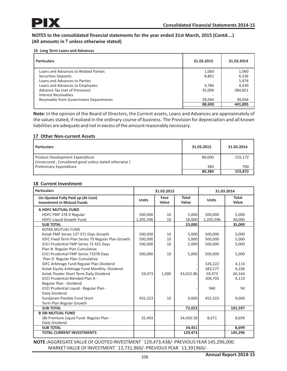### **16 Long Term Loans and Advances**

| <b>Particulars</b>                     | 31.03.2015 | 31.03.2014 |
|----------------------------------------|------------|------------|
| Loans and Advances to Related Parties  | 1,060      | 1,060      |
| <b>Securities Deposits</b>             | 8,801      | 6,536      |
| Loans and Advances to Parties          |            | 5,974      |
| Loans and Advances to Employees        | 4,786      | 4,430      |
| Advance Tax (net of Provision)         | 35,000     | 384,851    |
| Interest Receivables                   |            |            |
| Receivable from Government Departments | 39,044     | 39,044     |
|                                        | 88,690     | 441,895    |
|                                        |            |            |

**Note:** In the opinion of the Board of Directors, the Current assets, Loans and Advances are approximately of the values stated, if realized in the ordinary course of business. The Provision for depreciation and all known liabilities are adequate and not in excess of the amount reasonably necessary.

## **17 Other Non-current Assets**

| <b>Particulars</b>                                                                      | 31.03.2015 | 31.03.2014 |
|-----------------------------------------------------------------------------------------|------------|------------|
| Product Development Expenditure<br>(Unsecured, Considered good unless stated otherwise) | 80.000     | 155,172    |
| Preliminary Expenditure                                                                 | 384        | 700        |
|                                                                                         | 80.384     | 155,872    |

# **18 Current Investment**

| <b>Particulars</b>                                                     | 31.03.2015   |               | 31.03.2014            |              |                       |
|------------------------------------------------------------------------|--------------|---------------|-----------------------|--------------|-----------------------|
| Un-Quoted Fully Paid up (At Cost)<br><b>Investment in Mutual Funds</b> | <b>Units</b> | Face<br>Value | <b>Total</b><br>Value | <b>Units</b> | <b>Total</b><br>Value |
| A HDFC MUTUAL FUND                                                     |              |               |                       |              |                       |
| HDFC FMP 378 D Regular                                                 | 500,000      | 10            | 5,000                 | 500,000      | 5,000                 |
| <b>HDFC Liquid Growth Fund</b>                                         | 1,205,596    | 10            | 18,000                | 1,205,596    | 30,000                |
| <b>SUB TOTAL</b>                                                       |              |               | 23,000                |              | 35,000                |
| KOTAK MUTUAL FUND                                                      |              |               |                       |              |                       |
| Kotak FMP Series 137 371 Days Growth                                   | 500.000      | 10            | 5,000                 | 500,000      | 5,000                 |
| <b>IDFC Fixed Term Plan Series 79 Regular Plan Growth</b>              | 500,000      | 10            | 5,000                 | 500,000      | 5,000                 |
| <b>ICICI Prudential FMP Series 72 425 Days</b>                         | 500,000      | 10            | 5,000                 | 500,000      | 5,000                 |
| Plan N Regular Plan Cumulative                                         |              |               |                       |              |                       |
| ICICI Prudential FMP Series 73378 Days                                 | 500,000      | 10            | 5,000                 | 500,000      | 5,000                 |
| Plan O Regular Plan Cumulative                                         |              |               |                       |              |                       |
| <b>IDFC Arbitrage Fund Regular Plan Dividend</b>                       |              |               |                       | 326,222      | 4,114                 |
| Kotak Equity Arbitrage Fund Monthly-Dividend                           |              |               |                       | 383,577      | 4,106                 |
| Kotak Floater Short Term Daily Dividend                                | 59,473       | 1,000         | 43,022.86             | 59,473       | 60,164                |
| <b>ICICI Prudential Blended Plan A -</b>                               |              |               |                       | 304,703      | 4,119                 |
| Regular Plan - Dividend                                                |              |               |                       |              |                       |
| ICICI Prudential Liquid - Regular Plan -                               |              |               |                       | 940          | 94                    |
| Daily Dividend                                                         |              |               |                       |              |                       |
| Sundaram Flexible Fund Short                                           | 455,323      | 10            | 9,000                 | 455,323      | 9,000                 |
| Term Plan Regular Growth                                               |              |               |                       |              |                       |
| <b>SUB TOTAL</b>                                                       |              |               | 72,023                |              | 101,597               |
| <b>B SBI MUTUAL FUND</b>                                               |              |               |                       |              |                       |
| SBI Premiere Liquid Fund- Regular Plan -                               | 35,493       |               | 34,450.58             | 8,671        | 8,699                 |
| Daily Dividend                                                         |              |               |                       |              |                       |
| <b>SUB TOTAL</b>                                                       |              |               | 34,451                |              | 8,699                 |
| <b>TOTAL CURRENT INVESTMENTS</b>                                       |              |               | 129,473               |              | 145,296               |

**NOTE :**AGGREGATE VALUE OF QUOTED INVESTMENT ` 129,473,438/- PREVIOUS YEAR 145,296,000. MARKET VALUE OF INVESTMENT ` 13,731,960/- PREVIOUS YEAR ` 13,391960/-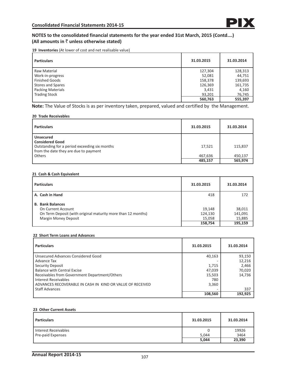**19 Inventories** (At lower of cost and net realisable value)

| <b>Particulars</b>       | 31.03.2015 | 31.03.2014 |
|--------------------------|------------|------------|
| Raw Material             | 127,304    | 128,313    |
| Work-in-progress         | 52,081     | 44,751     |
| <b>Finished Goods</b>    | 158,378    | 139,693    |
| <b>Stores and Spares</b> | 126,369    | 161,735    |
| <b>Packing Materials</b> | 3,431      | 4,160      |
| <b>Trading Stock</b>     | 93.201     | 76,745     |
|                          | 560,763    | 555,397    |

**Note:** The Value of Stocks is as per inventory taken, prepared, valued and certified by the Management.

#### **20 Trade Receivables**

| <b>Particulars</b>                                                                                                                   | 31.03.2015 | 31.03.2014 |
|--------------------------------------------------------------------------------------------------------------------------------------|------------|------------|
| <b>Unsecured</b><br><b>Considered Good</b><br>Outstanding for a period exceeding six months<br>from the date they are due to payment | 17,521     | 115,837    |
| Others                                                                                                                               | 467,636    | 450.137    |
|                                                                                                                                      | 485,157    | 565,974    |

#### **21 Cash & Cash Equivalent**

| <b>Particulars</b>                                                                                                                           | 31.03.2015                             | 31.03.2014                             |
|----------------------------------------------------------------------------------------------------------------------------------------------|----------------------------------------|----------------------------------------|
| A. Cash in Hand                                                                                                                              | 418                                    | 172                                    |
| <b>B. Bank Balances</b><br>On Current Account<br>On Term Deposit (with original maturity more than 12 months)<br><b>Margin Money Deposit</b> | 19,148<br>124,130<br>15,058<br>158,754 | 38,011<br>141,091<br>15,885<br>195,159 |

#### **22 Short Term Loans and Advances**

| <b>Particulars</b>                                        | 31.03.2015 | 31.03.2014 |
|-----------------------------------------------------------|------------|------------|
| Unsecured Advances Considered Good                        | 40,163     | 93,150     |
| Advance Tax                                               |            | 12,216     |
| Security Deposit                                          | 1,715      | 2,466      |
| <b>Balance with Central Excise</b>                        | 47,039     | 70,020     |
| Receivables from Government Department/Others             | 15,503     | 14,736     |
| Interest Receivables                                      | 780        |            |
| ADVANCES RECOVERABLE IN CASH IN KIND OR VALUE OF RECEIVED | 3,360      |            |
| <b>Staff Advances</b>                                     |            | 337        |
|                                                           | 108,560    | 192.925    |

#### **23 Other Current Assets**

| <b>Particulars</b>   | 31.03.2015 | 31.03.2014 |
|----------------------|------------|------------|
| Interest Receivables |            | 19926      |
| Pre-paid Expenses    | 5.044      | 3464       |
|                      | 5,044      | 23,390     |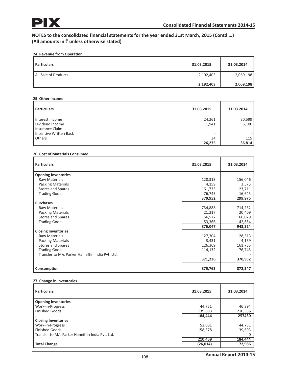# **NOTES to the consolidated financial statements for the year ended 31st March, 2015 (Contd….) (All amounts in** ` **unless otherwise stated)**

## **24 Revenue from Operation**

| l Particulars       | 31.03.2015 | 31.03.2014 |
|---------------------|------------|------------|
| A. Sale of Products | 2,192,403  | 2,069,198  |
|                     | 2,192,403  | 2,069,198  |

#### **25 Other Income**

| <b>Particulars</b>                                        | 31.03.2015        | 31.03.2014      |
|-----------------------------------------------------------|-------------------|-----------------|
| I Interest Income<br>Dividend Income<br>I Insurance Claim | 24,261<br>1,941   | 30,599<br>6,100 |
| I Incentive Written Back<br>Others                        | ۰<br>34<br>26,235 | 115<br>36,814   |

#### **26 Cost of Materials Consumed**

| <b>Particulars</b>                               | 31.03.2015 | 31.03.2014 |
|--------------------------------------------------|------------|------------|
| <b>Opening Inventories</b>                       |            |            |
| <b>Raw Materials</b>                             | 128,313    | 156,046    |
| <b>Packing Materials</b>                         | 4,159      | 3,573      |
| Stores and Spares                                | 161,735    | 123,711    |
| <b>Trading Goods</b>                             | 76,745     | 16,645     |
|                                                  | 370,952    | 299,975    |
| <b>Purchases</b>                                 |            |            |
| <b>Raw Materials</b>                             | 734,888    | 714,232    |
| <b>Packing Materials</b>                         | 21,217     | 20,409     |
| <b>Stores and Spares</b>                         | 66,577     | 66,029     |
| <b>Trading Goods</b>                             | 53,366     | 142,654    |
|                                                  | 876,047    | 943,324    |
| <b>Closing Inventories</b>                       |            |            |
| <b>Raw Materials</b>                             | 127,304    | 128,313    |
| <b>Packing Materials</b>                         | 3,431      | 4,159      |
| <b>Stores and Spares</b>                         | 126,369    | 161,735    |
| <b>Trading Goods</b>                             | 114,132    | 76,745     |
| Transfer to M/s Parker Hanniffin India Pvt. Ltd. |            |            |
|                                                  | 371,236    | 370,952    |
| Consumption                                      | 875,763    | 872,347    |

#### **27 Change in Inventories**

| <b>Particulars</b>                               | 31.03.2015 | 31.03.2014 |
|--------------------------------------------------|------------|------------|
| <b>Opening Inventories</b>                       |            |            |
| Work-in-Progress                                 | 44,751     | 46,894     |
| <b>Finished Goods</b>                            | 139,693    | 210,536    |
|                                                  | 184,444    | 257430     |
| <b>Closing Inventories</b>                       |            |            |
| Work-in-Progress                                 | 52,081     | 44,751     |
| <b>Finished Goods</b>                            | 158,378    | 139,693    |
| Transfer to M/s Parker Hanniffin India Pvt. Ltd. |            |            |
|                                                  | 210,459    | 184,444    |
| <b>Total Change</b>                              | (26, 014)  | 72,986     |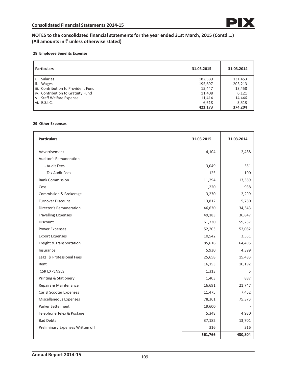# **NOTES to the consolidated financial statements for the year ended 31st March, 2015 (Contd….) (All amounts in** ` **unless otherwise stated)**

#### **28 Employee Benefits Expense**

| <b>Particulars</b>                  | 31.03.2015 | 31.03.2014 |
|-------------------------------------|------------|------------|
| <b>Salaries</b>                     | 182,589    | 131,453    |
| ii.<br><b>Wages</b>                 | 195,697    | 203,213    |
| iii. Contribution to Provident Fund | 15,447     | 13,458     |
| iv. Contribution to Gratuity Fund   | 11,408     | 6,121      |
| v. Staff Welfare Expense            | 11,414     | 14,446     |
| vi. E.S.I.C.                        | 6,618      | 5,513      |
|                                     | 423,173    | 374.204    |

#### **29 Other Expenses**

| <b>Particulars</b>               | 31.03.2015 | 31.03.2014 |
|----------------------------------|------------|------------|
| Advertisement                    | 4,104      | 2,488      |
| <b>Auditor's Remuneration</b>    |            |            |
| - Audit Fees                     | 3,049      | 551        |
| - Tax Audit Fees                 | 125        | 100        |
| <b>Bank Commission</b>           | 11,294     | 13,589     |
| Cess                             | 1,220      | 938        |
| Commission & Brokerage           | 3,230      | 2,299      |
| <b>Turnover Discount</b>         | 13,812     | 5,780      |
| Director's Remuneration          | 46,630     | 34,343     |
| <b>Travelling Expenses</b>       | 49,183     | 36,847     |
| <b>Discount</b>                  | 61,330     | 59,257     |
| <b>Power Expenses</b>            | 52,203     | 52,082     |
| <b>Export Expenses</b>           | 10,542     | 3,551      |
| Freight & Transportation         | 85,616     | 64,495     |
| Insurance                        | 5,930      | 4,399      |
| Legal & Professional Fees        | 25,658     | 15,483     |
| Rent                             | 16,153     | 10,192     |
| <b>CSR EXPENSES</b>              | 1,313      | 5          |
| <b>Printing &amp; Stationery</b> | 1,403      | 887        |
| Repairs & Maintenance            | 16,691     | 21,747     |
| Car & Scooter Expenses           | 11,475     | 7,452      |
| <b>Miscellaneous Expenses</b>    | 78,361     | 75,373     |
| Parker Settelment                | 19,600     |            |
| Telephone Telex & Postage        | 5,348      | 4,930      |
| <b>Bad Debts</b>                 | 37,182     | 13,701     |
| Preliminary Expenses Written off | 316        | 316        |
|                                  | 561,766    | 430,804    |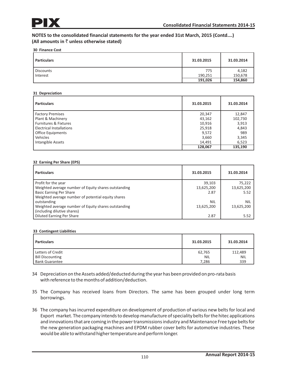# **NOTES to the consolidated financial statements for the year ended 31st March, 2015 (Contd….) (All amounts in**  $\bar{z}$  **unless otherwise stated)**

#### **30 Finance Cost**

| <b>Particulars</b> | 31.03.2015 | 31.03.2014 |
|--------------------|------------|------------|
| <b>Discounts</b>   | 775        | 4,182      |
| Interest           | 190,251    | 150,678    |
|                    | 191,026    | 154,860    |

#### **31 Depreciation**

| <b>Particulars</b>               | 31.03.2015 | 31.03.2014 |
|----------------------------------|------------|------------|
| <b>Factory Premises</b>          | 20,347     | 12,847     |
| Plant & Machinery                | 43,162     | 102,730    |
| <b>Furnitures &amp; Fixtures</b> | 10,916     | 3,913      |
| <b>Electrical Installations</b>  | 25,918     | 4,843      |
| <b>Office Equipments</b>         | 9,572      | 989        |
| Vehicles                         | 3,660      | 3,345      |
| Intangible Assets                | 14,491     | 6,523      |
|                                  | 128,067    | 135,190    |

#### **32 Earning Per Share (EPS)**

| <b>Particulars</b>                                   | 31.03.2015 | 31.03.2014 |
|------------------------------------------------------|------------|------------|
| Profit for the year                                  | 39,103     | 75,222     |
| Weighted average number of Equity shares outstanding | 13,625,200 | 13,625,200 |
| <b>Basic Earning Per Share</b>                       | 2.87       | 5.52       |
| Weighted average number of potential equity shares   |            |            |
| outstanding                                          | <b>NIL</b> | <b>NIL</b> |
| Weighted average number of Equity shares outstanding | 13,625,200 | 13,625,200 |
| (including dilutive shares)                          |            |            |
| <b>Diluted Earning Per Share</b>                     | 2.87       | 5.52       |

#### **33 Contingent Liabilities**

| <b>Particulars</b>      | 31.03.2015 | 31.03.2014 |
|-------------------------|------------|------------|
| Letters of Credit       | 62,765     | 112,489    |
| <b>Bill Discounting</b> | NIL        | <b>NIL</b> |
| <b>Bank Guarantee</b>   | 7,286      | 339        |

- 34 Depreciation on the Assets added/deducted during the year has been provided on pro-rata basis with reference to the months of addition/deduction.
- 35 The Company has received loans from Directors. The same has been grouped under long term borrowings.
- 36 The company has incurred expenditure on development of production of various new belts for local and Export market. The company intends to develop manufacture of speciality belts for the hitec applications and innovations that are coming in the power transmissions industry and Maintenance Free type belts for the new generation packaging machines and EPDM rubber cover belts for automotive industries. These would be able to withstand higher temperature and perform longer.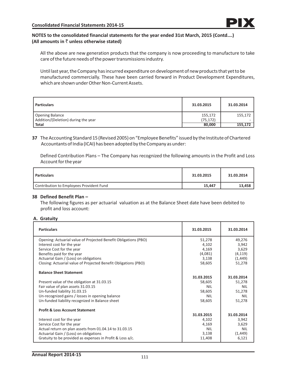# **NOTES to the consolidated financial statements for the year ended 31st March, 2015 (Contd….) (All amounts in**  $\bar{z}$  **unless otherwise stated)**

All the above are new generation products that the company is now proceeding to manufacture to take care of the future needs of the power transmissions industry.

Until last year, the Company has incurred expenditure on development of new products that yet to be manufactured commercially. These have been carried forward in Product Development Expenditures, which are shown under Other Non-Current Assets.

| <b>Particulars</b>                  | 31.03.2015 | 31.03.2014 |
|-------------------------------------|------------|------------|
| Opening Balance                     | 155,172    | 155,172    |
| Addition/(Deletion) during the year | (75, 172)  |            |
| <b>Total</b>                        | 80,000     | 155,172    |

**37** The Accounting Standard 15 (Revised 2005) on "Employee Benefits" issued by the Institute of Chartered Accountants of India (ICAI) has been adopted by the Company as under:

Defined Contribution Plans – The Company has recognized the following amounts in the Profit and Loss Account for the year

| Particulars                              | 31.03.2015 | 31.03.2014 |
|------------------------------------------|------------|------------|
| Contribution to Employees Provident Fund | 15,447     | 13,458     |

## **38 Defined Benefit Plan –**

The following figures as per actuarial valuation as at the Balance Sheet date have been debited to profit and loss account:

# **A. Gratuity**

| <b>Particulars</b>                                              | 31.03.2015 | 31.03.2014 |
|-----------------------------------------------------------------|------------|------------|
| Opening: Actuarial value of Projected Benefit Obligations (PBO) | 51,278     | 49,276     |
| Interest cost for the year                                      | 4,102      | 3,942      |
| Service Cost for the year                                       | 4,169      | 3,629      |
| Benefits paid for the year                                      | (4,081)    | (4, 119)   |
| Actuarial Gain / (Loss) on obligations                          | 3,138      | (1, 449)   |
| Closing: Actuarial value of Projected Benefit Obligations (PBO) | 58,605     | 51,278     |
| <b>Balance Sheet Statement</b>                                  |            |            |
|                                                                 | 31.03.2015 | 31.03.2014 |
| Present value of the obligation at 31.03.15                     | 58,605     | 51,278     |
| Fair value of plan assets 31.03.15                              | <b>NIL</b> | <b>NIL</b> |
| Un-funded liability 31.03.15                                    | 58,605     | 51,278     |
| Un-recognized gains / losses in opening balance                 | <b>NIL</b> | <b>NIL</b> |
| Un-funded liability recognized in Balance sheet                 | 58,605     | 51,278     |
| <b>Profit &amp; Loss Account Statement</b>                      |            |            |
|                                                                 | 31.03.2015 | 31.03.2014 |
| Interest cost for the year                                      | 4,102      | 3,942      |
| Service Cost for the year                                       | 4,169      | 3,629      |
| Actual return on plan assets from 01.04.14 to 31.03.15          | <b>NIL</b> | <b>NIL</b> |
| Actuarial Gain / (Loss) on obligations                          | 3,138      | (1, 449)   |
| Gratuity to be provided as expenses in Profit & Loss a/c.       | 11,408     | 6,121      |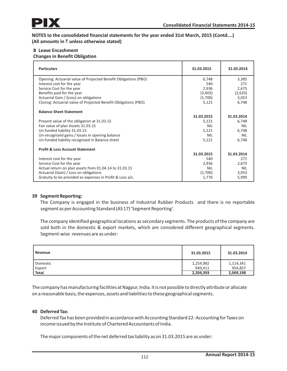**NOTES to the consolidated financial statements for the year ended 31st March, 2015 (Contd….) (All amounts in**  $\bar{z}$  **unless otherwise stated)** 

# **B Leave Encashment**

# **Changes in Benefit Obligation**

| <b>Particulars</b>                                              | 31.03.2015 | 31.03.2014 |
|-----------------------------------------------------------------|------------|------------|
| Opening: Actuarial value of Projected Benefit Obligations (PBO) | 6,748      | 3,385      |
| Interest cost for the year                                      | 540        | 271        |
| Service Cost for the year                                       | 2,936      | 2,675      |
| Benefits paid for the year                                      | (3,403)    | (2,635)    |
| Actuarial Gain / (Loss) on obligations                          | (1,700)    | 3,053      |
| Closing: Actuarial value of Projected Benefit Obligations (PBO) | 5,121      | 6,748      |
| <b>Balance Sheet Statement</b>                                  |            |            |
|                                                                 | 31.03.2015 | 31.03.2014 |
| Present value of the obligation at 31.03.15                     | 5,121      | 6,748      |
| Fair value of plan Assets 31.03.15                              | NII        | <b>NIL</b> |
| Un-funded liability 31.03.15                                    | 5,121      | 6,748      |
| Un-recognized gains / losses in opening balance                 | NII        | <b>NIL</b> |
| Un-funded liability recognized in Balance sheet                 | 5,121      | 6,748      |
| <b>Profit &amp; Loss Account Statement</b>                      |            |            |
|                                                                 | 31.03.2015 | 31.03.2014 |
| Interest cost for the year                                      | 540        | 271        |
| Service Cost for the year                                       | 2,936      | 2,675      |
| Actual return on plan assets from 01.04.14 to 31.03.15          | <b>NIL</b> | <b>NIL</b> |
| Actuarial (Gain) / Loss on obligations                          | (1,700)    | 3,053      |
| Gratuity to be provided as expenses in Profit & Loss a/c.       | 1,776      | 5,999      |

# **39 Segment Reporting:**

The Company is engaged in the business of Industrial Rubber Products and there is no reportable segment as per Accounting Standard (AS 17) 'Segment Reporting'.

The company identified geographical locations as secondary segments. The products of the company are sold both in the domestic & export markets, which are considered different geographical segments. Segment-wise revenues are as under:

| Revenue      | 31.03.2015 | 31.03.2014 |
|--------------|------------|------------|
| Domestic     | 1,254,982  | 1,114,341  |
| Export       | 949.411    | 954.857    |
| <b>Total</b> | 2,204,393  | 2,069,198  |

The company has manufacturing facilities at Nagpur, India. It is not possible to directly attribute or allocate on a reasonable basis, the expenses, assets and liabilities to these geographical segments.

# **40 Deferred Tax:**

Deferred Tax has been provided in accordance with Accounting Standard 22- Accounting for Taxes on income issued by the Institute of Chartered Accountants of India.

The major components of the net deferred tax liability as on 31.03.2015 are as under: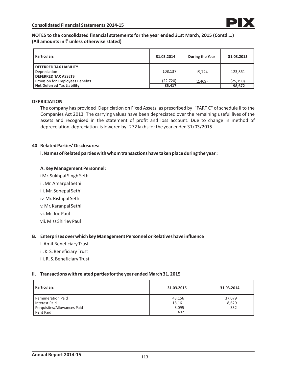# **NOTES to the consolidated financial statements for the year ended 31st March, 2015 (Contd….) (All amounts in**  $\bar{\tau}$  **unless otherwise stated)**

| <b>Particulars</b>                                                          | 31.03.2014          | During the Year | 31.03.2015          |
|-----------------------------------------------------------------------------|---------------------|-----------------|---------------------|
| <b>DEFERRED TAX LIABILITY</b><br>Depreciation<br><b>DEFERRED TAX ASSETS</b> | 108,137             | 15.724          | 123.861             |
| Provision for Employees Benefits<br><b>Net Deferred Tax Liability</b>       | (22, 720)<br>85.417 | (2,469)         | (25, 190)<br>98,672 |

## **DEPRICIATION**

The company has provided Depriciation on Fixed Assets, as prescribed by "PART C" of schedule II to the Companies Act 2013. The carrying values have been depreciated over the remaining useful lives of the assets and recognised in the statement of profit and loss account. Due to change in method of depreceiation, depreciation is lowered by ` 272 lakhs for the year ended 31/03/2015.

## **40 Related Parties' Disclosures:**

**i. Names of Related parties with whom transactions have taken place during the year :**

# **A. Key Management Personnel:**

i Mr. Sukhpal Singh Sethi ii. Mr. Amarpal Sethi iii. Mr. Sonepal Sethi iv. Mr. Rishipal Sethi v. Mr. Karanpal Sethi vi. Mr. Joe Paul vii. Miss Shirley Paul

## **B. Enterprises over which key Management Personnel or Relatives have influence**

- I. Amit Beneficiary Trust
- ii. K. S. Beneficiary Trust
- iii. R. S. Beneficiary Trust

## **ii. Transactions with related parties for the year ended March 31, 2015**

| <b>Particulars</b>          | 31.03.2015 | 31.03.2014 |
|-----------------------------|------------|------------|
| <b>Remuneration Paid</b>    | 43,156     | 37,079     |
| Interest Paid               | 18,161     | 8,629      |
| Perquisites/Allowances Paid | 3,095      | 332        |
| <b>Rent Paid</b>            | 402        |            |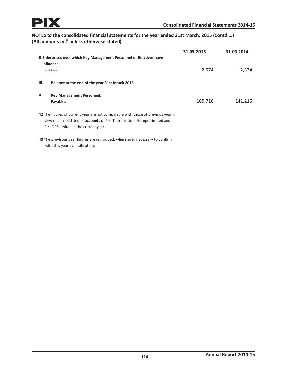# **NOTES to the consolidated financial statements for the year ended 31st March, 2015 (Contd….) (All amounts in** ` **unless otherwise stated)**

|                                                                                                                                                                                                      | B Enterprises over which Key Management Personnel or Relatives have<br>influence<br><b>Rent Paid</b>             | 31.03.2015<br>2,574 | 31.03.2014<br>2,574 |  |
|------------------------------------------------------------------------------------------------------------------------------------------------------------------------------------------------------|------------------------------------------------------------------------------------------------------------------|---------------------|---------------------|--|
| iii.                                                                                                                                                                                                 | Balance at the end of the year 31st March 2015                                                                   |                     |                     |  |
| A                                                                                                                                                                                                    | <b>Key Management Personnel:</b><br>Payables                                                                     | 165,716             | 141,215             |  |
| 42 The figures of current year are not comparable with those of previous year in<br>view of consolidated of accounts of Pix Transmissions Europe Limited and<br>PIX QCS limited in the current year. |                                                                                                                  |                     |                     |  |
|                                                                                                                                                                                                      | 43 The previsous year figures are regrouped, where ever necessary to confirm<br>with this year's classification. |                     |                     |  |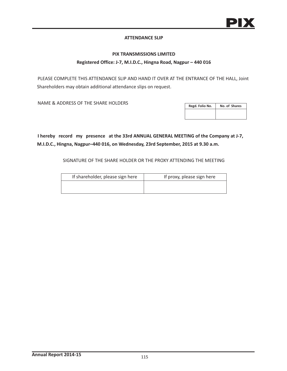## **ATTENDANCE SLIP**

## **PIX TRANSMISSIONS LIMITED**

### **Registered Office: J-7, M.I.D.C., Hingna Road, Nagpur – 440 016**

PLEASE COMPLETE THIS ATTENDANCE SLIP AND HAND IT OVER AT THE ENTRANCE OF THE HALL, Joint Shareholders may obtain additional attendance slips on request.

NAME & ADDRESS OF THE SHARE HOLDERS

| Regd. Folio No. | No. of Shares |
|-----------------|---------------|
|                 |               |

**I hereby record my presence at the 33rd ANNUAL GENERAL MEETING of the Company at J-7, M.I.D.C., Hingna, Nagpur–440 016, on Wednesday, 23rd September, 2015 at 9.30 a.m.**

SIGNATURE OF THE SHARE HOLDER OR THE PROXY ATTENDING THE MEETING

| If shareholder, please sign here | If proxy, please sign here |
|----------------------------------|----------------------------|
|                                  |                            |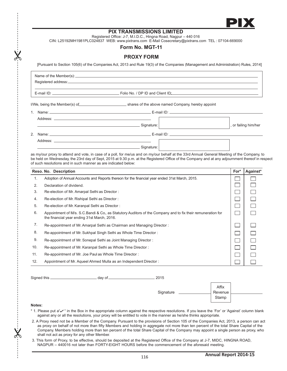

## **PIX TRANSMISSIONS LIMITED**

Registered Office: J-7, M.I.D.C., Hingna Road, Nagpur – 440 016

CIN: L25192MH1981PLC024837 WEB: www.pixtrans.com E-Mail Cosecretary@pixtrans.com TEL : 07104-669000

#### **Form No. MGT-11**

## **PROXY FORM**

[Pursuant to Section 105(6) of the Companies Act, 2013 and Rule 19(3) of the Companies (Management and Administration) Rules, 2014]

| I/We, being the Member(s) of election and the above named Company, hereby appoint |                      |
|-----------------------------------------------------------------------------------|----------------------|
|                                                                                   |                      |
|                                                                                   |                      |
| Signature:                                                                        | , or failing him/her |
|                                                                                   |                      |
| Signature:                                                                        |                      |

as my/our proxy to attend and vote, in case of a poll, for me/us and on my/our behalf at the 33rd Annual General Meeting of the Company, to be held on Wednesday, the 23rd day of Sept, 2015 at 9.30 p.m. at the Registered Office of the Company and at any adjournment thereof in respect of such resolutions and in such manner as are indicated below:

|     | Reso. No. Description                                                                                                                                      | For* | Against* |
|-----|------------------------------------------------------------------------------------------------------------------------------------------------------------|------|----------|
| 1.  | Adoption of Annual Accounts and Reports thereon for the financial year ended 31st March, 2015.                                                             |      |          |
| 2.  | Declaration of dividend.                                                                                                                                   |      |          |
| 3.  | Re-election of Mr. Amarpal Sethi as Director:                                                                                                              |      |          |
| 4.  | Re-election of Mr. Rishipal Sethi as Director:                                                                                                             |      |          |
| 5.  | Re-election of Mr. Karanpal Sethi as Director:                                                                                                             |      |          |
| 6.  | Appointment of M/s. S.C.Bandi & Co., as Statutory Auditors of the Company and to fix their remuneration for<br>the financial year ending 31st March, 2016. |      |          |
| 7.  | Re-appointment of Mr. Amarpal Sethi as Chairman and Managing Director:                                                                                     |      |          |
| 8.  | Re-appointment of Mr. Sukhpal Singh Sethi as Whole Time Director:                                                                                          |      |          |
| 9.  | Re-appointment of Mr. Sonepal Sethi as Joint Managing Director:                                                                                            |      |          |
| 10. | Re-appointment of Mr. Karanpal Sethi as Whole Time Director:                                                                                               |      |          |
| 11. | Re-appointment of Mr. Joe Paul as Whole Time Director:                                                                                                     |      |          |
| 12. | Appointment of Mr. Aqueel Ahmed Mulla as an Independent Director:                                                                                          |      |          |

Signed this day of 2015

|           | Affix            |  |
|-----------|------------------|--|
| Signature | Revenue<br>Stamp |  |
|           |                  |  |

#### **Notes:**

- \* 1. Please put a" in the Box in the appropriate column against the respective resolutions. If you leave the 'For' or 'Against' column blank against any or all the resolutions, your proxy will be entitled to vote in the manner as he/she thinks appropriate.
- 2. A Proxy need not be a Member of the Company. Pursuant to the provisions of Section 105 of the Companies Act, 2013, a person can act as proxy on behalf of not more than fifty Members and holding in aggregate not more than ten percent of the total Share Capital of the Company. Members holding more than ten percent of the total Share Capital of the Company may appoint a single person as proxy, who shall not act as proxy for any other Member.
- 3. This form of Proxy, to be effective, should be deposited at the Registered Office of the Company at J-7, MIDC, HINGNA ROAD, NAGPUR – 440016 not later than FORTY-EIGHT HOURS before the commencement of the aforesaid meeting.